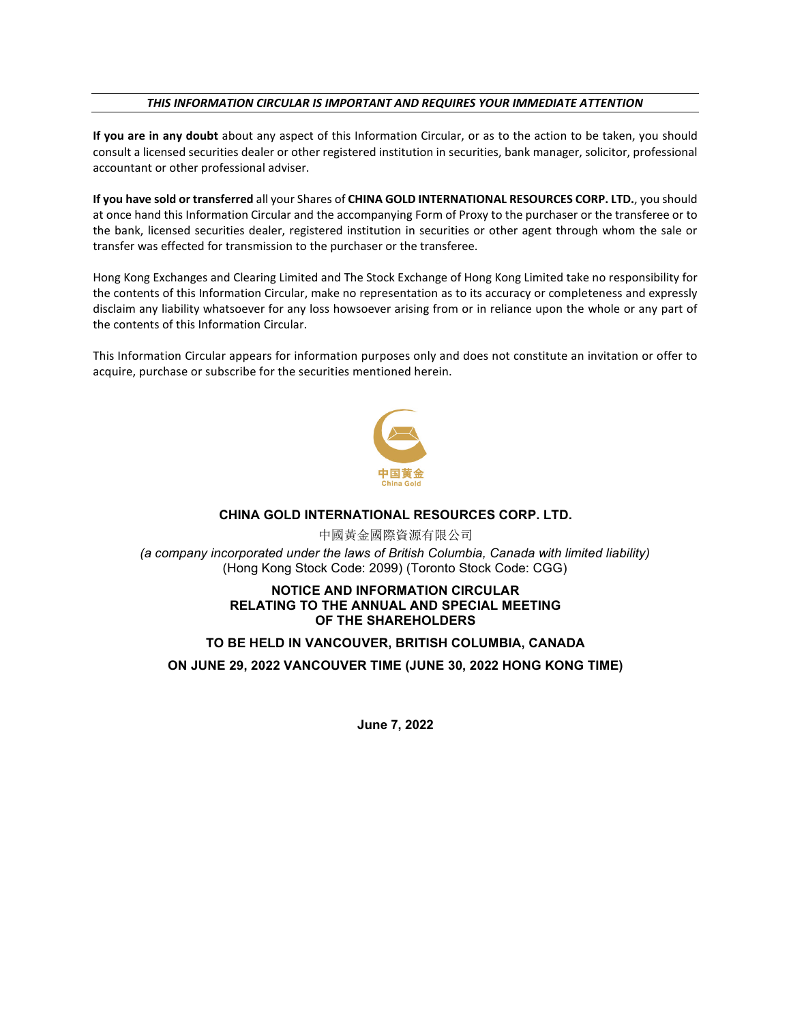## *THIS INFORMATION CIRCULAR IS IMPORTANT AND REQUIRES YOUR IMMEDIATE ATTENTION*

**If you are in any doubt** about any aspect of this Information Circular, or as to the action to be taken, you should consult a licensed securities dealer or other registered institution in securities, bank manager, solicitor, professional accountant or other professional adviser.

**If you have sold or transferred** all your Shares of **CHINA GOLD INTERNATIONAL RESOURCES CORP. LTD.**, you should at once hand this Information Circular and the accompanying Form of Proxy to the purchaser or the transferee or to the bank, licensed securities dealer, registered institution in securities or other agent through whom the sale or transfer was effected for transmission to the purchaser or the transferee.

Hong Kong Exchanges and Clearing Limited and The Stock Exchange of Hong Kong Limited take no responsibility for the contents of this Information Circular, make no representation as to its accuracy or completeness and expressly disclaim any liability whatsoever for any loss howsoever arising from or in reliance upon the whole or any part of the contents of this Information Circular.

This Information Circular appears for information purposes only and does not constitute an invitation or offer to acquire, purchase or subscribe for the securities mentioned herein.



## **CHINA GOLD INTERNATIONAL RESOURCES CORP. LTD.**

中國黃金國際資源有限公司 *(a company incorporated under the laws of British Columbia, Canada with limited liability)* (Hong Kong Stock Code: 2099) (Toronto Stock Code: CGG)

## **NOTICE AND INFORMATION CIRCULAR RELATING TO THE ANNUAL AND SPECIAL MEETING OF THE SHAREHOLDERS**

## **TO BE HELD IN VANCOUVER, BRITISH COLUMBIA, CANADA**

**ON JUNE 29, 2022 VANCOUVER TIME (JUNE 30, 2022 HONG KONG TIME)**

**June 7, 2022**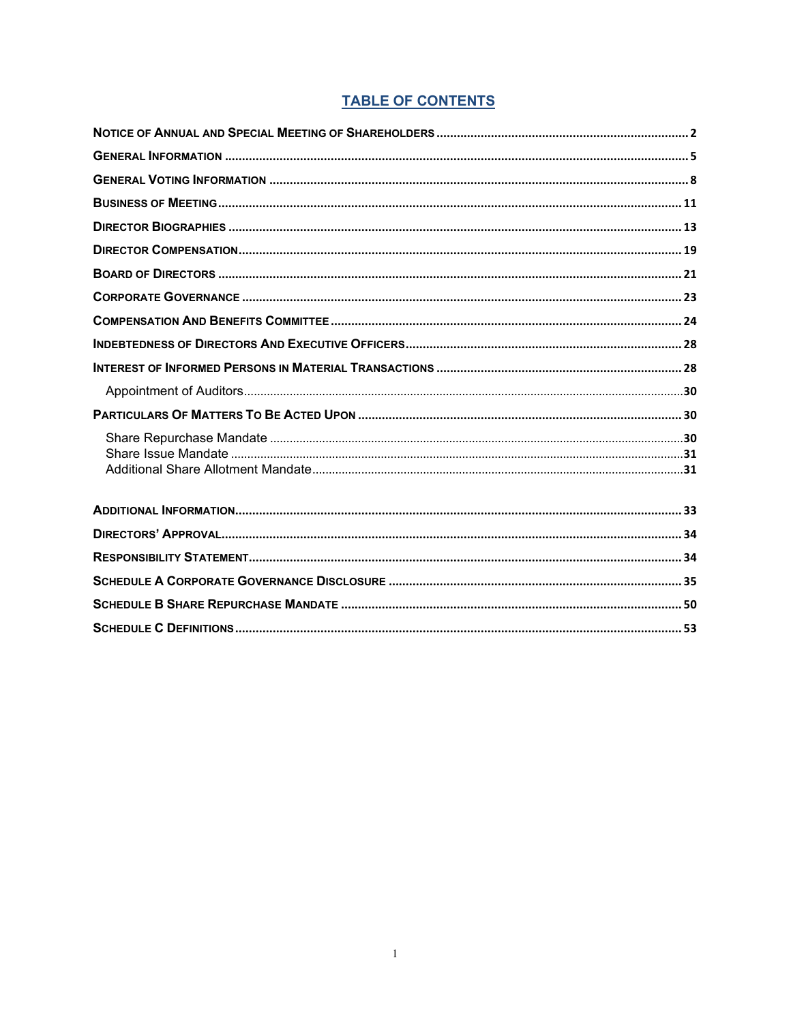# **TABLE OF CONTENTS**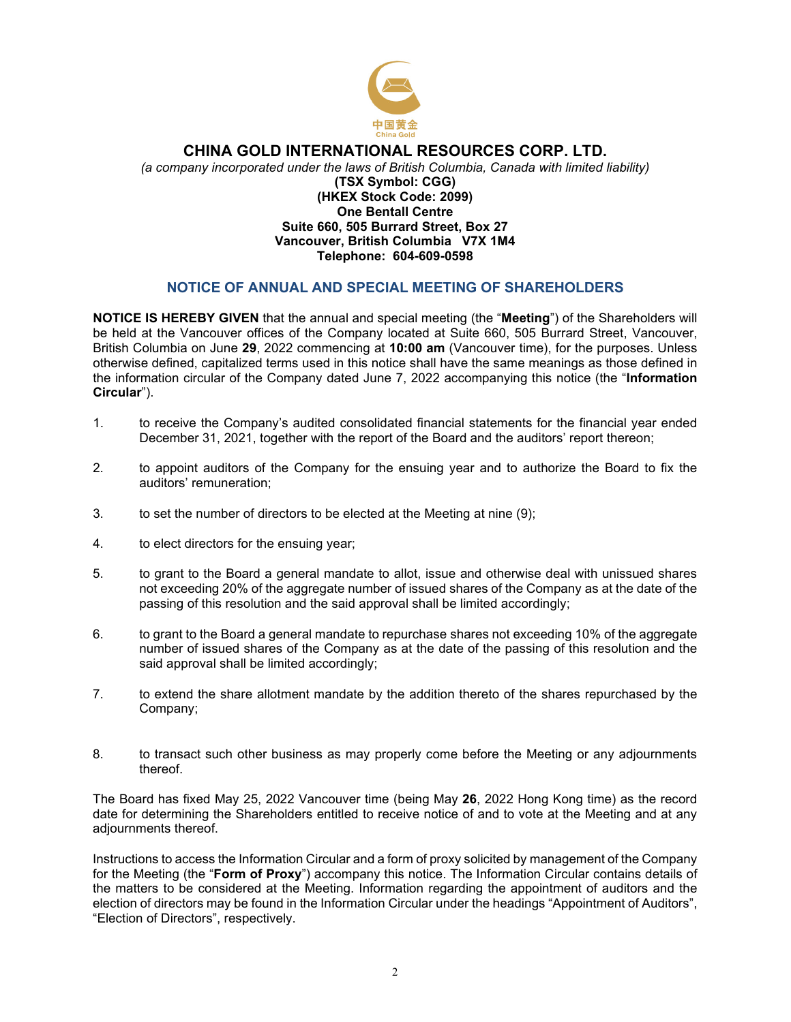

## **CHINA GOLD INTERNATIONAL RESOURCES CORP. LTD.**

*(a company incorporated under the laws of British Columbia, Canada with limited liability)* **(TSX Symbol: CGG) (HKEX Stock Code: 2099) One Bentall Centre Suite 660, 505 Burrard Street, Box 27 Vancouver, British Columbia V7X 1M4 Telephone: 604-609-0598** 

## **NOTICE OF ANNUAL AND SPECIAL MEETING OF SHAREHOLDERS**

<span id="page-2-0"></span>**NOTICE IS HEREBY GIVEN** that the annual and special meeting (the "**Meeting**") of the Shareholders will be held at the Vancouver offices of the Company located at Suite 660, 505 Burrard Street, Vancouver, British Columbia on June **29**, 2022 commencing at **10:00 am** (Vancouver time), for the purposes. Unless otherwise defined, capitalized terms used in this notice shall have the same meanings as those defined in the information circular of the Company dated June 7, 2022 accompanying this notice (the "**Information Circular**").

- 1. to receive the Company's audited consolidated financial statements for the financial year ended December 31, 2021, together with the report of the Board and the auditors' report thereon;
- 2. to appoint auditors of the Company for the ensuing year and to authorize the Board to fix the auditors' remuneration;
- 3. to set the number of directors to be elected at the Meeting at nine (9);
- 4. to elect directors for the ensuing year;
- 5. to grant to the Board a general mandate to allot, issue and otherwise deal with unissued shares not exceeding 20% of the aggregate number of issued shares of the Company as at the date of the passing of this resolution and the said approval shall be limited accordingly;
- 6. to grant to the Board a general mandate to repurchase shares not exceeding 10% of the aggregate number of issued shares of the Company as at the date of the passing of this resolution and the said approval shall be limited accordingly;
- 7. to extend the share allotment mandate by the addition thereto of the shares repurchased by the Company;
- 8. to transact such other business as may properly come before the Meeting or any adjournments thereof.

The Board has fixed May 25, 2022 Vancouver time (being May **26**, 2022 Hong Kong time) as the record date for determining the Shareholders entitled to receive notice of and to vote at the Meeting and at any adjournments thereof.

Instructions to access the Information Circular and a form of proxy solicited by management of the Company for the Meeting (the "**Form of Proxy**") accompany this notice. The Information Circular contains details of the matters to be considered at the Meeting. Information regarding the appointment of auditors and the election of directors may be found in the Information Circular under the headings "Appointment of Auditors", "Election of Directors", respectively.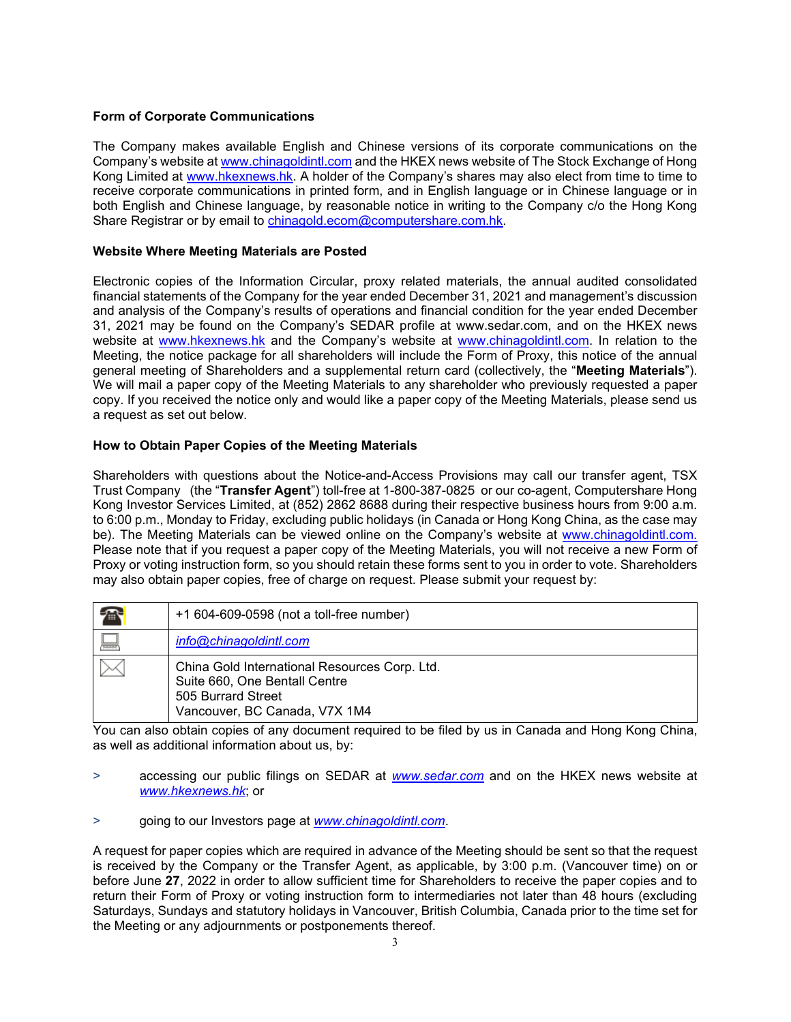## **Form of Corporate Communications**

The Company makes available English and Chinese versions of its corporate communications on the Company's website at [www.chinagoldintl.com](http://www.chinagoldintl.com/) and the HKEX news website of The Stock Exchange of Hong Kong Limited at [www.hkexnews.hk.](http://www.hkexnews.hk/) A holder of the Company's shares may also elect from time to time to receive corporate communications in printed form, and in English language or in Chinese language or in both English and Chinese language, by reasonable notice in writing to the Company c/o the Hong Kong Share Registrar or by email to [chinagold.ecom@computershare.com.hk.](mailto:chinagold.ecom@computershare.com.hk)

## **Website Where Meeting Materials are Posted**

Electronic copies of the Information Circular, proxy related materials, the annual audited consolidated financial statements of the Company for the year ended December 31, 2021 and management's discussion and analysis of the Company's results of operations and financial condition for the year ended December 31, 2021 may be found on the Company's SEDAR profile at www.sedar.com, and on the HKEX news website at [www.hkexnews.hk](http://www.hkexnews.hk/) and the Company's website at [www.chinagoldintl.com.](http://www.chinagoldintl.com/) In relation to the Meeting, the notice package for all shareholders will include the Form of Proxy, this notice of the annual general meeting of Shareholders and a supplemental return card (collectively, the "**Meeting Materials**"). We will mail a paper copy of the Meeting Materials to any shareholder who previously requested a paper copy. If you received the notice only and would like a paper copy of the Meeting Materials, please send us a request as set out below.

## **How to Obtain Paper Copies of the Meeting Materials**

Shareholders with questions about the Notice-and-Access Provisions may call our transfer agent, TSX Trust Company (the "**Transfer Agent**") toll-free at 1-800-387-0825 or our co-agent, Computershare Hong Kong Investor Services Limited, at (852) 2862 8688 during their respective business hours from 9:00 a.m. to 6:00 p.m., Monday to Friday, excluding public holidays (in Canada or Hong Kong China, as the case may be). The Meeting Materials can be viewed online on the Company's website at www.chinagoldintl.com. Please note that if you request a paper copy of the Meeting Materials, you will not receive a new Form of Proxy or voting instruction form, so you should retain these forms sent to you in order to vote. Shareholders may also obtain paper copies, free of charge on request. Please submit your request by:

| $\mathbb{Z}$ | +1 604-609-0598 (not a toll-free number)                                                                                              |
|--------------|---------------------------------------------------------------------------------------------------------------------------------------|
| <u>maan</u>  | info@chinagoldintl.com                                                                                                                |
|              | China Gold International Resources Corp. Ltd.<br>Suite 660, One Bentall Centre<br>505 Burrard Street<br>Vancouver, BC Canada, V7X 1M4 |

You can also obtain copies of any document required to be filed by us in Canada and Hong Kong China, as well as additional information about us, by:

- > accessing our public filings on SEDAR at *www.sedar.com* and on the HKEX news website at *[www.hkexnews.hk](http://www.hkexnews.hk/)*; or
- > going to our Investors page at *www.chinagoldintl.com*.

A request for paper copies which are required in advance of the Meeting should be sent so that the request is received by the Company or the Transfer Agent, as applicable, by 3:00 p.m. (Vancouver time) on or before June **27**, 2022 in order to allow sufficient time for Shareholders to receive the paper copies and to return their Form of Proxy or voting instruction form to intermediaries not later than 48 hours (excluding Saturdays, Sundays and statutory holidays in Vancouver, British Columbia, Canada prior to the time set for the Meeting or any adjournments or postponements thereof.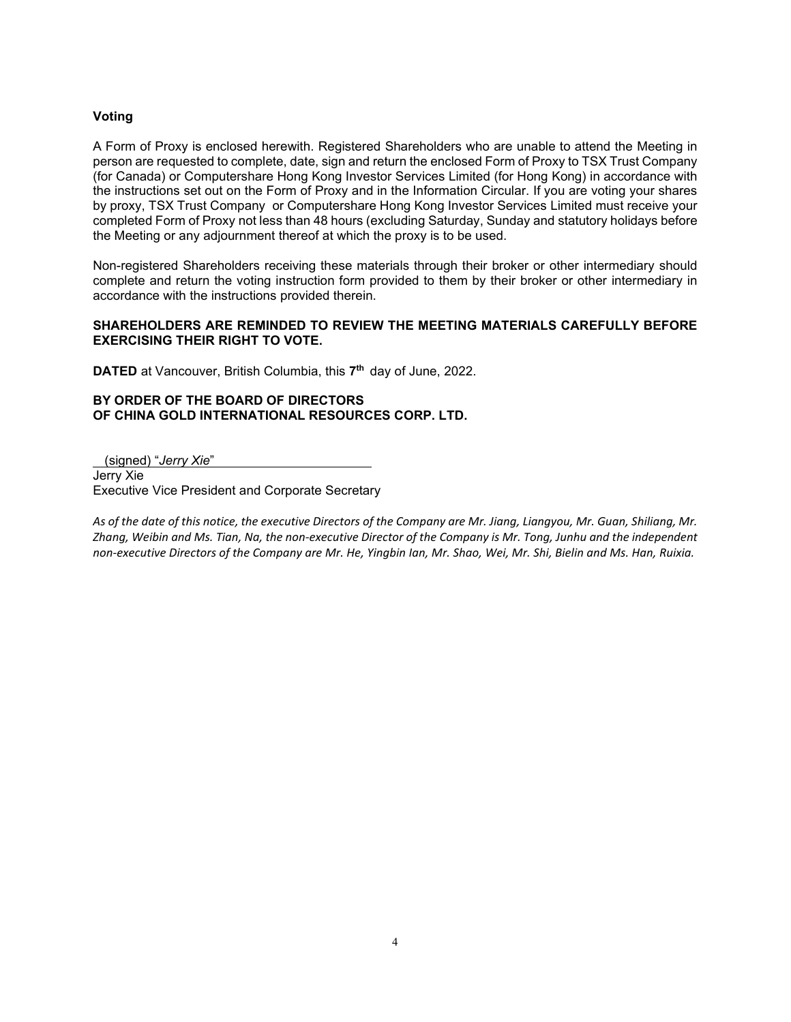## **Voting**

A Form of Proxy is enclosed herewith. Registered Shareholders who are unable to attend the Meeting in person are requested to complete, date, sign and return the enclosed Form of Proxy to TSX Trust Company (for Canada) or Computershare Hong Kong Investor Services Limited (for Hong Kong) in accordance with the instructions set out on the Form of Proxy and in the Information Circular. If you are voting your shares by proxy, TSX Trust Company or Computershare Hong Kong Investor Services Limited must receive your completed Form of Proxy not less than 48 hours (excluding Saturday, Sunday and statutory holidays before the Meeting or any adjournment thereof at which the proxy is to be used.

Non-registered Shareholders receiving these materials through their broker or other intermediary should complete and return the voting instruction form provided to them by their broker or other intermediary in accordance with the instructions provided therein.

## **SHAREHOLDERS ARE REMINDED TO REVIEW THE MEETING MATERIALS CAREFULLY BEFORE EXERCISING THEIR RIGHT TO VOTE.**

**DATED** at Vancouver, British Columbia, this **7th** day of June, 2022.

### **BY ORDER OF THE BOARD OF DIRECTORS OF CHINA GOLD INTERNATIONAL RESOURCES CORP. LTD.**

(signed) "*Jerry Xie*" Jerry Xie Executive Vice President and Corporate Secretary

*As of the date of this notice, the executive Directors of the Company are Mr. Jiang, Liangyou, Mr. Guan, Shiliang, Mr. Zhang, Weibin and Ms. Tian, Na, the non-executive Director of the Company is Mr. Tong, Junhu and the independent non-executive Directors of the Company are Mr. He, Yingbin Ian, Mr. Shao, Wei, Mr. Shi, Bielin and Ms. Han, Ruixia.*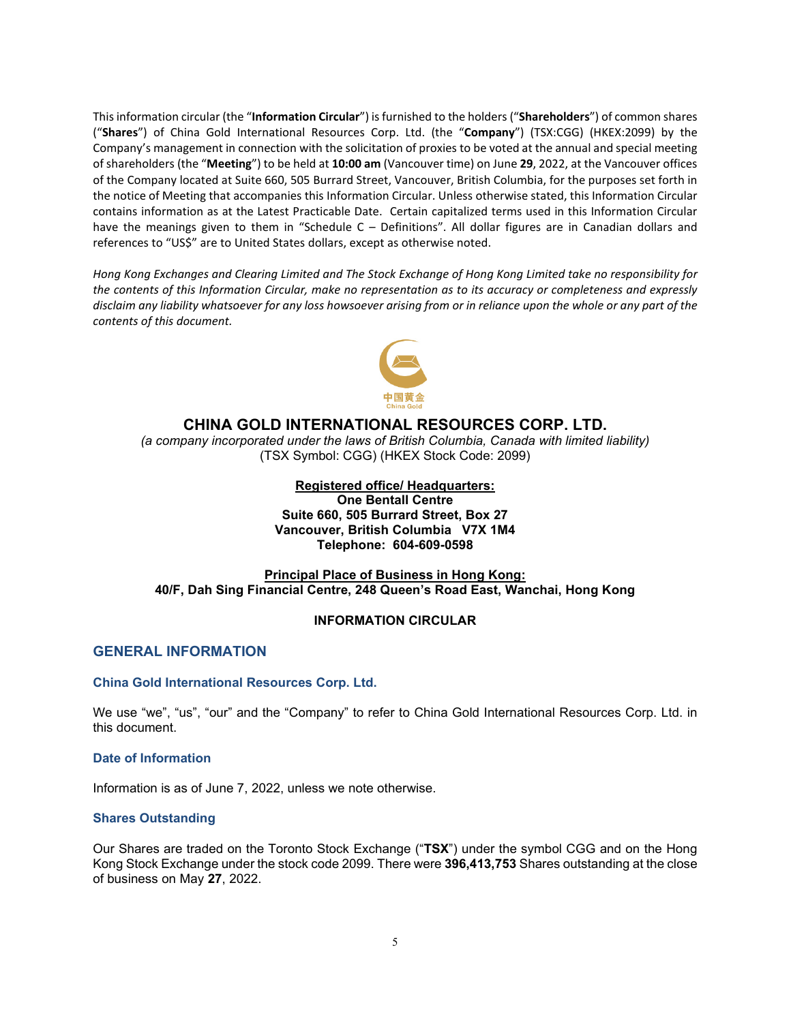This information circular (the "**Information Circular**") is furnished to the holders ("**Shareholders**") of common shares ("**Shares**") of China Gold International Resources Corp. Ltd. (the "**Company**") (TSX:CGG) (HKEX:2099) by the Company's management in connection with the solicitation of proxies to be voted at the annual and special meeting of shareholders (the "**Meeting**") to be held at **10:00 am** (Vancouver time) on June **29**, 2022, at the Vancouver offices of the Company located at Suite 660, 505 Burrard Street, Vancouver, British Columbia, for the purposes set forth in the notice of Meeting that accompanies this Information Circular. Unless otherwise stated, this Information Circular contains information as at the Latest Practicable Date. Certain capitalized terms used in this Information Circular have the meanings given to them in "Schedule C – Definitions". All dollar figures are in Canadian dollars and references to "US\$" are to United States dollars, except as otherwise noted.

*Hong Kong Exchanges and Clearing Limited and The Stock Exchange of Hong Kong Limited take no responsibility for the contents of this Information Circular, make no representation as to its accuracy or completeness and expressly disclaim any liability whatsoever for any loss howsoever arising from or in reliance upon the whole or any part of the contents of this document.* 



## **CHINA GOLD INTERNATIONAL RESOURCES CORP. LTD.**

*(a company incorporated under the laws of British Columbia, Canada with limited liability)* (TSX Symbol: CGG) (HKEX Stock Code: 2099)

### **Registered office/ Headquarters:**

**One Bentall Centre Suite 660, 505 Burrard Street, Box 27 Vancouver, British Columbia V7X 1M4 Telephone: 604-609-0598** 

### **Principal Place of Business in Hong Kong: 40/F, Dah Sing Financial Centre, 248 Queen's Road East, Wanchai, Hong Kong**

#### **INFORMATION CIRCULAR**

## <span id="page-5-0"></span>**GENERAL INFORMATION**

### **China Gold International Resources Corp. Ltd.**

We use "we", "us", "our" and the "Company" to refer to China Gold International Resources Corp. Ltd. in this document.

#### **Date of Information**

Information is as of June 7, 2022, unless we note otherwise.

#### **Shares Outstanding**

Our Shares are traded on the Toronto Stock Exchange ("**TSX**") under the symbol CGG and on the Hong Kong Stock Exchange under the stock code 2099. There were **396,413,753** Shares outstanding at the close of business on May **27**, 2022.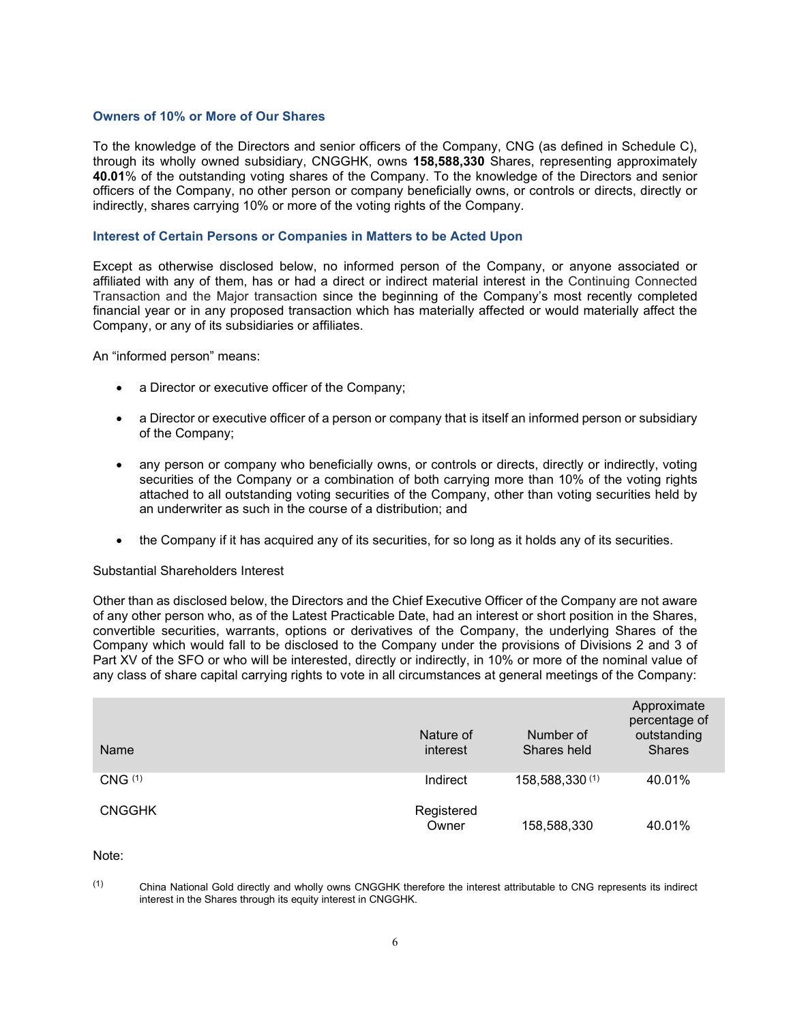### **Owners of 10% or More of Our Shares**

To the knowledge of the Directors and senior officers of the Company, CNG (as defined in Schedule C), through its wholly owned subsidiary, CNGGHK, owns **158,588,330** Shares, representing approximately **40.01**% of the outstanding voting shares of the Company. To the knowledge of the Directors and senior officers of the Company, no other person or company beneficially owns, or controls or directs, directly or indirectly, shares carrying 10% or more of the voting rights of the Company.

#### **Interest of Certain Persons or Companies in Matters to be Acted Upon**

Except as otherwise disclosed below, no informed person of the Company, or anyone associated or affiliated with any of them, has or had a direct or indirect material interest in the Continuing Connected Transaction and the Major transaction since the beginning of the Company's most recently completed financial year or in any proposed transaction which has materially affected or would materially affect the Company, or any of its subsidiaries or affiliates.

An "informed person" means:

- a Director or executive officer of the Company;
- a Director or executive officer of a person or company that is itself an informed person or subsidiary of the Company;
- any person or company who beneficially owns, or controls or directs, directly or indirectly, voting securities of the Company or a combination of both carrying more than 10% of the voting rights attached to all outstanding voting securities of the Company, other than voting securities held by an underwriter as such in the course of a distribution; and
- the Company if it has acquired any of its securities, for so long as it holds any of its securities.

#### Substantial Shareholders Interest

Other than as disclosed below, the Directors and the Chief Executive Officer of the Company are not aware of any other person who, as of the Latest Practicable Date, had an interest or short position in the Shares, convertible securities, warrants, options or derivatives of the Company, the underlying Shares of the Company which would fall to be disclosed to the Company under the provisions of Divisions 2 and 3 of Part XV of the SFO or who will be interested, directly or indirectly, in 10% or more of the nominal value of any class of share capital carrying rights to vote in all circumstances at general meetings of the Company:

| Name               | Nature of<br>interest | Number of<br>Shares held | Approximate<br>percentage of<br>outstanding<br><b>Shares</b> |
|--------------------|-----------------------|--------------------------|--------------------------------------------------------------|
| CNG <sup>(1)</sup> | Indirect              | 158,588,330 (1)          | 40.01%                                                       |
| <b>CNGGHK</b>      | Registered<br>Owner   | 158,588,330              | 40.01%                                                       |

Note:

<sup>(1)</sup> China National Gold directly and wholly owns CNGGHK therefore the interest attributable to CNG represents its indirect interest in the Shares through its equity interest in CNGGHK.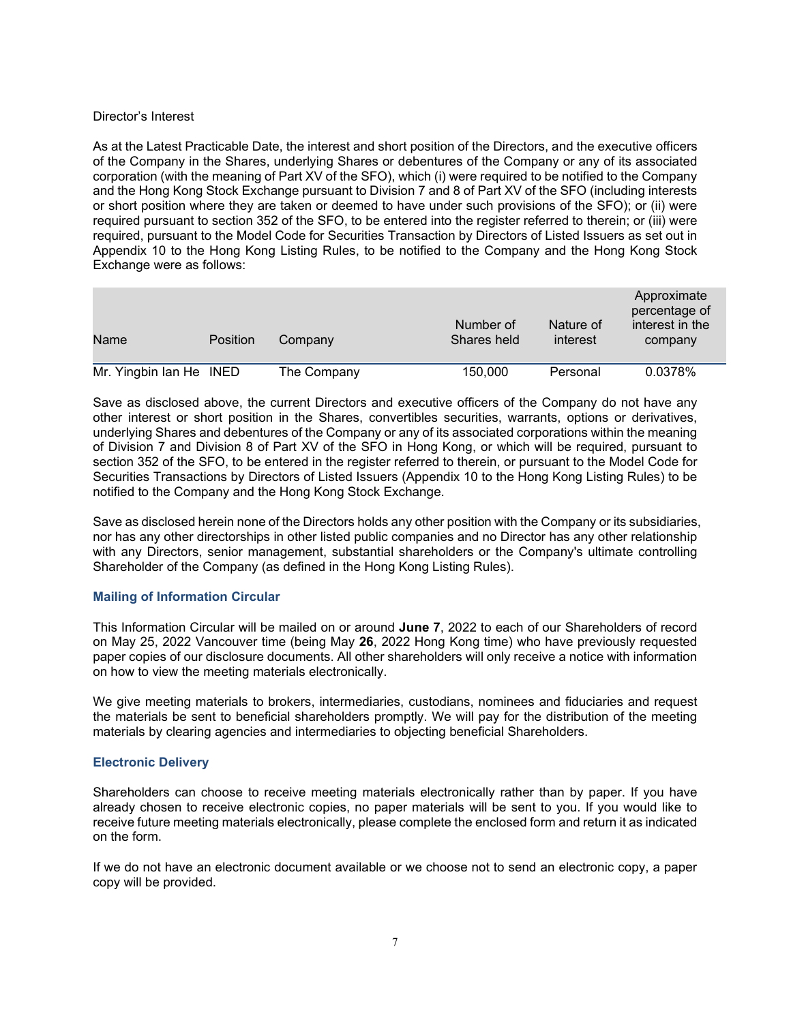### Director's Interest

As at the Latest Practicable Date, the interest and short position of the Directors, and the executive officers of the Company in the Shares, underlying Shares or debentures of the Company or any of its associated corporation (with the meaning of Part XV of the SFO), which (i) were required to be notified to the Company and the Hong Kong Stock Exchange pursuant to Division 7 and 8 of Part XV of the SFO (including interests or short position where they are taken or deemed to have under such provisions of the SFO); or (ii) were required pursuant to section 352 of the SFO, to be entered into the register referred to therein; or (iii) were required, pursuant to the Model Code for Securities Transaction by Directors of Listed Issuers as set out in Appendix 10 to the Hong Kong Listing Rules, to be notified to the Company and the Hong Kong Stock Exchange were as follows:

| Name                    | <b>Position</b> | Company     | Number of<br>Shares held | Nature of<br>interest | Approximate<br>percentage of<br>interest in the<br>company |
|-------------------------|-----------------|-------------|--------------------------|-----------------------|------------------------------------------------------------|
| Mr. Yingbin Ian He INED |                 | The Company | 150,000                  | Personal              | 0.0378%                                                    |

Save as disclosed above, the current Directors and executive officers of the Company do not have any other interest or short position in the Shares, convertibles securities, warrants, options or derivatives, underlying Shares and debentures of the Company or any of its associated corporations within the meaning of Division 7 and Division 8 of Part XV of the SFO in Hong Kong, or which will be required, pursuant to section 352 of the SFO, to be entered in the register referred to therein, or pursuant to the Model Code for Securities Transactions by Directors of Listed Issuers (Appendix 10 to the Hong Kong Listing Rules) to be notified to the Company and the Hong Kong Stock Exchange.

Save as disclosed herein none of the Directors holds any other position with the Company or its subsidiaries, nor has any other directorships in other listed public companies and no Director has any other relationship with any Directors, senior management, substantial shareholders or the Company's ultimate controlling Shareholder of the Company (as defined in the Hong Kong Listing Rules).

## **Mailing of Information Circular**

This Information Circular will be mailed on or around **June 7**, 2022 to each of our Shareholders of record on May 25, 2022 Vancouver time (being May **26**, 2022 Hong Kong time) who have previously requested paper copies of our disclosure documents. All other shareholders will only receive a notice with information on how to view the meeting materials electronically.

We give meeting materials to brokers, intermediaries, custodians, nominees and fiduciaries and request the materials be sent to beneficial shareholders promptly. We will pay for the distribution of the meeting materials by clearing agencies and intermediaries to objecting beneficial Shareholders.

## **Electronic Delivery**

Shareholders can choose to receive meeting materials electronically rather than by paper. If you have already chosen to receive electronic copies, no paper materials will be sent to you. If you would like to receive future meeting materials electronically, please complete the enclosed form and return it as indicated on the form.

If we do not have an electronic document available or we choose not to send an electronic copy, a paper copy will be provided.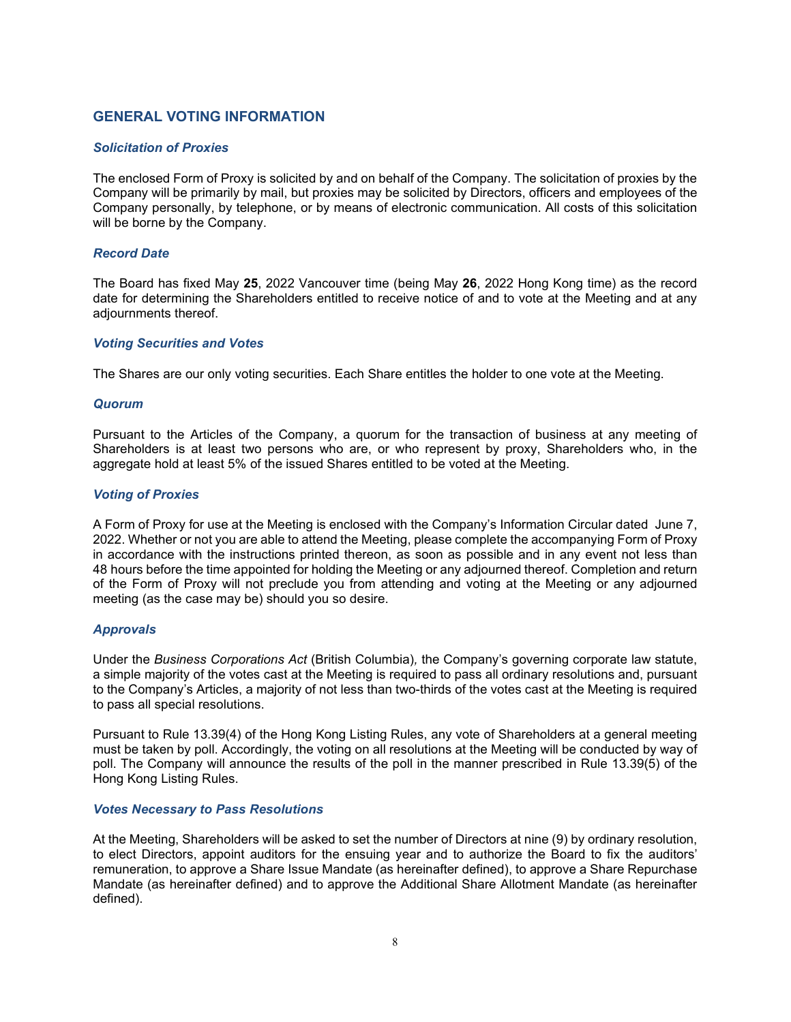## <span id="page-8-0"></span>**GENERAL VOTING INFORMATION**

### *Solicitation of Proxies*

The enclosed Form of Proxy is solicited by and on behalf of the Company. The solicitation of proxies by the Company will be primarily by mail, but proxies may be solicited by Directors, officers and employees of the Company personally, by telephone, or by means of electronic communication. All costs of this solicitation will be borne by the Company.

### *Record Date*

The Board has fixed May **25**, 2022 Vancouver time (being May **26**, 2022 Hong Kong time) as the record date for determining the Shareholders entitled to receive notice of and to vote at the Meeting and at any adjournments thereof.

### *Voting Securities and Votes*

The Shares are our only voting securities. Each Share entitles the holder to one vote at the Meeting.

### *Quorum*

Pursuant to the Articles of the Company, a quorum for the transaction of business at any meeting of Shareholders is at least two persons who are, or who represent by proxy, Shareholders who, in the aggregate hold at least 5% of the issued Shares entitled to be voted at the Meeting.

### *Voting of Proxies*

A Form of Proxy for use at the Meeting is enclosed with the Company's Information Circular dated June 7, 2022. Whether or not you are able to attend the Meeting, please complete the accompanying Form of Proxy in accordance with the instructions printed thereon, as soon as possible and in any event not less than 48 hours before the time appointed for holding the Meeting or any adjourned thereof. Completion and return of the Form of Proxy will not preclude you from attending and voting at the Meeting or any adjourned meeting (as the case may be) should you so desire.

## *Approvals*

Under the *Business Corporations Act* (British Columbia)*,* the Company's governing corporate law statute, a simple majority of the votes cast at the Meeting is required to pass all ordinary resolutions and, pursuant to the Company's Articles, a majority of not less than two-thirds of the votes cast at the Meeting is required to pass all special resolutions.

Pursuant to Rule 13.39(4) of the Hong Kong Listing Rules, any vote of Shareholders at a general meeting must be taken by poll. Accordingly, the voting on all resolutions at the Meeting will be conducted by way of poll. The Company will announce the results of the poll in the manner prescribed in Rule 13.39(5) of the Hong Kong Listing Rules.

#### *Votes Necessary to Pass Resolutions*

At the Meeting, Shareholders will be asked to set the number of Directors at nine (9) by ordinary resolution, to elect Directors, appoint auditors for the ensuing year and to authorize the Board to fix the auditors' remuneration, to approve a Share Issue Mandate (as hereinafter defined), to approve a Share Repurchase Mandate (as hereinafter defined) and to approve the Additional Share Allotment Mandate (as hereinafter defined).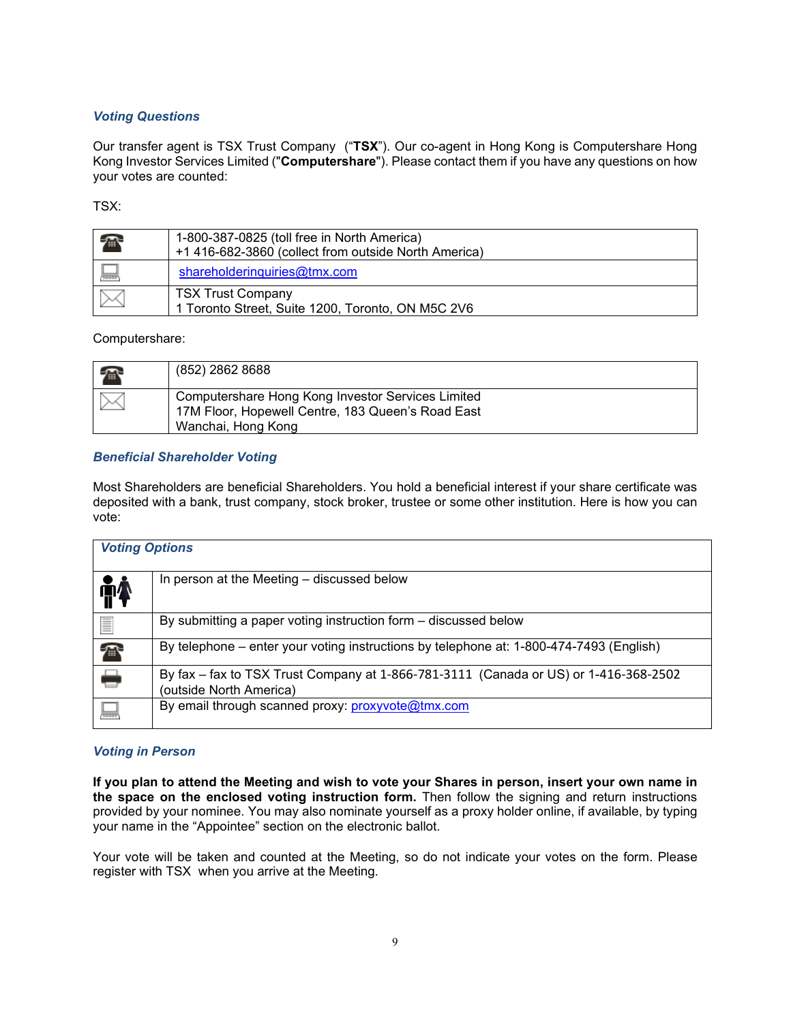## *Voting Questions*

Our transfer agent is TSX Trust Company ("**TSX**"). Our co-agent in Hong Kong is Computershare Hong Kong Investor Services Limited ("**Computershare**"). Please contact them if you have any questions on how your votes are counted:

TSX:

| $\mathbb{Z}$ | 1-800-387-0825 (toll free in North America)<br>+1 416-682-3860 (collect from outside North America) |
|--------------|-----------------------------------------------------------------------------------------------------|
| <b>TRANT</b> | shareholderinguiries@tmx.com                                                                        |
|              | <b>TSX Trust Company</b><br>1 Toronto Street, Suite 1200, Toronto, ON M5C 2V6                       |

## Computershare:

| $\sqrt{m}$ | (852) 2862 8688                                                                                                              |
|------------|------------------------------------------------------------------------------------------------------------------------------|
|            | Computershare Hong Kong Investor Services Limited<br>17M Floor, Hopewell Centre, 183 Queen's Road East<br>Wanchai, Hong Kong |

## *Beneficial Shareholder Voting*

Most Shareholders are beneficial Shareholders. You hold a beneficial interest if your share certificate was deposited with a bank, trust company, stock broker, trustee or some other institution. Here is how you can vote:

| <b>Voting Options</b> |                                                                                                                 |
|-----------------------|-----------------------------------------------------------------------------------------------------------------|
| <b>ind</b>            | In person at the Meeting - discussed below                                                                      |
| $\equiv$              | By submitting a paper voting instruction form – discussed below                                                 |
| À                     | By telephone – enter your voting instructions by telephone at: 1-800-474-7493 (English)                         |
| ٢                     | By fax - fax to TSX Trust Company at 1-866-781-3111 (Canada or US) or 1-416-368-2502<br>(outside North America) |
| 鳳                     | By email through scanned proxy: proxyvote@tmx.com                                                               |

## *Voting in Person*

**If you plan to attend the Meeting and wish to vote your Shares in person, insert your own name in the space on the enclosed voting instruction form.** Then follow the signing and return instructions provided by your nominee. You may also nominate yourself as a proxy holder online, if available, by typing your name in the "Appointee" section on the electronic ballot.

Your vote will be taken and counted at the Meeting, so do not indicate your votes on the form. Please register with TSX when you arrive at the Meeting.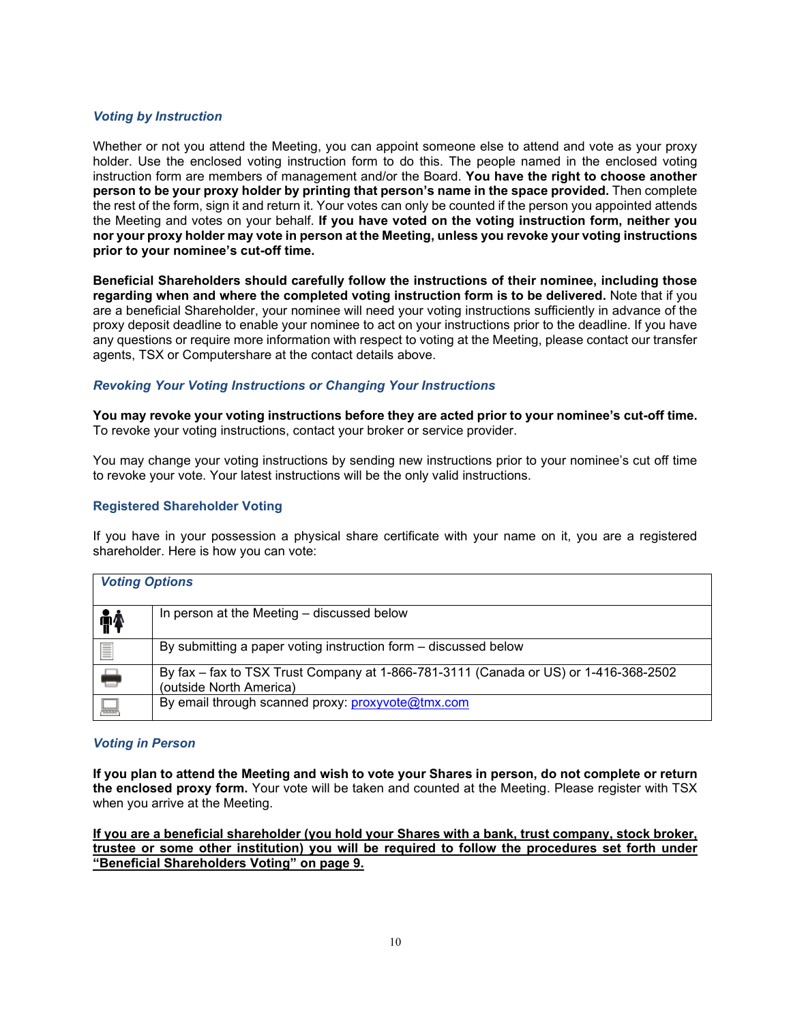## *Voting by Instruction*

Whether or not you attend the Meeting, you can appoint someone else to attend and vote as your proxy holder. Use the enclosed voting instruction form to do this. The people named in the enclosed voting instruction form are members of management and/or the Board. **You have the right to choose another person to be your proxy holder by printing that person's name in the space provided.** Then complete the rest of the form, sign it and return it. Your votes can only be counted if the person you appointed attends the Meeting and votes on your behalf. **If you have voted on the voting instruction form, neither you nor your proxy holder may vote in person at the Meeting, unless you revoke your voting instructions prior to your nominee's cut-off time.**

**Beneficial Shareholders should carefully follow the instructions of their nominee, including those regarding when and where the completed voting instruction form is to be delivered.** Note that if you are a beneficial Shareholder, your nominee will need your voting instructions sufficiently in advance of the proxy deposit deadline to enable your nominee to act on your instructions prior to the deadline. If you have any questions or require more information with respect to voting at the Meeting, please contact our transfer agents, TSX or Computershare at the contact details above.

### *Revoking Your Voting Instructions or Changing Your Instructions*

**You may revoke your voting instructions before they are acted prior to your nominee's cut-off time.** To revoke your voting instructions, contact your broker or service provider.

You may change your voting instructions by sending new instructions prior to your nominee's cut off time to revoke your vote. Your latest instructions will be the only valid instructions.

### **Registered Shareholder Voting**

If you have in your possession a physical share certificate with your name on it, you are a registered shareholder. Here is how you can vote:

| <b>Voting Options</b> |                                                                                                                 |
|-----------------------|-----------------------------------------------------------------------------------------------------------------|
| <b>fi</b>             | In person at the Meeting - discussed below                                                                      |
| l                     | By submitting a paper voting instruction form – discussed below                                                 |
| ۵                     | By fax - fax to TSX Trust Company at 1-866-781-3111 (Canada or US) or 1-416-368-2502<br>(outside North America) |
| ᆗ                     | By email through scanned proxy: proxyvote@tmx.com                                                               |

#### *Voting in Person*

**If you plan to attend the Meeting and wish to vote your Shares in person, do not complete or return the enclosed proxy form.** Your vote will be taken and counted at the Meeting. Please register with TSX when you arrive at the Meeting.

**If you are a beneficial shareholder (you hold your Shares with a bank, trust company, stock broker, trustee or some other institution) you will be required to follow the procedures set forth under "Beneficial Shareholders Voting" on page 9.**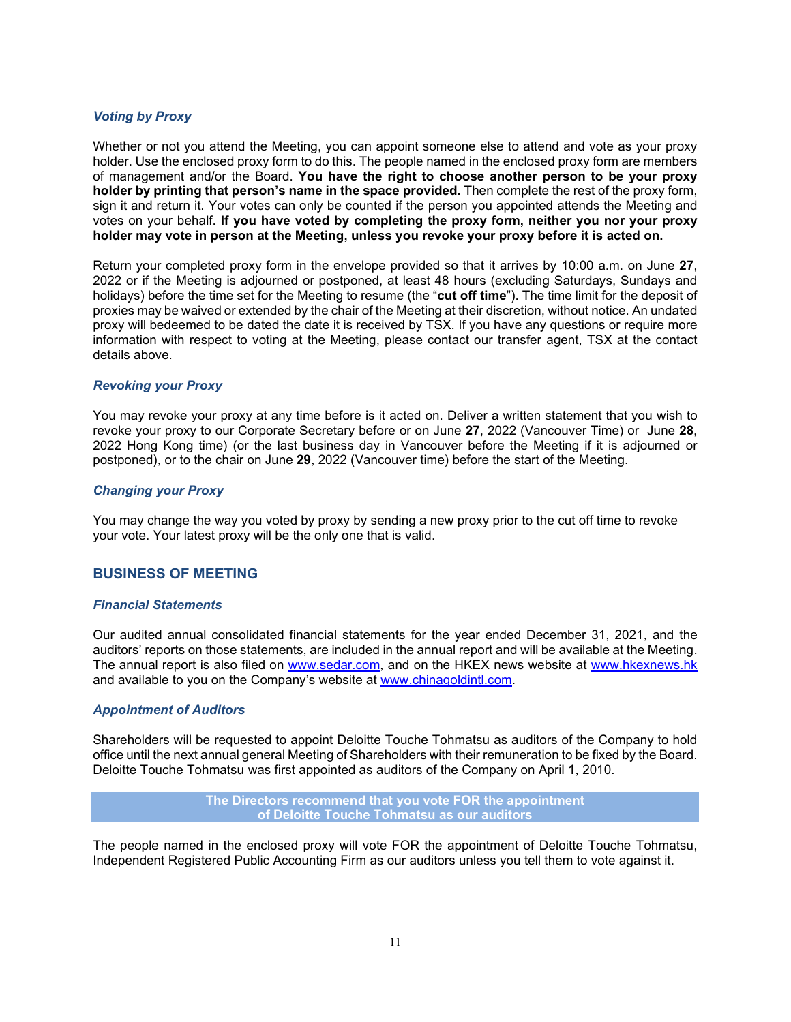### *Voting by Proxy*

Whether or not you attend the Meeting, you can appoint someone else to attend and vote as your proxy holder. Use the enclosed proxy form to do this. The people named in the enclosed proxy form are members of management and/or the Board. **You have the right to choose another person to be your proxy holder by printing that person's name in the space provided.** Then complete the rest of the proxy form, sign it and return it. Your votes can only be counted if the person you appointed attends the Meeting and votes on your behalf. **If you have voted by completing the proxy form, neither you nor your proxy holder may vote in person at the Meeting, unless you revoke your proxy before it is acted on.**

Return your completed proxy form in the envelope provided so that it arrives by 10:00 a.m. on June **27**, 2022 or if the Meeting is adjourned or postponed, at least 48 hours (excluding Saturdays, Sundays and holidays) before the time set for the Meeting to resume (the "**cut off time**"). The time limit for the deposit of proxies may be waived or extended by the chair of the Meeting at their discretion, without notice. An undated proxy will bedeemed to be dated the date it is received by TSX. If you have any questions or require more information with respect to voting at the Meeting, please contact our transfer agent, TSX at the contact details above.

### *Revoking your Proxy*

You may revoke your proxy at any time before is it acted on. Deliver a written statement that you wish to revoke your proxy to our Corporate Secretary before or on June **27**, 2022 (Vancouver Time) or June **28**, 2022 Hong Kong time) (or the last business day in Vancouver before the Meeting if it is adjourned or postponed), or to the chair on June **29**, 2022 (Vancouver time) before the start of the Meeting.

### *Changing your Proxy*

You may change the way you voted by proxy by sending a new proxy prior to the cut off time to revoke your vote. Your latest proxy will be the only one that is valid.

## <span id="page-11-0"></span>**BUSINESS OF MEETING**

#### *Financial Statements*

Our audited annual consolidated financial statements for the year ended December 31, 2021, and the auditors' reports on those statements, are included in the annual report and will be available at the Meeting. The annual report is also filed on [www.sedar.com,](http://www.sedar.com/) and on the HKEX news website at [www.hkexnews.hk](http://www.hkexnews.hk/) and available to you on the Company's website at [www.chinagoldintl.com.](http://www.chinagoldintl.com/)

## *Appointment of Auditors*

Shareholders will be requested to appoint Deloitte Touche Tohmatsu as auditors of the Company to hold office until the next annual general Meeting of Shareholders with their remuneration to be fixed by the Board. Deloitte Touche Tohmatsu was first appointed as auditors of the Company on April 1, 2010.

> **The Directors recommend that you vote FOR the appointment of Deloitte Touche Tohmatsu as our auditors**

The people named in the enclosed proxy will vote FOR the appointment of Deloitte Touche Tohmatsu, Independent Registered Public Accounting Firm as our auditors unless you tell them to vote against it.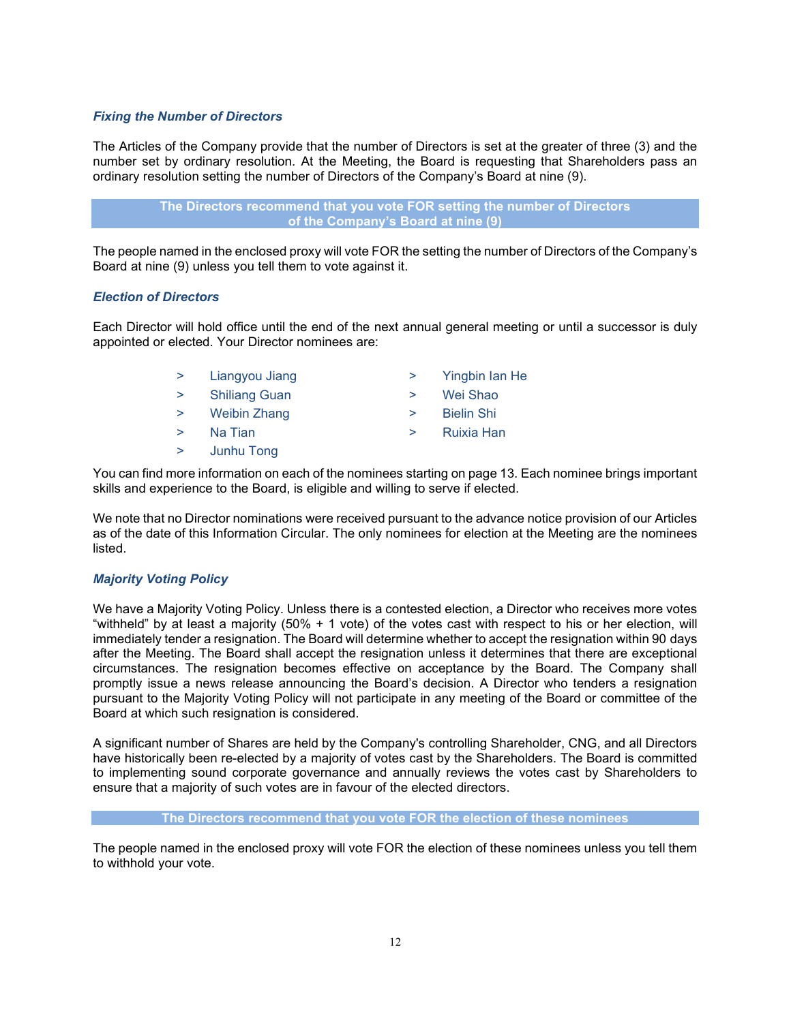## *Fixing the Number of Directors*

The Articles of the Company provide that the number of Directors is set at the greater of three (3) and the number set by ordinary resolution. At the Meeting, the Board is requesting that Shareholders pass an ordinary resolution setting the number of Directors of the Company's Board at nine (9).

> **The Directors recommend that you vote FOR setting the number of Directors of the Company's Board at nine (9)**

The people named in the enclosed proxy will vote FOR the setting the number of Directors of the Company's Board at nine (9) unless you tell them to vote against it.

## *Election of Directors*

Each Director will hold office until the end of the next annual general meeting or until a successor is duly appointed or elected. Your Director nominees are:

- > Liangyou Jiang
- > Shiliang Guan
- > Weibin Zhang
- > Na Tian
- > Junhu Tong
- > Yingbin Ian He
- > Wei Shao
- > Bielin Shi
- > Ruixia Han

You can find more information on each of the nominees starting on page [13.](#page-13-0) Each nominee brings important skills and experience to the Board, is eligible and willing to serve if elected.

We note that no Director nominations were received pursuant to the advance notice provision of our Articles as of the date of this Information Circular. The only nominees for election at the Meeting are the nominees listed.

## *Majority Voting Policy*

We have a Majority Voting Policy. Unless there is a contested election, a Director who receives more votes "withheld" by at least a majority (50% + 1 vote) of the votes cast with respect to his or her election, will immediately tender a resignation. The Board will determine whether to accept the resignation within 90 days after the Meeting. The Board shall accept the resignation unless it determines that there are exceptional circumstances. The resignation becomes effective on acceptance by the Board. The Company shall promptly issue a news release announcing the Board's decision. A Director who tenders a resignation pursuant to the Majority Voting Policy will not participate in any meeting of the Board or committee of the Board at which such resignation is considered.

A significant number of Shares are held by the Company's controlling Shareholder, CNG, and all Directors have historically been re-elected by a majority of votes cast by the Shareholders. The Board is committed to implementing sound corporate governance and annually reviews the votes cast by Shareholders to ensure that a majority of such votes are in favour of the elected directors.

#### **The Directors recommend that you vote FOR the election of these nominees**

The people named in the enclosed proxy will vote FOR the election of these nominees unless you tell them to withhold your vote.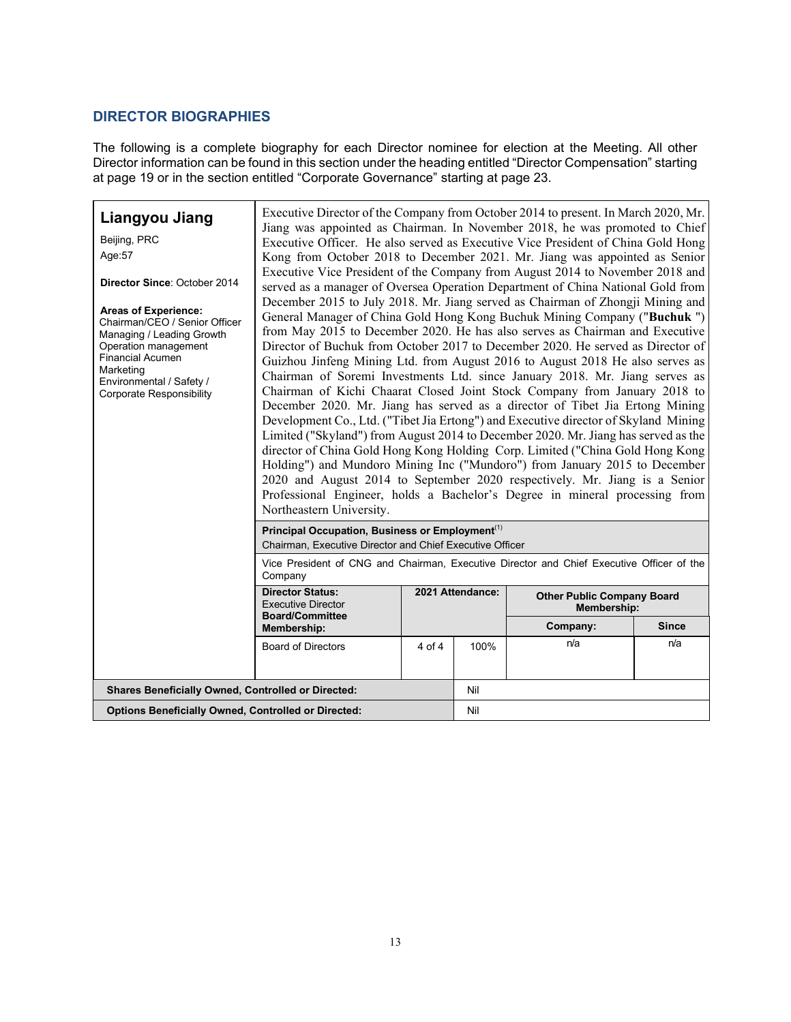## <span id="page-13-0"></span>**DIRECTOR BIOGRAPHIES**

The following is a complete biography for each Director nominee for election at the Meeting. All other Director information can be found in this section under the heading entitled "Director Compensation" starting at page 19 or in the section entitled "Corporate Governance" starting at page 23.

| Liangyou Jiang<br>Beijing, PRC<br>Age:57<br>Director Since: October 2014<br><b>Areas of Experience:</b><br>Chairman/CEO / Senior Officer<br>Managing / Leading Growth<br>Operation management<br><b>Financial Acumen</b><br>Marketing<br>Environmental / Safety /<br><b>Corporate Responsibility</b> | Executive Director of the Company from October 2014 to present. In March 2020, Mr.<br>Jiang was appointed as Chairman. In November 2018, he was promoted to Chief<br>Executive Officer. He also served as Executive Vice President of China Gold Hong<br>Kong from October 2018 to December 2021. Mr. Jiang was appointed as Senior<br>Executive Vice President of the Company from August 2014 to November 2018 and<br>served as a manager of Oversea Operation Department of China National Gold from<br>December 2015 to July 2018. Mr. Jiang served as Chairman of Zhongji Mining and<br>General Manager of China Gold Hong Kong Buchuk Mining Company ("Buchuk ")<br>from May 2015 to December 2020. He has also serves as Chairman and Executive<br>Director of Buchuk from October 2017 to December 2020. He served as Director of<br>Guizhou Jinfeng Mining Ltd. from August 2016 to August 2018 He also serves as<br>Chairman of Soremi Investments Ltd. since January 2018. Mr. Jiang serves as<br>Chairman of Kichi Chaarat Closed Joint Stock Company from January 2018 to<br>December 2020. Mr. Jiang has served as a director of Tibet Jia Ertong Mining<br>Development Co., Ltd. ("Tibet Jia Ertong") and Executive director of Skyland Mining<br>Limited ("Skyland") from August 2014 to December 2020. Mr. Jiang has served as the<br>director of China Gold Hong Kong Holding Corp. Limited ("China Gold Hong Kong<br>Holding") and Mundoro Mining Inc ("Mundoro") from January 2015 to December<br>2020 and August 2014 to September 2020 respectively. Mr. Jiang is a Senior<br>Professional Engineer, holds a Bachelor's Degree in mineral processing from<br>Northeastern University. |                  |      |                                                  |              |
|------------------------------------------------------------------------------------------------------------------------------------------------------------------------------------------------------------------------------------------------------------------------------------------------------|-------------------------------------------------------------------------------------------------------------------------------------------------------------------------------------------------------------------------------------------------------------------------------------------------------------------------------------------------------------------------------------------------------------------------------------------------------------------------------------------------------------------------------------------------------------------------------------------------------------------------------------------------------------------------------------------------------------------------------------------------------------------------------------------------------------------------------------------------------------------------------------------------------------------------------------------------------------------------------------------------------------------------------------------------------------------------------------------------------------------------------------------------------------------------------------------------------------------------------------------------------------------------------------------------------------------------------------------------------------------------------------------------------------------------------------------------------------------------------------------------------------------------------------------------------------------------------------------------------------------------------------------------------------------------------------------------------------|------------------|------|--------------------------------------------------|--------------|
|                                                                                                                                                                                                                                                                                                      | Principal Occupation, Business or Employment <sup>(1)</sup><br>Chairman, Executive Director and Chief Executive Officer                                                                                                                                                                                                                                                                                                                                                                                                                                                                                                                                                                                                                                                                                                                                                                                                                                                                                                                                                                                                                                                                                                                                                                                                                                                                                                                                                                                                                                                                                                                                                                                     |                  |      |                                                  |              |
|                                                                                                                                                                                                                                                                                                      | Vice President of CNG and Chairman, Executive Director and Chief Executive Officer of the<br>Company                                                                                                                                                                                                                                                                                                                                                                                                                                                                                                                                                                                                                                                                                                                                                                                                                                                                                                                                                                                                                                                                                                                                                                                                                                                                                                                                                                                                                                                                                                                                                                                                        |                  |      |                                                  |              |
|                                                                                                                                                                                                                                                                                                      | <b>Director Status:</b><br><b>Executive Director</b><br><b>Board/Committee</b>                                                                                                                                                                                                                                                                                                                                                                                                                                                                                                                                                                                                                                                                                                                                                                                                                                                                                                                                                                                                                                                                                                                                                                                                                                                                                                                                                                                                                                                                                                                                                                                                                              | 2021 Attendance: |      | <b>Other Public Company Board</b><br>Membership: |              |
|                                                                                                                                                                                                                                                                                                      | Membership:                                                                                                                                                                                                                                                                                                                                                                                                                                                                                                                                                                                                                                                                                                                                                                                                                                                                                                                                                                                                                                                                                                                                                                                                                                                                                                                                                                                                                                                                                                                                                                                                                                                                                                 |                  |      | Company:                                         | <b>Since</b> |
|                                                                                                                                                                                                                                                                                                      | <b>Board of Directors</b>                                                                                                                                                                                                                                                                                                                                                                                                                                                                                                                                                                                                                                                                                                                                                                                                                                                                                                                                                                                                                                                                                                                                                                                                                                                                                                                                                                                                                                                                                                                                                                                                                                                                                   | 4 of 4           | 100% | n/a                                              | n/a          |
|                                                                                                                                                                                                                                                                                                      |                                                                                                                                                                                                                                                                                                                                                                                                                                                                                                                                                                                                                                                                                                                                                                                                                                                                                                                                                                                                                                                                                                                                                                                                                                                                                                                                                                                                                                                                                                                                                                                                                                                                                                             |                  |      |                                                  |              |
|                                                                                                                                                                                                                                                                                                      | <b>Shares Beneficially Owned, Controlled or Directed:</b>                                                                                                                                                                                                                                                                                                                                                                                                                                                                                                                                                                                                                                                                                                                                                                                                                                                                                                                                                                                                                                                                                                                                                                                                                                                                                                                                                                                                                                                                                                                                                                                                                                                   |                  | Nil  |                                                  |              |
| <b>Options Beneficially Owned, Controlled or Directed:</b>                                                                                                                                                                                                                                           |                                                                                                                                                                                                                                                                                                                                                                                                                                                                                                                                                                                                                                                                                                                                                                                                                                                                                                                                                                                                                                                                                                                                                                                                                                                                                                                                                                                                                                                                                                                                                                                                                                                                                                             | Nil              |      |                                                  |              |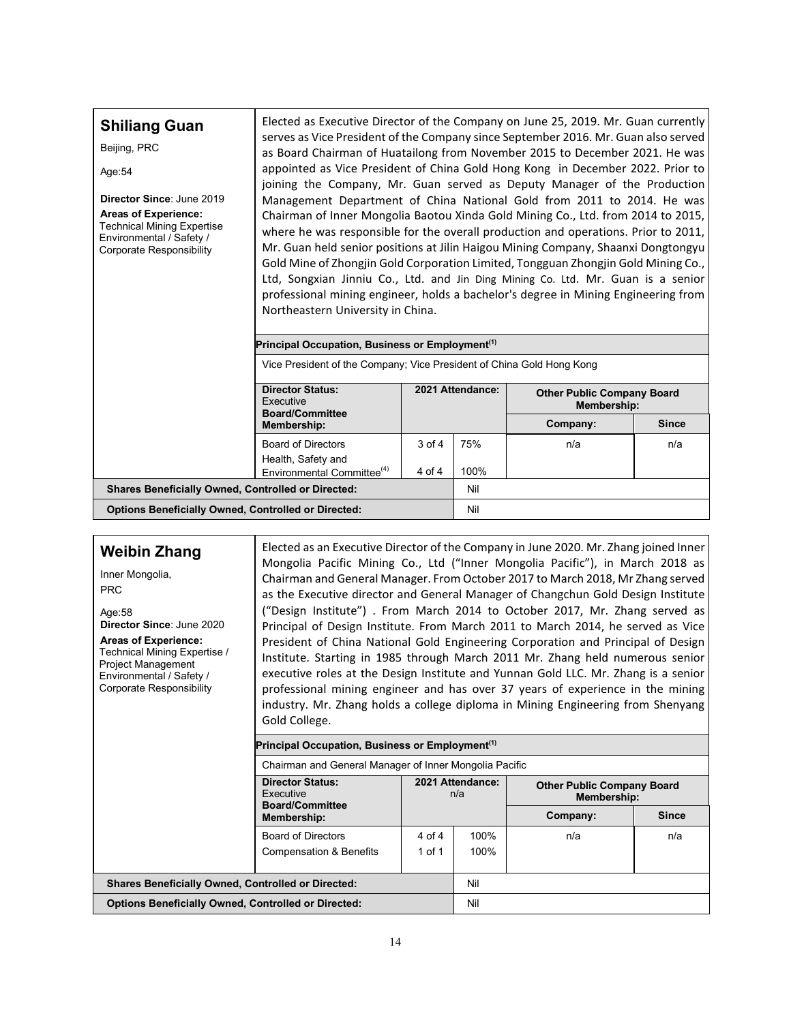| <b>Shiliang Guan</b><br>Beijing, PRC<br>Age: 54<br>Director Since: June 2019<br><b>Areas of Experience:</b><br><b>Technical Mining Expertise</b><br>Environmental / Safety /<br>Corporate Responsibility | Elected as Executive Director of the Company on June 25, 2019. Mr. Guan currently<br>serves as Vice President of the Company since September 2016. Mr. Guan also served<br>as Board Chairman of Huatailong from November 2015 to December 2021. He was<br>appointed as Vice President of China Gold Hong Kong in December 2022. Prior to<br>joining the Company, Mr. Guan served as Deputy Manager of the Production<br>Management Department of China National Gold from 2011 to 2014. He was<br>Chairman of Inner Mongolia Baotou Xinda Gold Mining Co., Ltd. from 2014 to 2015,<br>where he was responsible for the overall production and operations. Prior to 2011,<br>Mr. Guan held senior positions at Jilin Haigou Mining Company, Shaanxi Dongtongyu<br>Gold Mine of Zhongjin Gold Corporation Limited, Tongguan Zhongjin Gold Mining Co.,<br>Ltd, Songxian Jinniu Co., Ltd. and Jin Ding Mining Co. Ltd. Mr. Guan is a senior<br>professional mining engineer, holds a bachelor's degree in Mining Engineering from<br>Northeastern University in China.<br>Principal Occupation, Business or Employment <sup>(1)</sup> |                      |                  |                                                         |     |  |
|----------------------------------------------------------------------------------------------------------------------------------------------------------------------------------------------------------|-----------------------------------------------------------------------------------------------------------------------------------------------------------------------------------------------------------------------------------------------------------------------------------------------------------------------------------------------------------------------------------------------------------------------------------------------------------------------------------------------------------------------------------------------------------------------------------------------------------------------------------------------------------------------------------------------------------------------------------------------------------------------------------------------------------------------------------------------------------------------------------------------------------------------------------------------------------------------------------------------------------------------------------------------------------------------------------------------------------------------------------|----------------------|------------------|---------------------------------------------------------|-----|--|
|                                                                                                                                                                                                          | Vice President of the Company; Vice President of China Gold Hong Kong                                                                                                                                                                                                                                                                                                                                                                                                                                                                                                                                                                                                                                                                                                                                                                                                                                                                                                                                                                                                                                                             |                      |                  |                                                         |     |  |
|                                                                                                                                                                                                          | <b>Director Status:</b><br>Executive<br><b>Board/Committee</b>                                                                                                                                                                                                                                                                                                                                                                                                                                                                                                                                                                                                                                                                                                                                                                                                                                                                                                                                                                                                                                                                    |                      | 2021 Attendance: | <b>Other Public Company Board</b><br><b>Membership:</b> |     |  |
|                                                                                                                                                                                                          | <b>Since</b><br>Company:<br>Membership:                                                                                                                                                                                                                                                                                                                                                                                                                                                                                                                                                                                                                                                                                                                                                                                                                                                                                                                                                                                                                                                                                           |                      |                  |                                                         |     |  |
|                                                                                                                                                                                                          | <b>Board of Directors</b><br>Health, Safety and<br>Environmental Committee <sup>(4)</sup>                                                                                                                                                                                                                                                                                                                                                                                                                                                                                                                                                                                                                                                                                                                                                                                                                                                                                                                                                                                                                                         | $3$ of $4$<br>4 of 4 | 75%<br>100%      | n/a                                                     | n/a |  |
| <b>Shares Beneficially Owned, Controlled or Directed:</b>                                                                                                                                                |                                                                                                                                                                                                                                                                                                                                                                                                                                                                                                                                                                                                                                                                                                                                                                                                                                                                                                                                                                                                                                                                                                                                   |                      | Nil              |                                                         |     |  |
| <b>Options Beneficially Owned, Controlled or Directed:</b>                                                                                                                                               |                                                                                                                                                                                                                                                                                                                                                                                                                                                                                                                                                                                                                                                                                                                                                                                                                                                                                                                                                                                                                                                                                                                                   |                      | Nil              |                                                         |     |  |

**Weibin Zhang**

Inner Mongolia, PRC

Age:58 **Director Since**: June 2020

**Areas of Experience:** Technical Mining Expertise / Project Management Environmental / Safety / Corporate Responsibility

Elected as an Executive Director of the Company in June 2020. Mr. Zhang joined Inner Mongolia Pacific Mining Co., Ltd ("Inner Mongolia Pacific"), in March 2018 as Chairman and General Manager. From October 2017 to March 2018, Mr Zhang served as the Executive director and General Manager of Changchun Gold Design Institute ("Design Institute") . From March 2014 to October 2017, Mr. Zhang served as Principal of Design Institute. From March 2011 to March 2014, he served as Vice President of China National Gold Engineering Corporation and Principal of Design Institute. Starting in 1985 through March 2011 Mr. Zhang held numerous senior executive roles at the Design Institute and Yunnan Gold LLC. Mr. Zhang is a senior professional mining engineer and has over 37 years of experience in the mining industry. Mr. Zhang holds a college diploma in Mining Engineering from Shenyang Gold College.

**Principal Occupation, Business or Employment(1)**

Chairman and General Manager of Inner Mongolia Pacific

|                                                            | <b>Director Status:</b><br>Executive<br><b>Board/Committee</b>  | 2021 Attendance:<br>n/a |              | <b>Other Public Company Board</b><br>Membership: |              |
|------------------------------------------------------------|-----------------------------------------------------------------|-------------------------|--------------|--------------------------------------------------|--------------|
|                                                            | Membership:                                                     |                         |              | Company:                                         | <b>Since</b> |
|                                                            | <b>Board of Directors</b><br><b>Compensation &amp; Benefits</b> | 4 of 4<br>1 of 1        | 100%<br>100% | n/a                                              | n/a          |
|                                                            |                                                                 |                         |              |                                                  |              |
| <b>Shares Beneficially Owned, Controlled or Directed:</b>  |                                                                 |                         | Nil          |                                                  |              |
| <b>Options Beneficially Owned, Controlled or Directed:</b> |                                                                 |                         | Nil          |                                                  |              |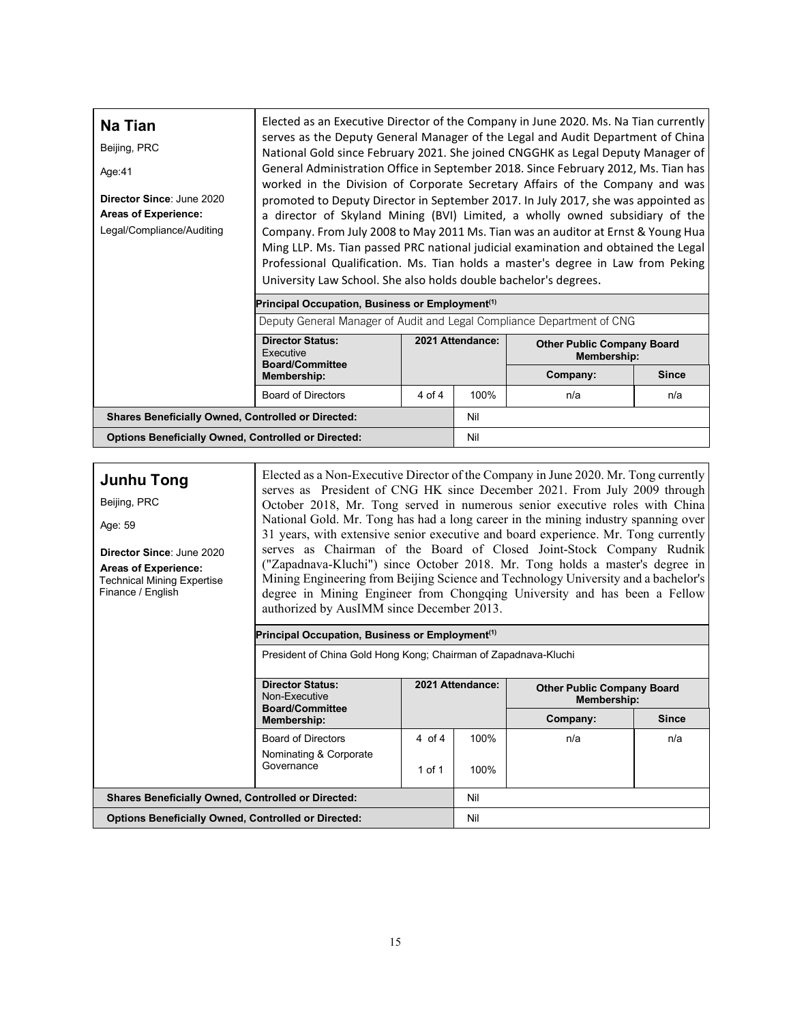| Na Tian<br>Beijing, PRC<br>Age:41<br>Director Since: June 2020<br><b>Areas of Experience:</b><br>Legal/Compliance/Auditing | Elected as an Executive Director of the Company in June 2020. Ms. Na Tian currently<br>serves as the Deputy General Manager of the Legal and Audit Department of China<br>National Gold since February 2021. She joined CNGGHK as Legal Deputy Manager of<br>General Administration Office in September 2018. Since February 2012, Ms. Tian has<br>worked in the Division of Corporate Secretary Affairs of the Company and was<br>promoted to Deputy Director in September 2017. In July 2017, she was appointed as<br>a director of Skyland Mining (BVI) Limited, a wholly owned subsidiary of the<br>Company. From July 2008 to May 2011 Ms. Tian was an auditor at Ernst & Young Hua<br>Ming LLP. Ms. Tian passed PRC national judicial examination and obtained the Legal<br>Professional Qualification. Ms. Tian holds a master's degree in Law from Peking<br>University Law School. She also holds double bachelor's degrees. |                   |                  |                                                  |              |  |  |  |
|----------------------------------------------------------------------------------------------------------------------------|---------------------------------------------------------------------------------------------------------------------------------------------------------------------------------------------------------------------------------------------------------------------------------------------------------------------------------------------------------------------------------------------------------------------------------------------------------------------------------------------------------------------------------------------------------------------------------------------------------------------------------------------------------------------------------------------------------------------------------------------------------------------------------------------------------------------------------------------------------------------------------------------------------------------------------------|-------------------|------------------|--------------------------------------------------|--------------|--|--|--|
|                                                                                                                            | Principal Occupation, Business or Employment <sup>(1)</sup>                                                                                                                                                                                                                                                                                                                                                                                                                                                                                                                                                                                                                                                                                                                                                                                                                                                                           |                   |                  |                                                  |              |  |  |  |
|                                                                                                                            | Deputy General Manager of Audit and Legal Compliance Department of CNG                                                                                                                                                                                                                                                                                                                                                                                                                                                                                                                                                                                                                                                                                                                                                                                                                                                                |                   |                  |                                                  |              |  |  |  |
|                                                                                                                            | <b>Director Status:</b><br>Executive<br><b>Board/Committee</b>                                                                                                                                                                                                                                                                                                                                                                                                                                                                                                                                                                                                                                                                                                                                                                                                                                                                        |                   | 2021 Attendance: | <b>Other Public Company Board</b><br>Membership: |              |  |  |  |
|                                                                                                                            | Membership:                                                                                                                                                                                                                                                                                                                                                                                                                                                                                                                                                                                                                                                                                                                                                                                                                                                                                                                           |                   |                  | Company:                                         | <b>Since</b> |  |  |  |
|                                                                                                                            | <b>Board of Directors</b>                                                                                                                                                                                                                                                                                                                                                                                                                                                                                                                                                                                                                                                                                                                                                                                                                                                                                                             | $4 \text{ of } 4$ | 100%             | n/a                                              | n/a          |  |  |  |
| <b>Shares Beneficially Owned, Controlled or Directed:</b><br>Nil                                                           |                                                                                                                                                                                                                                                                                                                                                                                                                                                                                                                                                                                                                                                                                                                                                                                                                                                                                                                                       |                   |                  |                                                  |              |  |  |  |
|                                                                                                                            | <b>Options Beneficially Owned, Controlled or Directed:</b>                                                                                                                                                                                                                                                                                                                                                                                                                                                                                                                                                                                                                                                                                                                                                                                                                                                                            |                   |                  |                                                  |              |  |  |  |

| <b>Junhu Tong</b> |  |
|-------------------|--|
|-------------------|--|

Beijing, PRC

Age: 59

**Director Since**: June 2020 **Areas of Experience:** Technical Mining Expertise Finance / English

Elected as a Non-Executive Director of the Company in June 2020. Mr. Tong currently serves as President of CNG HK since December 2021. From July 2009 through October 2018, Mr. Tong served in numerous senior executive roles with China National Gold. Mr. Tong has had a long career in the mining industry spanning over 31 years, with extensive senior executive and board experience. Mr. Tong currently serves as Chairman of the Board of Closed Joint-Stock Company Rudnik ("Zapadnava-Kluchi") since October 2018. Mr. Tong holds a master's degree in Mining Engineering from Beijing Science and Technology University and a bachelor's degree in Mining Engineer from Chongqing University and has been a Fellow authorized by AusIMM since December 2013.

### **Principal Occupation, Business or Employment(1)**

President of China Gold Hong Kong; Chairman of Zapadnava-Kluchi

|                                                            | <b>Director Status:</b><br>Non-Executive<br><b>Board/Committee</b> |        | 2021 Attendance: | <b>Other Public Company Board</b><br>Membership: |              |  |  |
|------------------------------------------------------------|--------------------------------------------------------------------|--------|------------------|--------------------------------------------------|--------------|--|--|
|                                                            | Membership:                                                        |        |                  | Company:                                         | <b>Since</b> |  |  |
|                                                            | <b>Board of Directors</b>                                          | 4 of 4 | 100%             | n/a                                              | n/a          |  |  |
|                                                            | Nominating & Corporate<br>Governance                               | 1 of 1 | 100%             |                                                  |              |  |  |
| <b>Shares Beneficially Owned, Controlled or Directed:</b>  |                                                                    |        | Nil              |                                                  |              |  |  |
| <b>Options Beneficially Owned, Controlled or Directed:</b> |                                                                    |        | Nil              |                                                  |              |  |  |
|                                                            |                                                                    |        |                  |                                                  |              |  |  |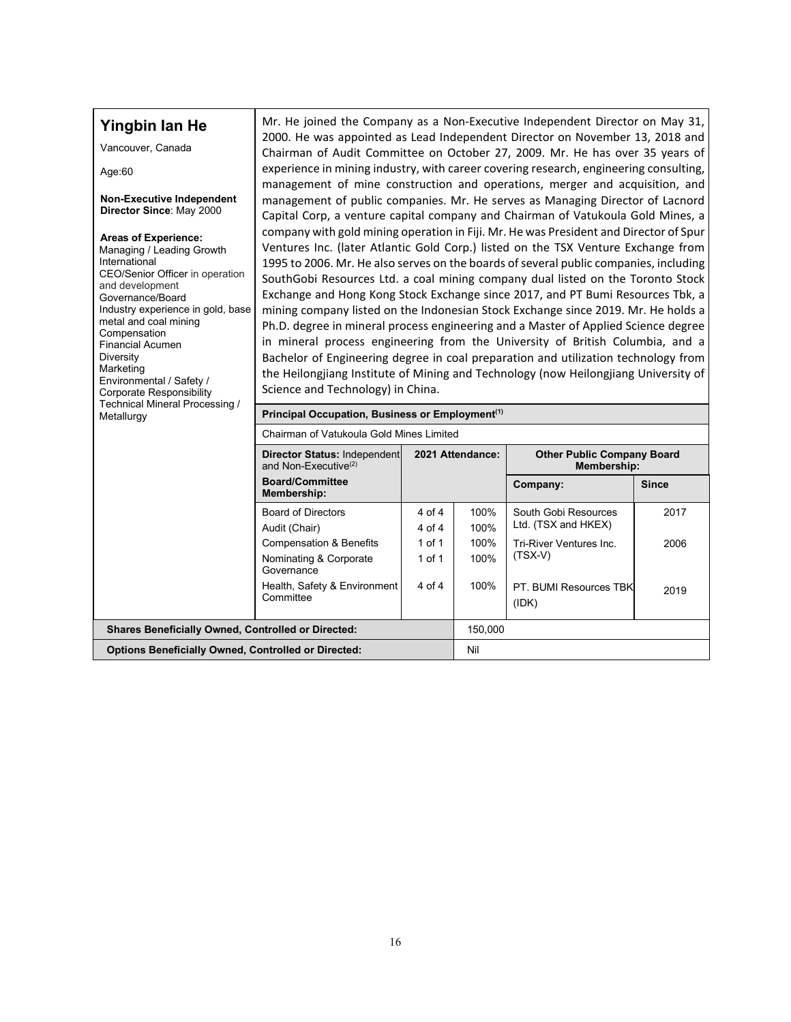| Yingbin lan He<br>Vancouver, Canada<br>Age: $60$<br><b>Non-Executive Independent</b><br>Director Since: May 2000<br><b>Areas of Experience:</b><br>Managing / Leading Growth<br>International<br>CEO/Senior Officer in operation<br>and development<br>Governance/Board<br>Industry experience in gold, base<br>metal and coal mining<br>Compensation<br><b>Financial Acumen</b><br>Diversity<br>Marketing<br>Environmental / Safety /<br><b>Corporate Responsibility</b><br>Technical Mineral Processing /<br>Metallurgy | Mr. He joined the Company as a Non-Executive Independent Director on May 31,                                                                                          | 2000. He was appointed as Lead Independent Director on November 13, 2018 and<br>Chairman of Audit Committee on October 27, 2009. Mr. He has over 35 years of<br>experience in mining industry, with career covering research, engineering consulting,<br>management of mine construction and operations, merger and acquisition, and<br>management of public companies. Mr. He serves as Managing Director of Lacnord<br>Capital Corp, a venture capital company and Chairman of Vatukoula Gold Mines, a<br>company with gold mining operation in Fiji. Mr. He was President and Director of Spur<br>Ventures Inc. (later Atlantic Gold Corp.) listed on the TSX Venture Exchange from<br>1995 to 2006. Mr. He also serves on the boards of several public companies, including<br>SouthGobi Resources Ltd. a coal mining company dual listed on the Toronto Stock<br>Exchange and Hong Kong Stock Exchange since 2017, and PT Bumi Resources Tbk, a<br>mining company listed on the Indonesian Stock Exchange since 2019. Mr. He holds a<br>Ph.D. degree in mineral process engineering and a Master of Applied Science degree<br>in mineral process engineering from the University of British Columbia, and a<br>Bachelor of Engineering degree in coal preparation and utilization technology from<br>the Heilongjiang Institute of Mining and Technology (now Heilongjiang University of<br>Science and Technology) in China.<br>Principal Occupation, Business or Employment <sup>(1)</sup> |                                      |                                                                                                                        |                      |  |  |  |  |
|---------------------------------------------------------------------------------------------------------------------------------------------------------------------------------------------------------------------------------------------------------------------------------------------------------------------------------------------------------------------------------------------------------------------------------------------------------------------------------------------------------------------------|-----------------------------------------------------------------------------------------------------------------------------------------------------------------------|---------------------------------------------------------------------------------------------------------------------------------------------------------------------------------------------------------------------------------------------------------------------------------------------------------------------------------------------------------------------------------------------------------------------------------------------------------------------------------------------------------------------------------------------------------------------------------------------------------------------------------------------------------------------------------------------------------------------------------------------------------------------------------------------------------------------------------------------------------------------------------------------------------------------------------------------------------------------------------------------------------------------------------------------------------------------------------------------------------------------------------------------------------------------------------------------------------------------------------------------------------------------------------------------------------------------------------------------------------------------------------------------------------------------------------------------------------------------------------------------------|--------------------------------------|------------------------------------------------------------------------------------------------------------------------|----------------------|--|--|--|--|
|                                                                                                                                                                                                                                                                                                                                                                                                                                                                                                                           | Chairman of Vatukoula Gold Mines Limited                                                                                                                              |                                                                                                                                                                                                                                                                                                                                                                                                                                                                                                                                                                                                                                                                                                                                                                                                                                                                                                                                                                                                                                                                                                                                                                                                                                                                                                                                                                                                                                                                                                   |                                      |                                                                                                                        |                      |  |  |  |  |
|                                                                                                                                                                                                                                                                                                                                                                                                                                                                                                                           | Director Status: Independent<br>and Non-Executive <sup>(2)</sup>                                                                                                      |                                                                                                                                                                                                                                                                                                                                                                                                                                                                                                                                                                                                                                                                                                                                                                                                                                                                                                                                                                                                                                                                                                                                                                                                                                                                                                                                                                                                                                                                                                   | 2021 Attendance:                     | <b>Other Public Company Board</b><br><b>Membership:</b>                                                                |                      |  |  |  |  |
|                                                                                                                                                                                                                                                                                                                                                                                                                                                                                                                           | <b>Board/Committee</b><br>Membership:                                                                                                                                 |                                                                                                                                                                                                                                                                                                                                                                                                                                                                                                                                                                                                                                                                                                                                                                                                                                                                                                                                                                                                                                                                                                                                                                                                                                                                                                                                                                                                                                                                                                   |                                      | Company:                                                                                                               | <b>Since</b>         |  |  |  |  |
|                                                                                                                                                                                                                                                                                                                                                                                                                                                                                                                           | <b>Board of Directors</b><br>Audit (Chair)<br><b>Compensation &amp; Benefits</b><br>Nominating & Corporate<br>Governance<br>Health, Safety & Environment<br>Committee | 4 of 4<br>4 of 4<br>1 of 1<br>$1$ of $1$<br>4 of 4                                                                                                                                                                                                                                                                                                                                                                                                                                                                                                                                                                                                                                                                                                                                                                                                                                                                                                                                                                                                                                                                                                                                                                                                                                                                                                                                                                                                                                                | 100%<br>100%<br>100%<br>100%<br>100% | South Gobi Resources<br>Ltd. (TSX and HKEX)<br>Tri-River Ventures Inc.<br>$(TSX-V)$<br>PT. BUMI Resources TBK<br>(IDK) | 2017<br>2006<br>2019 |  |  |  |  |
| <b>Shares Beneficially Owned, Controlled or Directed:</b>                                                                                                                                                                                                                                                                                                                                                                                                                                                                 |                                                                                                                                                                       |                                                                                                                                                                                                                                                                                                                                                                                                                                                                                                                                                                                                                                                                                                                                                                                                                                                                                                                                                                                                                                                                                                                                                                                                                                                                                                                                                                                                                                                                                                   | 150,000                              |                                                                                                                        |                      |  |  |  |  |
| <b>Options Beneficially Owned, Controlled or Directed:</b>                                                                                                                                                                                                                                                                                                                                                                                                                                                                |                                                                                                                                                                       |                                                                                                                                                                                                                                                                                                                                                                                                                                                                                                                                                                                                                                                                                                                                                                                                                                                                                                                                                                                                                                                                                                                                                                                                                                                                                                                                                                                                                                                                                                   | Nil                                  |                                                                                                                        |                      |  |  |  |  |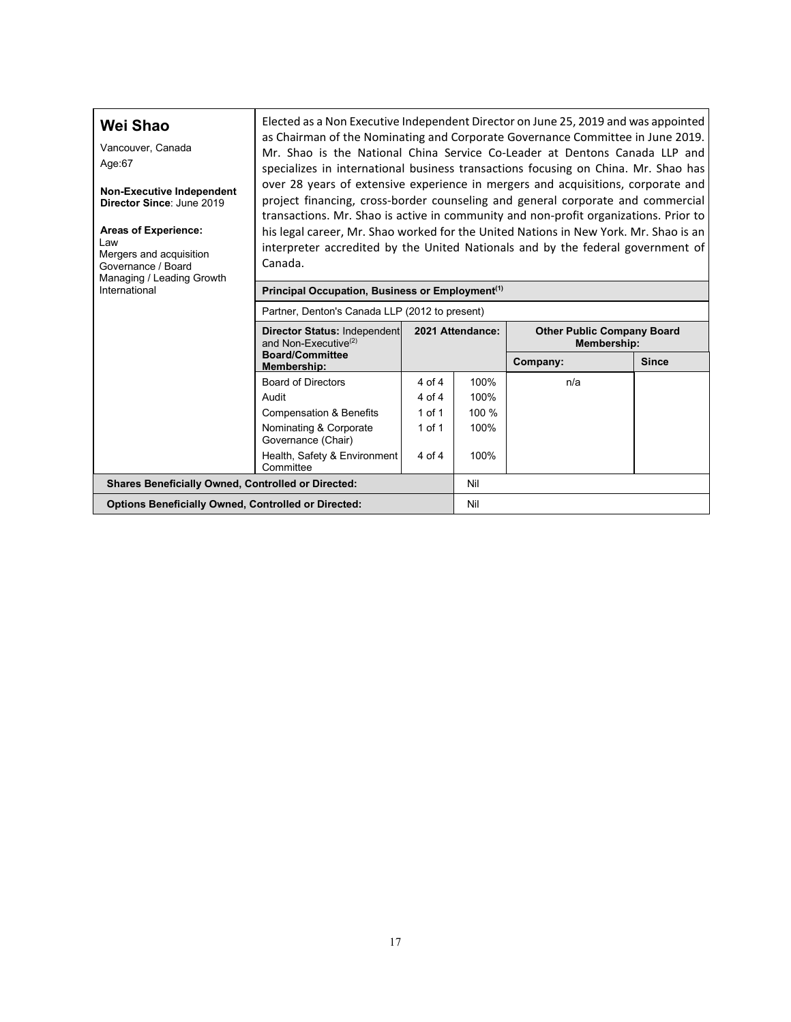| Wei Shao<br>Vancouver, Canada<br>Age:67<br><b>Non-Executive Independent</b><br>Director Since: June 2019<br><b>Areas of Experience:</b><br>Law<br>Mergers and acquisition<br>Governance / Board<br>Managing / Leading Growth<br>International | Elected as a Non Executive Independent Director on June 25, 2019 and was appointed<br>as Chairman of the Nominating and Corporate Governance Committee in June 2019.<br>Mr. Shao is the National China Service Co-Leader at Dentons Canada LLP and<br>specializes in international business transactions focusing on China. Mr. Shao has<br>over 28 years of extensive experience in mergers and acquisitions, corporate and<br>project financing, cross-border counseling and general corporate and commercial<br>transactions. Mr. Shao is active in community and non-profit organizations. Prior to<br>his legal career, Mr. Shao worked for the United Nations in New York. Mr. Shao is an<br>interpreter accredited by the United Nationals and by the federal government of<br>Canada.<br>Principal Occupation, Business or Employment <sup>(1)</sup><br>Partner, Denton's Canada LLP (2012 to present) |            |                  |                                                         |              |  |  |  |  |  |
|-----------------------------------------------------------------------------------------------------------------------------------------------------------------------------------------------------------------------------------------------|----------------------------------------------------------------------------------------------------------------------------------------------------------------------------------------------------------------------------------------------------------------------------------------------------------------------------------------------------------------------------------------------------------------------------------------------------------------------------------------------------------------------------------------------------------------------------------------------------------------------------------------------------------------------------------------------------------------------------------------------------------------------------------------------------------------------------------------------------------------------------------------------------------------|------------|------------------|---------------------------------------------------------|--------------|--|--|--|--|--|
|                                                                                                                                                                                                                                               | Director Status: Independent<br>and Non-Executive <sup>(2)</sup>                                                                                                                                                                                                                                                                                                                                                                                                                                                                                                                                                                                                                                                                                                                                                                                                                                               |            | 2021 Attendance: | <b>Other Public Company Board</b><br><b>Membership:</b> |              |  |  |  |  |  |
|                                                                                                                                                                                                                                               | <b>Board/Committee</b><br><b>Membership:</b>                                                                                                                                                                                                                                                                                                                                                                                                                                                                                                                                                                                                                                                                                                                                                                                                                                                                   |            |                  | Company:                                                | <b>Since</b> |  |  |  |  |  |
|                                                                                                                                                                                                                                               | <b>Board of Directors</b>                                                                                                                                                                                                                                                                                                                                                                                                                                                                                                                                                                                                                                                                                                                                                                                                                                                                                      | 4 of 4     | 100%             | n/a                                                     |              |  |  |  |  |  |
|                                                                                                                                                                                                                                               | Audit                                                                                                                                                                                                                                                                                                                                                                                                                                                                                                                                                                                                                                                                                                                                                                                                                                                                                                          | 4 of 4     | 100%             |                                                         |              |  |  |  |  |  |
|                                                                                                                                                                                                                                               | <b>Compensation &amp; Benefits</b>                                                                                                                                                                                                                                                                                                                                                                                                                                                                                                                                                                                                                                                                                                                                                                                                                                                                             | $1$ of $1$ | 100 %            |                                                         |              |  |  |  |  |  |
|                                                                                                                                                                                                                                               | 1 of 1<br>100%<br>Nominating & Corporate<br>Governance (Chair)                                                                                                                                                                                                                                                                                                                                                                                                                                                                                                                                                                                                                                                                                                                                                                                                                                                 |            |                  |                                                         |              |  |  |  |  |  |
|                                                                                                                                                                                                                                               | Health, Safety & Environment<br>100%<br>4 of 4<br>Committee                                                                                                                                                                                                                                                                                                                                                                                                                                                                                                                                                                                                                                                                                                                                                                                                                                                    |            |                  |                                                         |              |  |  |  |  |  |
| <b>Shares Beneficially Owned, Controlled or Directed:</b>                                                                                                                                                                                     |                                                                                                                                                                                                                                                                                                                                                                                                                                                                                                                                                                                                                                                                                                                                                                                                                                                                                                                |            | Nil              |                                                         |              |  |  |  |  |  |
| <b>Options Beneficially Owned, Controlled or Directed:</b>                                                                                                                                                                                    |                                                                                                                                                                                                                                                                                                                                                                                                                                                                                                                                                                                                                                                                                                                                                                                                                                                                                                                |            | Nil              |                                                         |              |  |  |  |  |  |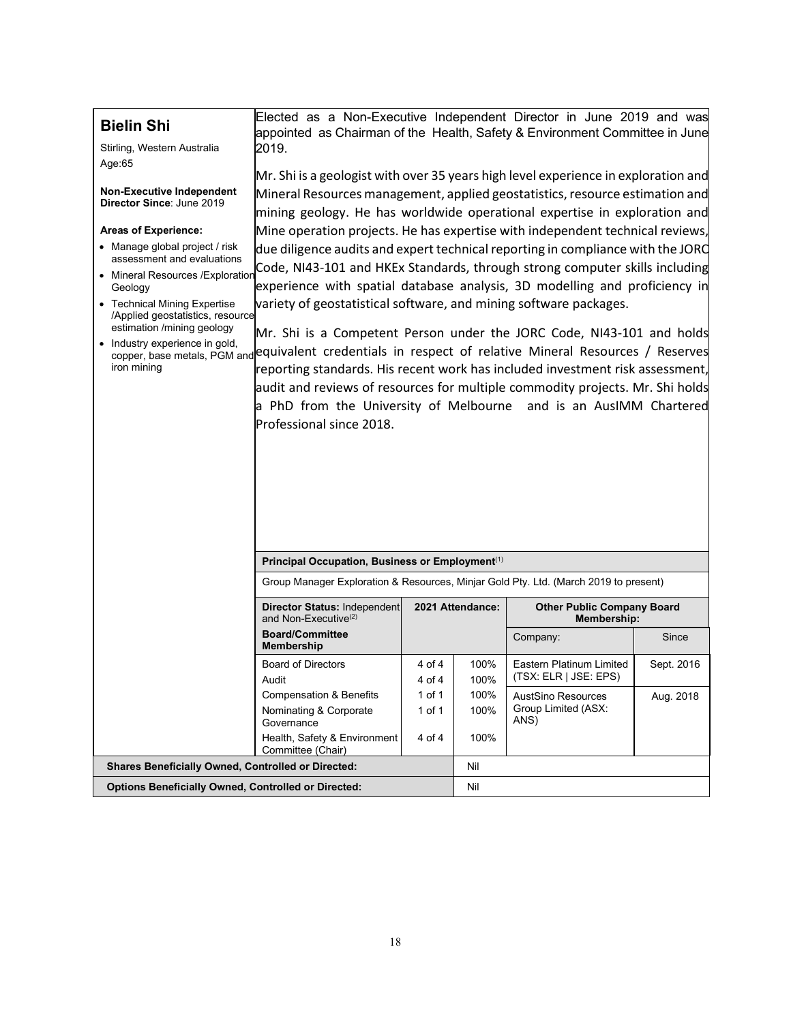| <b>Bielin Shi</b><br>Stirling, Western Australia<br>Age:65<br><b>Non-Executive Independent</b><br>Director Since: June 2019<br><b>Areas of Experience:</b><br>• Manage global project / risk<br>assessment and evaluations<br>• Mineral Resources / Exploration<br>Geology<br>• Technical Mining Expertise<br>/Applied geostatistics, resource<br>estimation /mining geology<br>• Industry experience in gold,<br>iron mining | 2019.<br>Mr. Shi is a geologist with over 35 years high level experience in exploration and<br>Mineral Resources management, applied geostatistics, resource estimation and<br>mining geology. He has worldwide operational expertise in exploration and<br>Mine operation projects. He has expertise with independent technical reviews,<br>due diligence audits and expert technical reporting in compliance with the JORC<br>Code, NI43-101 and HKEx Standards, through strong computer skills including<br>experience with spatial database analysis, 3D modelling and proficiency in<br>variety of geostatistical software, and mining software packages.<br>Mr. Shi is a Competent Person under the JORC Code, NI43-101 and holds<br>copper, base metals, PGM and equivalent credentials in respect of relative Mineral Resources / Reserves<br>reporting standards. His recent work has included investment risk assessment,<br>audit and reviews of resources for multiple commodity projects. Mr. Shi holds<br>a PhD from the University of Melbourne and is an AusIMM Chartered<br>Professional since 2018. |        |                  |                                                         |            |  |
|-------------------------------------------------------------------------------------------------------------------------------------------------------------------------------------------------------------------------------------------------------------------------------------------------------------------------------------------------------------------------------------------------------------------------------|-----------------------------------------------------------------------------------------------------------------------------------------------------------------------------------------------------------------------------------------------------------------------------------------------------------------------------------------------------------------------------------------------------------------------------------------------------------------------------------------------------------------------------------------------------------------------------------------------------------------------------------------------------------------------------------------------------------------------------------------------------------------------------------------------------------------------------------------------------------------------------------------------------------------------------------------------------------------------------------------------------------------------------------------------------------------------------------------------------------------------|--------|------------------|---------------------------------------------------------|------------|--|
|                                                                                                                                                                                                                                                                                                                                                                                                                               |                                                                                                                                                                                                                                                                                                                                                                                                                                                                                                                                                                                                                                                                                                                                                                                                                                                                                                                                                                                                                                                                                                                       |        |                  |                                                         |            |  |
|                                                                                                                                                                                                                                                                                                                                                                                                                               | Principal Occupation, Business or Employment <sup>(1)</sup>                                                                                                                                                                                                                                                                                                                                                                                                                                                                                                                                                                                                                                                                                                                                                                                                                                                                                                                                                                                                                                                           |        |                  |                                                         |            |  |
|                                                                                                                                                                                                                                                                                                                                                                                                                               | Group Manager Exploration & Resources, Minjar Gold Pty. Ltd. (March 2019 to present)                                                                                                                                                                                                                                                                                                                                                                                                                                                                                                                                                                                                                                                                                                                                                                                                                                                                                                                                                                                                                                  |        |                  |                                                         |            |  |
|                                                                                                                                                                                                                                                                                                                                                                                                                               | <b>Director Status: Independent</b><br>and Non-Executive <sup>(2)</sup>                                                                                                                                                                                                                                                                                                                                                                                                                                                                                                                                                                                                                                                                                                                                                                                                                                                                                                                                                                                                                                               |        | 2021 Attendance: | <b>Other Public Company Board</b><br><b>Membership:</b> |            |  |
|                                                                                                                                                                                                                                                                                                                                                                                                                               | <b>Board/Committee</b><br>Membership                                                                                                                                                                                                                                                                                                                                                                                                                                                                                                                                                                                                                                                                                                                                                                                                                                                                                                                                                                                                                                                                                  |        |                  | Company:                                                | Since      |  |
|                                                                                                                                                                                                                                                                                                                                                                                                                               | <b>Board of Directors</b>                                                                                                                                                                                                                                                                                                                                                                                                                                                                                                                                                                                                                                                                                                                                                                                                                                                                                                                                                                                                                                                                                             | 4 of 4 | 100%             | <b>Eastern Platinum Limited</b>                         | Sept. 2016 |  |
|                                                                                                                                                                                                                                                                                                                                                                                                                               | Audit                                                                                                                                                                                                                                                                                                                                                                                                                                                                                                                                                                                                                                                                                                                                                                                                                                                                                                                                                                                                                                                                                                                 | 4 of 4 | 100%             | (TSX: ELR   JSE: EPS)                                   |            |  |
|                                                                                                                                                                                                                                                                                                                                                                                                                               | <b>Compensation &amp; Benefits</b>                                                                                                                                                                                                                                                                                                                                                                                                                                                                                                                                                                                                                                                                                                                                                                                                                                                                                                                                                                                                                                                                                    | 1 of 1 | 100%             | AustSino Resources                                      | Aug. 2018  |  |
|                                                                                                                                                                                                                                                                                                                                                                                                                               | Nominating & Corporate<br>Governance                                                                                                                                                                                                                                                                                                                                                                                                                                                                                                                                                                                                                                                                                                                                                                                                                                                                                                                                                                                                                                                                                  | 1 of 1 | 100%             | Group Limited (ASX:<br>ANS)                             |            |  |
|                                                                                                                                                                                                                                                                                                                                                                                                                               | Health, Safety & Environment<br>Committee (Chair)                                                                                                                                                                                                                                                                                                                                                                                                                                                                                                                                                                                                                                                                                                                                                                                                                                                                                                                                                                                                                                                                     | 4 of 4 | 100%             |                                                         |            |  |
| <b>Shares Beneficially Owned, Controlled or Directed:</b>                                                                                                                                                                                                                                                                                                                                                                     |                                                                                                                                                                                                                                                                                                                                                                                                                                                                                                                                                                                                                                                                                                                                                                                                                                                                                                                                                                                                                                                                                                                       |        | Nil              |                                                         |            |  |
| <b>Options Beneficially Owned, Controlled or Directed:</b>                                                                                                                                                                                                                                                                                                                                                                    |                                                                                                                                                                                                                                                                                                                                                                                                                                                                                                                                                                                                                                                                                                                                                                                                                                                                                                                                                                                                                                                                                                                       |        | Nil              |                                                         |            |  |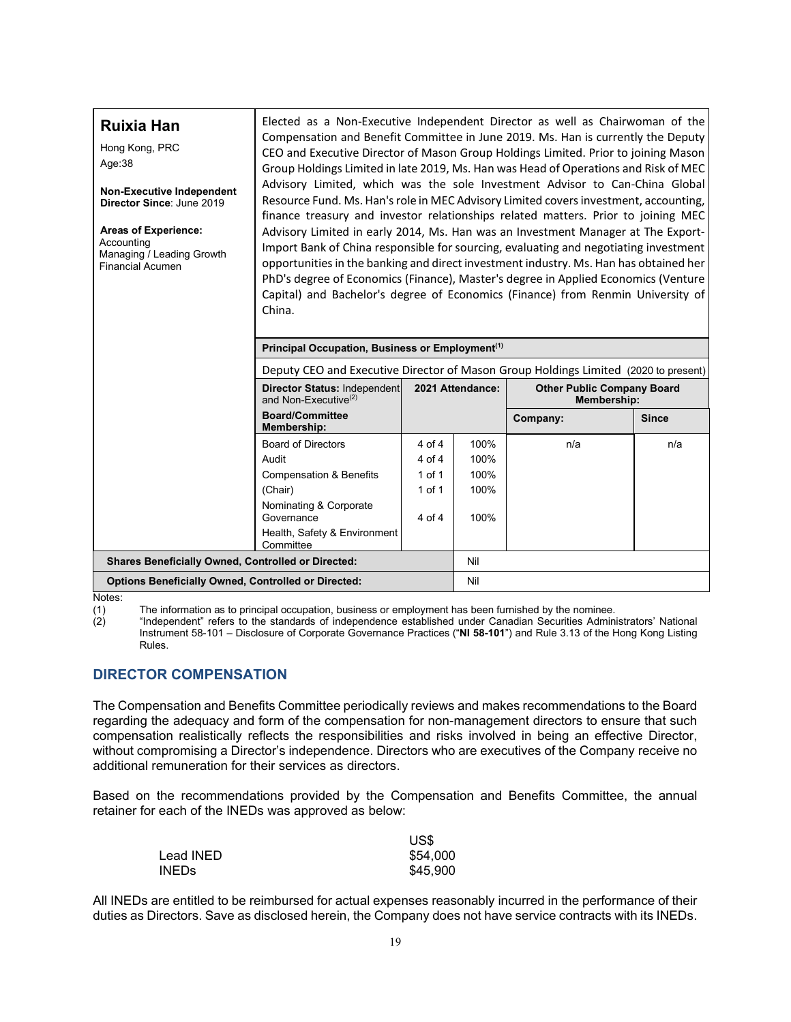| <b>Ruixia Han</b><br>Hong Kong, PRC<br>Age:38<br><b>Non-Executive Independent</b><br>Director Since: June 2019<br><b>Areas of Experience:</b><br>Accounting<br>Managing / Leading Growth<br><b>Financial Acumen</b> | Elected as a Non-Executive Independent Director as well as Chairwoman of the<br>Compensation and Benefit Committee in June 2019. Ms. Han is currently the Deputy<br>CEO and Executive Director of Mason Group Holdings Limited. Prior to joining Mason<br>Group Holdings Limited in late 2019, Ms. Han was Head of Operations and Risk of MEC<br>Advisory Limited, which was the sole Investment Advisor to Can-China Global<br>Resource Fund. Ms. Han's role in MEC Advisory Limited covers investment, accounting,<br>finance treasury and investor relationships related matters. Prior to joining MEC<br>Advisory Limited in early 2014, Ms. Han was an Investment Manager at The Export-<br>Import Bank of China responsible for sourcing, evaluating and negotiating investment<br>opportunities in the banking and direct investment industry. Ms. Han has obtained her<br>PhD's degree of Economics (Finance), Master's degree in Applied Economics (Venture<br>Capital) and Bachelor's degree of Economics (Finance) from Renmin University of<br>China.<br>Principal Occupation, Business or Employment <sup>(1)</sup> |                           |                  |                                   |              |  |  |  |  |  |  |
|---------------------------------------------------------------------------------------------------------------------------------------------------------------------------------------------------------------------|----------------------------------------------------------------------------------------------------------------------------------------------------------------------------------------------------------------------------------------------------------------------------------------------------------------------------------------------------------------------------------------------------------------------------------------------------------------------------------------------------------------------------------------------------------------------------------------------------------------------------------------------------------------------------------------------------------------------------------------------------------------------------------------------------------------------------------------------------------------------------------------------------------------------------------------------------------------------------------------------------------------------------------------------------------------------------------------------------------------------------------|---------------------------|------------------|-----------------------------------|--------------|--|--|--|--|--|--|
|                                                                                                                                                                                                                     | Deputy CEO and Executive Director of Mason Group Holdings Limited (2020 to present)<br><b>Director Status: Independent</b>                                                                                                                                                                                                                                                                                                                                                                                                                                                                                                                                                                                                                                                                                                                                                                                                                                                                                                                                                                                                       |                           | 2021 Attendance: | <b>Other Public Company Board</b> |              |  |  |  |  |  |  |
|                                                                                                                                                                                                                     | and Non-Executive $(2)$                                                                                                                                                                                                                                                                                                                                                                                                                                                                                                                                                                                                                                                                                                                                                                                                                                                                                                                                                                                                                                                                                                          |                           |                  | Membership:                       |              |  |  |  |  |  |  |
|                                                                                                                                                                                                                     | <b>Board/Committee</b><br><b>Membership:</b>                                                                                                                                                                                                                                                                                                                                                                                                                                                                                                                                                                                                                                                                                                                                                                                                                                                                                                                                                                                                                                                                                     |                           |                  | Company:                          | <b>Since</b> |  |  |  |  |  |  |
|                                                                                                                                                                                                                     | <b>Board of Directors</b>                                                                                                                                                                                                                                                                                                                                                                                                                                                                                                                                                                                                                                                                                                                                                                                                                                                                                                                                                                                                                                                                                                        | 4 of 4                    | 100%             | n/a                               | n/a          |  |  |  |  |  |  |
|                                                                                                                                                                                                                     | Audit                                                                                                                                                                                                                                                                                                                                                                                                                                                                                                                                                                                                                                                                                                                                                                                                                                                                                                                                                                                                                                                                                                                            | 4 of 4                    | 100%             |                                   |              |  |  |  |  |  |  |
|                                                                                                                                                                                                                     | <b>Compensation &amp; Benefits</b>                                                                                                                                                                                                                                                                                                                                                                                                                                                                                                                                                                                                                                                                                                                                                                                                                                                                                                                                                                                                                                                                                               | $1$ of $1$                | 100%             |                                   |              |  |  |  |  |  |  |
|                                                                                                                                                                                                                     | (Chair)                                                                                                                                                                                                                                                                                                                                                                                                                                                                                                                                                                                                                                                                                                                                                                                                                                                                                                                                                                                                                                                                                                                          | $1$ of $1$                | 100%             |                                   |              |  |  |  |  |  |  |
|                                                                                                                                                                                                                     | Nominating & Corporate<br>Governance                                                                                                                                                                                                                                                                                                                                                                                                                                                                                                                                                                                                                                                                                                                                                                                                                                                                                                                                                                                                                                                                                             | 100%<br>$4 \text{ of } 4$ |                  |                                   |              |  |  |  |  |  |  |
|                                                                                                                                                                                                                     | Health, Safety & Environment<br>Committee                                                                                                                                                                                                                                                                                                                                                                                                                                                                                                                                                                                                                                                                                                                                                                                                                                                                                                                                                                                                                                                                                        |                           |                  |                                   |              |  |  |  |  |  |  |
| Shares Beneficially Owned, Controlled or Directed:                                                                                                                                                                  |                                                                                                                                                                                                                                                                                                                                                                                                                                                                                                                                                                                                                                                                                                                                                                                                                                                                                                                                                                                                                                                                                                                                  |                           | Nil              |                                   |              |  |  |  |  |  |  |
| <b>Options Beneficially Owned, Controlled or Directed:</b>                                                                                                                                                          |                                                                                                                                                                                                                                                                                                                                                                                                                                                                                                                                                                                                                                                                                                                                                                                                                                                                                                                                                                                                                                                                                                                                  |                           | Nil              |                                   |              |  |  |  |  |  |  |

Notes:<br>(1)<br>(2)

The information as to principal occupation, business or employment has been furnished by the nominee.

"Independent" refers to the standards of independence established under Canadian Securities Administrators' National Instrument 58-101 – Disclosure of Corporate Governance Practices ("**NI 58-101**") and Rule 3.13 of the Hong Kong Listing Rules.

## <span id="page-19-0"></span>**DIRECTOR COMPENSATION**

The Compensation and Benefits Committee periodically reviews and makes recommendations to the Board regarding the adequacy and form of the compensation for non-management directors to ensure that such compensation realistically reflects the responsibilities and risks involved in being an effective Director, without compromising a Director's independence. Directors who are executives of the Company receive no additional remuneration for their services as directors.

Based on the recommendations provided by the Compensation and Benefits Committee, the annual retainer for each of the INEDs was approved as below:

|           | US\$     |
|-----------|----------|
| Lead INED | \$54,000 |
| INEDs.    | \$45,900 |

All INEDs are entitled to be reimbursed for actual expenses reasonably incurred in the performance of their duties as Directors. Save as disclosed herein, the Company does not have service contracts with its INEDs.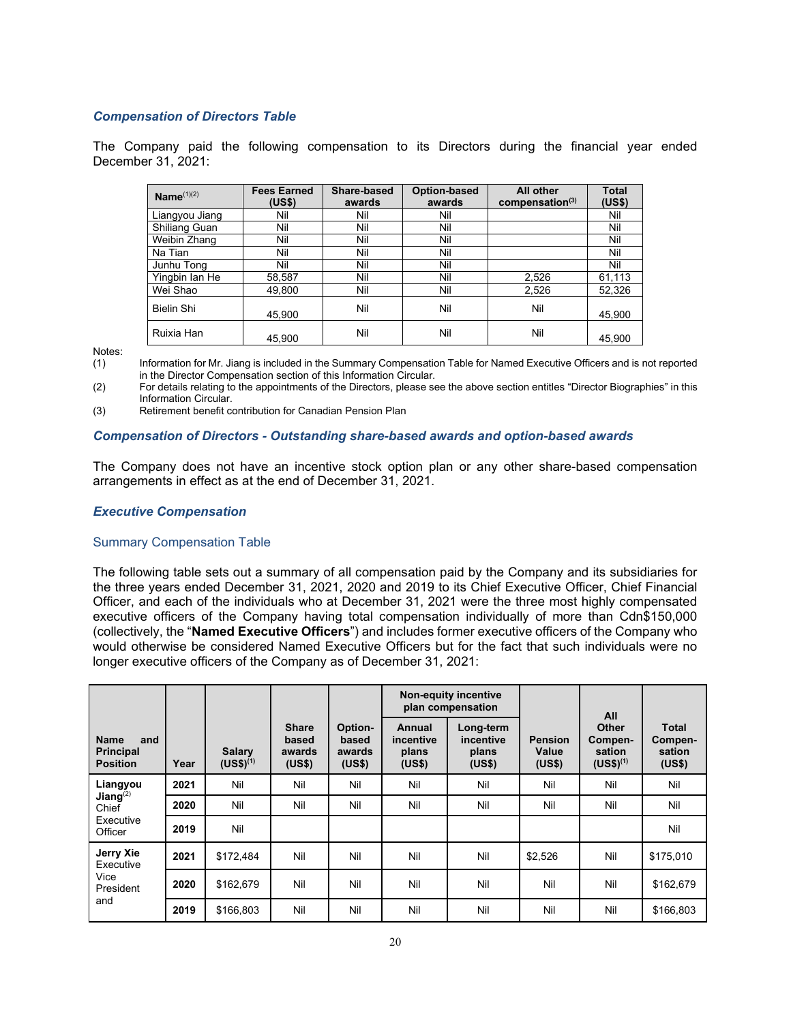### *Compensation of Directors Table*

The Company paid the following compensation to its Directors during the financial year ended December 31, 2021:

| Name $(1)(2)$     | <b>Fees Earned</b><br>(US\$) | Share-based<br>awards | Option-based<br>awards | All other<br>compensation <sup>(3)</sup> | <b>Total</b><br>(US\$) |
|-------------------|------------------------------|-----------------------|------------------------|------------------------------------------|------------------------|
| Liangyou Jiang    | Nil                          | Nil                   | Nil                    |                                          | Nil                    |
| Shiliang Guan     | Nil                          | Nil                   | Nil                    |                                          | Nil                    |
| Weibin Zhang      | Nil                          | Nil                   | Nil                    |                                          | Nil                    |
| Na Tian           | Nil                          | Nil                   | Nil                    |                                          | Nil                    |
| Junhu Tong        | Nil                          | Nil                   | Nil                    |                                          | Nil                    |
| Yingbin Ian He    | 58,587                       | Nil                   | Nil                    | 2,526                                    | 61,113                 |
| Wei Shao          | 49,800                       | Nil                   | Nil                    | 2,526                                    | 52,326                 |
| <b>Bielin Shi</b> | 45.900                       | Nil                   | Nil                    | Nil                                      | 45,900                 |
| Ruixia Han        | 45.900                       | Nil                   | Nil                    | Nil                                      | 45.900                 |

Notes:

(1) Information for Mr. Jiang is included in the Summary Compensation Table for Named Executive Officers and is not reported in the Director Compensation section of this Information Circular.

(2) For details relating to the appointments of the Directors, please see the above section entitles "Director Biographies" in this Information Circular.

(3) Retirement benefit contribution for Canadian Pension Plan

#### *Compensation of Directors - Outstanding share-based awards and option-based awards*

The Company does not have an incentive stock option plan or any other share-based compensation arrangements in effect as at the end of December 31, 2021.

#### *Executive Compensation*

#### Summary Compensation Table

The following table sets out a summary of all compensation paid by the Company and its subsidiaries for the three years ended December 31, 2021, 2020 and 2019 to its Chief Executive Officer, Chief Financial Officer, and each of the individuals who at December 31, 2021 were the three most highly compensated executive officers of the Company having total compensation individually of more than Cdn\$150,000 (collectively, the "**Named Executive Officers**") and includes former executive officers of the Company who would otherwise be considered Named Executive Officers but for the fact that such individuals were no longer executive officers of the Company as of December 31, 2021:

|                                                           |      |                                |                                           |                                      |                                               | <b>Non-equity incentive</b><br>plan compensation |                                   | All                                         |                                             |
|-----------------------------------------------------------|------|--------------------------------|-------------------------------------------|--------------------------------------|-----------------------------------------------|--------------------------------------------------|-----------------------------------|---------------------------------------------|---------------------------------------------|
| <b>Name</b><br>and<br><b>Principal</b><br><b>Position</b> | Year | <b>Salary</b><br>$(US$)^{(1)}$ | <b>Share</b><br>based<br>awards<br>(US\$) | Option-<br>based<br>awards<br>(US\$) | <b>Annual</b><br>incentive<br>plans<br>(US\$) | Long-term<br>incentive<br>plans<br>(US\$)        | <b>Pension</b><br>Value<br>(US\$) | Other<br>Compen-<br>sation<br>$(US$)^{(1)}$ | <b>Total</b><br>Compen-<br>sation<br>(US\$) |
| Liangyou                                                  | 2021 | Nil                            | Nil                                       | Nil                                  | Nil                                           | Nil                                              | Nil                               | Nil                                         | Nil                                         |
| Jiang $^{(2)}$<br>Chief                                   | 2020 | Nil                            | Nil                                       | Nil                                  | Nil                                           | Nil                                              | Nil                               | Nil                                         | Nil                                         |
| Executive<br>Officer                                      | 2019 | Nil                            |                                           |                                      |                                               |                                                  |                                   |                                             | Nil                                         |
| Jerry Xie<br>Executive                                    | 2021 | \$172,484                      | Nil                                       | Nil                                  | Nil                                           | Nil                                              | \$2,526                           | Nil                                         | \$175.010                                   |
| Vice<br>President                                         | 2020 | \$162,679                      | Nil                                       | Nil                                  | Nil                                           | Nil                                              | Nil                               | Nil                                         | \$162,679                                   |
| and                                                       | 2019 | \$166,803                      | Nil                                       | Nil                                  | Nil                                           | Nil                                              | Nil                               | Nil                                         | \$166,803                                   |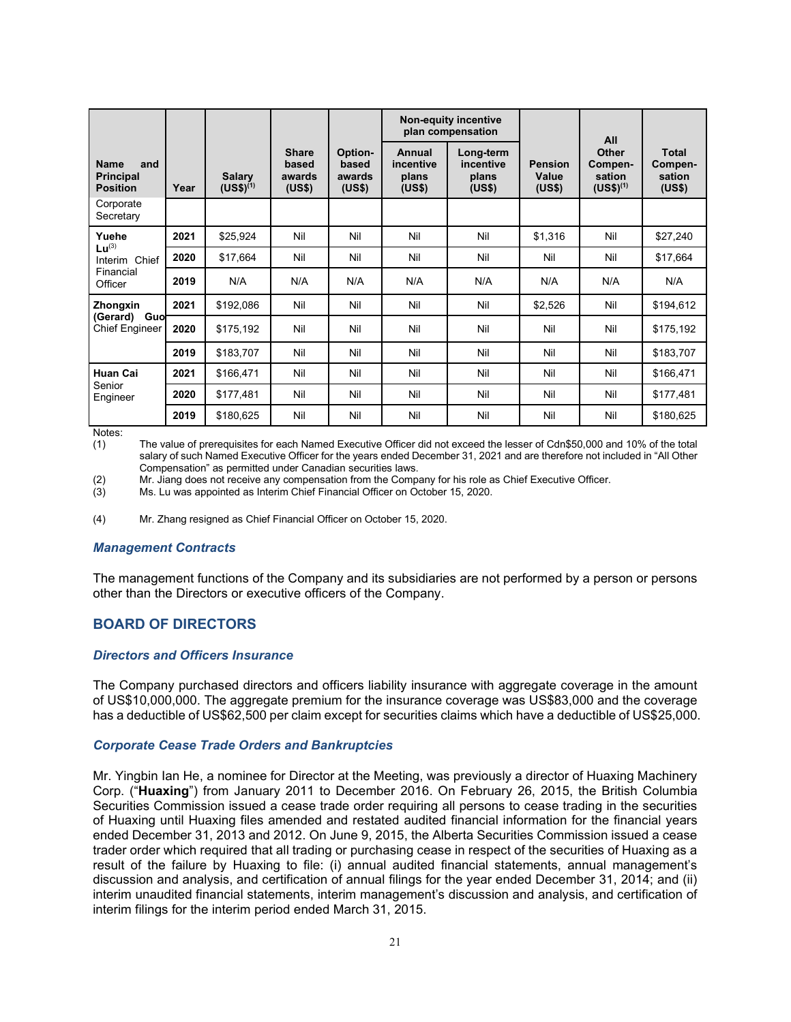|                                                           |      |                                |                                           |                                      |                                        | <b>Non-equity incentive</b><br>plan compensation |                                   | All                                         |                                             |
|-----------------------------------------------------------|------|--------------------------------|-------------------------------------------|--------------------------------------|----------------------------------------|--------------------------------------------------|-----------------------------------|---------------------------------------------|---------------------------------------------|
| <b>Name</b><br>and<br><b>Principal</b><br><b>Position</b> | Year | <b>Salary</b><br>$(US$)^{(1)}$ | <b>Share</b><br>based<br>awards<br>(US\$) | Option-<br>based<br>awards<br>(US\$) | Annual<br>incentive<br>plans<br>(US\$) | Long-term<br>incentive<br>plans<br>(US\$)        | <b>Pension</b><br>Value<br>(US\$) | Other<br>Compen-<br>sation<br>$(US$)^{(1)}$ | <b>Total</b><br>Compen-<br>sation<br>(US\$) |
| Corporate<br>Secretary                                    |      |                                |                                           |                                      |                                        |                                                  |                                   |                                             |                                             |
| Yuehe<br>$Lu^{(3)}$                                       | 2021 | \$25,924                       | Nil                                       | Nil                                  | Nil                                    | Nil                                              | \$1,316                           | Nil                                         | \$27,240                                    |
| Interim Chief                                             | 2020 | \$17,664                       | Nil                                       | Nil                                  | Nil                                    | Nil                                              | Nil                               | Nil                                         | \$17,664                                    |
| Financial<br>Officer                                      | 2019 | N/A                            | N/A                                       | N/A                                  | N/A                                    | N/A                                              | N/A                               | N/A                                         | N/A                                         |
| Zhongxin                                                  | 2021 | \$192,086                      | Nil                                       | Nil                                  | Nil                                    | Nil                                              | \$2,526                           | Nil                                         | \$194,612                                   |
| Guo<br>(Gerard)<br><b>Chief Engineer</b>                  | 2020 | \$175,192                      | Nil                                       | Nil                                  | Nil                                    | Nil                                              | Nil                               | Nil                                         | \$175,192                                   |
|                                                           | 2019 | \$183,707                      | Nil                                       | Nil                                  | Nil                                    | Nil                                              | Nil                               | Nil                                         | \$183,707                                   |
| <b>Huan Cai</b>                                           | 2021 | \$166,471                      | Nil                                       | Nil                                  | Nil                                    | Nil                                              | Nil                               | Nil                                         | \$166,471                                   |
| Senior<br>Engineer                                        | 2020 | \$177,481                      | Nil                                       | Nil                                  | Nil                                    | Nil                                              | Nil                               | Nil                                         | \$177,481                                   |
|                                                           | 2019 | \$180,625                      | Nil                                       | Nil                                  | Nil                                    | Nil                                              | Nil                               | Nil                                         | \$180,625                                   |

Notes:<br>(1)

The value of prerequisites for each Named Executive Officer did not exceed the lesser of Cdn\$50,000 and 10% of the total salary of such Named Executive Officer for the years ended December 31, 2021 and are therefore not included in "All Other Compensation" as permitted under Canadian securities laws.

(2) Mr. Jiang does not receive any compensation from the Company for his role as Chief Executive Officer.<br>(3) Ms. Lu was appointed as Interim Chief Financial Officer on October 15, 2020.

Ms. Lu was appointed as Interim Chief Financial Officer on October 15, 2020.

(4) Mr. Zhang resigned as Chief Financial Officer on October 15, 2020.

#### *Management Contracts*

The management functions of the Company and its subsidiaries are not performed by a person or persons other than the Directors or executive officers of the Company.

## <span id="page-21-0"></span>**BOARD OF DIRECTORS**

#### *Directors and Officers Insurance*

The Company purchased directors and officers liability insurance with aggregate coverage in the amount of US\$10,000,000. The aggregate premium for the insurance coverage was US\$83,000 and the coverage has a deductible of US\$62,500 per claim except for securities claims which have a deductible of US\$25,000.

#### *Corporate Cease Trade Orders and Bankruptcies*

Mr. Yingbin Ian He, a nominee for Director at the Meeting, was previously a director of Huaxing Machinery Corp. ("**Huaxing**") from January 2011 to December 2016. On February 26, 2015, the British Columbia Securities Commission issued a cease trade order requiring all persons to cease trading in the securities of Huaxing until Huaxing files amended and restated audited financial information for the financial years ended December 31, 2013 and 2012. On June 9, 2015, the Alberta Securities Commission issued a cease trader order which required that all trading or purchasing cease in respect of the securities of Huaxing as a result of the failure by Huaxing to file: (i) annual audited financial statements, annual management's discussion and analysis, and certification of annual filings for the year ended December 31, 2014; and (ii) interim unaudited financial statements, interim management's discussion and analysis, and certification of interim filings for the interim period ended March 31, 2015.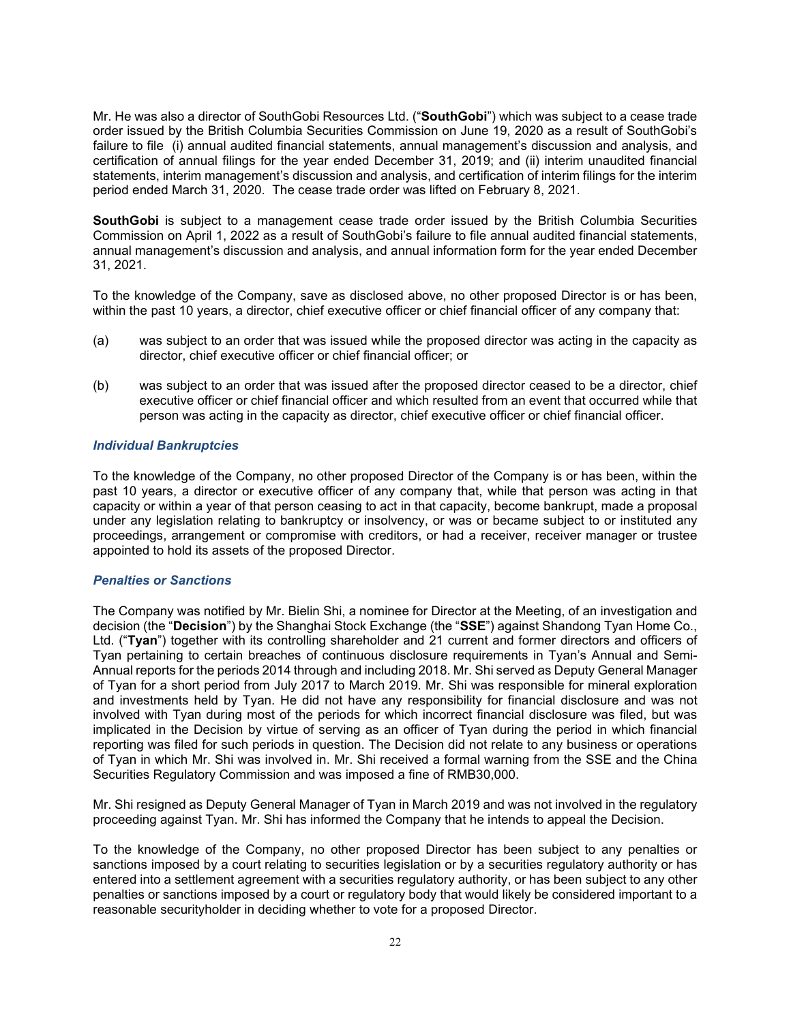Mr. He was also a director of SouthGobi Resources Ltd. ("**SouthGobi**") which was subject to a cease trade order issued by the British Columbia Securities Commission on June 19, 2020 as a result of SouthGobi's failure to file (i) annual audited financial statements, annual management's discussion and analysis, and certification of annual filings for the year ended December 31, 2019; and (ii) interim unaudited financial statements, interim management's discussion and analysis, and certification of interim filings for the interim period ended March 31, 2020. The cease trade order was lifted on February 8, 2021.

**SouthGobi** is subject to a management cease trade order issued by the British Columbia Securities Commission on April 1, 2022 as a result of SouthGobi's failure to file annual audited financial statements, annual management's discussion and analysis, and annual information form for the year ended December 31, 2021.

To the knowledge of the Company, save as disclosed above, no other proposed Director is or has been, within the past 10 years, a director, chief executive officer or chief financial officer of any company that:

- (a) was subject to an order that was issued while the proposed director was acting in the capacity as director, chief executive officer or chief financial officer; or
- (b) was subject to an order that was issued after the proposed director ceased to be a director, chief executive officer or chief financial officer and which resulted from an event that occurred while that person was acting in the capacity as director, chief executive officer or chief financial officer.

### *Individual Bankruptcies*

To the knowledge of the Company, no other proposed Director of the Company is or has been, within the past 10 years, a director or executive officer of any company that, while that person was acting in that capacity or within a year of that person ceasing to act in that capacity, become bankrupt, made a proposal under any legislation relating to bankruptcy or insolvency, or was or became subject to or instituted any proceedings, arrangement or compromise with creditors, or had a receiver, receiver manager or trustee appointed to hold its assets of the proposed Director.

## *Penalties or Sanctions*

The Company was notified by Mr. Bielin Shi, a nominee for Director at the Meeting, of an investigation and decision (the "**Decision**") by the Shanghai Stock Exchange (the "**SSE**") against Shandong Tyan Home Co., Ltd. ("**Tyan**") together with its controlling shareholder and 21 current and former directors and officers of Tyan pertaining to certain breaches of continuous disclosure requirements in Tyan's Annual and Semi-Annual reports for the periods 2014 through and including 2018. Mr. Shi served as Deputy General Manager of Tyan for a short period from July 2017 to March 2019. Mr. Shi was responsible for mineral exploration and investments held by Tyan. He did not have any responsibility for financial disclosure and was not involved with Tyan during most of the periods for which incorrect financial disclosure was filed, but was implicated in the Decision by virtue of serving as an officer of Tyan during the period in which financial reporting was filed for such periods in question. The Decision did not relate to any business or operations of Tyan in which Mr. Shi was involved in. Mr. Shi received a formal warning from the SSE and the China Securities Regulatory Commission and was imposed a fine of RMB30,000.

Mr. Shi resigned as Deputy General Manager of Tyan in March 2019 and was not involved in the regulatory proceeding against Tyan. Mr. Shi has informed the Company that he intends to appeal the Decision.

To the knowledge of the Company, no other proposed Director has been subject to any penalties or sanctions imposed by a court relating to securities legislation or by a securities regulatory authority or has entered into a settlement agreement with a securities regulatory authority, or has been subject to any other penalties or sanctions imposed by a court or regulatory body that would likely be considered important to a reasonable securityholder in deciding whether to vote for a proposed Director.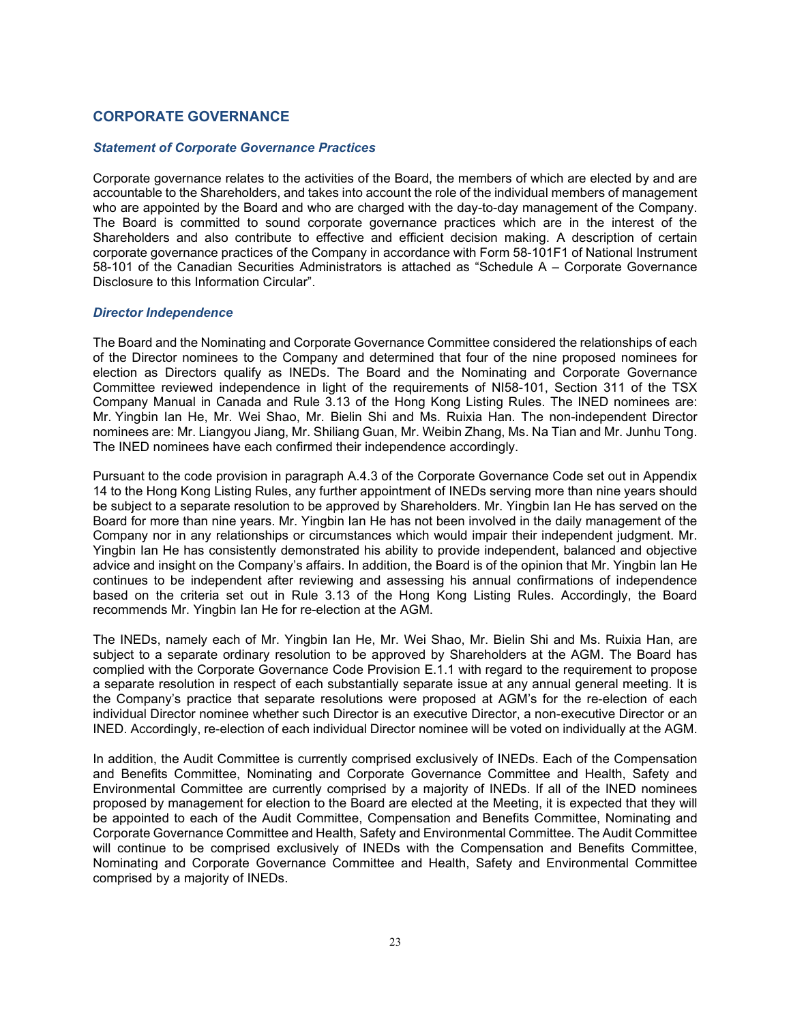## <span id="page-23-0"></span>**CORPORATE GOVERNANCE**

## *Statement of Corporate Governance Practices*

Corporate governance relates to the activities of the Board, the members of which are elected by and are accountable to the Shareholders, and takes into account the role of the individual members of management who are appointed by the Board and who are charged with the day-to-day management of the Company. The Board is committed to sound corporate governance practices which are in the interest of the Shareholders and also contribute to effective and efficient decision making. A description of certain corporate governance practices of the Company in accordance with Form 58-101F1 of National Instrument 58-101 of the Canadian Securities Administrators is attached as "Schedule A – Corporate Governance Disclosure to this Information Circular".

### *Director Independence*

The Board and the Nominating and Corporate Governance Committee considered the relationships of each of the Director nominees to the Company and determined that four of the nine proposed nominees for election as Directors qualify as INEDs. The Board and the Nominating and Corporate Governance Committee reviewed independence in light of the requirements of NI58-101, Section 311 of the TSX Company Manual in Canada and Rule 3.13 of the Hong Kong Listing Rules. The INED nominees are: Mr. Yingbin Ian He, Mr. Wei Shao, Mr. Bielin Shi and Ms. Ruixia Han. The non-independent Director nominees are: Mr. Liangyou Jiang, Mr. Shiliang Guan, Mr. Weibin Zhang, Ms. Na Tian and Mr. Junhu Tong. The INED nominees have each confirmed their independence accordingly.

Pursuant to the code provision in paragraph A.4.3 of the Corporate Governance Code set out in Appendix 14 to the Hong Kong Listing Rules, any further appointment of INEDs serving more than nine years should be subject to a separate resolution to be approved by Shareholders. Mr. Yingbin Ian He has served on the Board for more than nine years. Mr. Yingbin Ian He has not been involved in the daily management of the Company nor in any relationships or circumstances which would impair their independent judgment. Mr. Yingbin Ian He has consistently demonstrated his ability to provide independent, balanced and objective advice and insight on the Company's affairs. In addition, the Board is of the opinion that Mr. Yingbin Ian He continues to be independent after reviewing and assessing his annual confirmations of independence based on the criteria set out in Rule 3.13 of the Hong Kong Listing Rules. Accordingly, the Board recommends Mr. Yingbin Ian He for re-election at the AGM.

The INEDs, namely each of Mr. Yingbin Ian He, Mr. Wei Shao, Mr. Bielin Shi and Ms. Ruixia Han, are subject to a separate ordinary resolution to be approved by Shareholders at the AGM. The Board has complied with the Corporate Governance Code Provision E.1.1 with regard to the requirement to propose a separate resolution in respect of each substantially separate issue at any annual general meeting. It is the Company's practice that separate resolutions were proposed at AGM's for the re-election of each individual Director nominee whether such Director is an executive Director, a non-executive Director or an INED. Accordingly, re-election of each individual Director nominee will be voted on individually at the AGM.

In addition, the Audit Committee is currently comprised exclusively of INEDs. Each of the Compensation and Benefits Committee, Nominating and Corporate Governance Committee and Health, Safety and Environmental Committee are currently comprised by a majority of INEDs. If all of the INED nominees proposed by management for election to the Board are elected at the Meeting, it is expected that they will be appointed to each of the Audit Committee, Compensation and Benefits Committee, Nominating and Corporate Governance Committee and Health, Safety and Environmental Committee. The Audit Committee will continue to be comprised exclusively of INEDs with the Compensation and Benefits Committee, Nominating and Corporate Governance Committee and Health, Safety and Environmental Committee comprised by a majority of INEDs.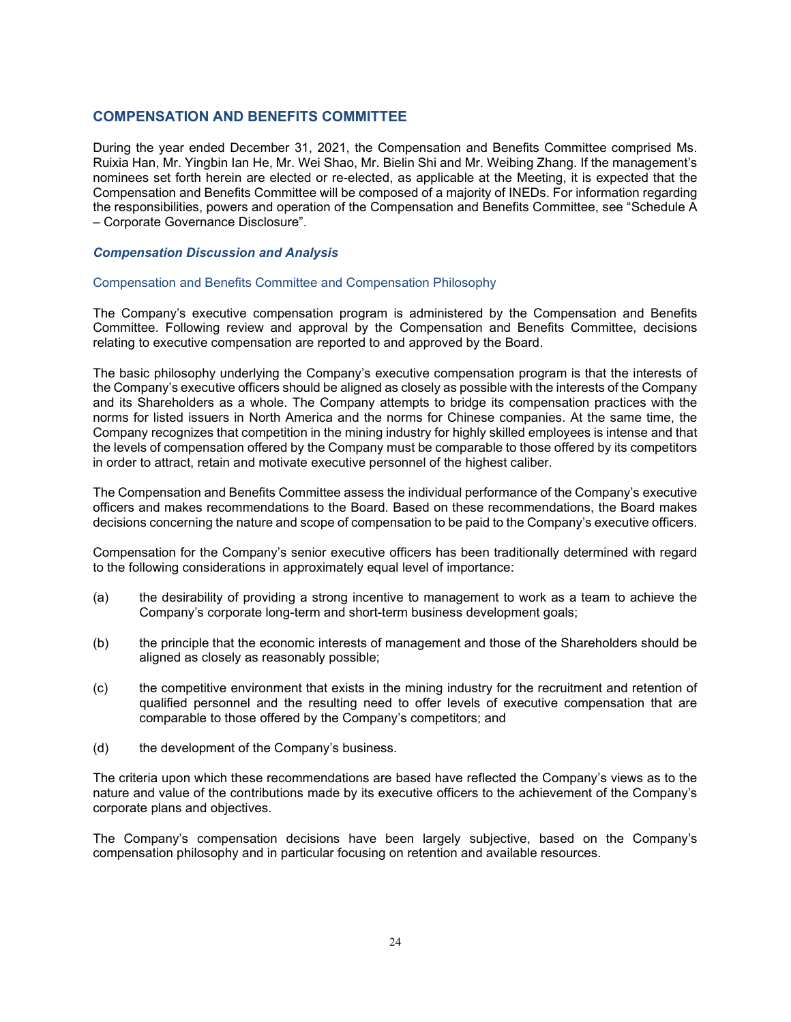## <span id="page-24-0"></span>**COMPENSATION AND BENEFITS COMMITTEE**

During the year ended December 31, 2021, the Compensation and Benefits Committee comprised Ms. Ruixia Han, Mr. Yingbin Ian He, Mr. Wei Shao, Mr. Bielin Shi and Mr. Weibing Zhang. If the management's nominees set forth herein are elected or re-elected, as applicable at the Meeting, it is expected that the Compensation and Benefits Committee will be composed of a majority of INEDs. For information regarding the responsibilities, powers and operation of the Compensation and Benefits Committee, see "Schedule A – Corporate Governance Disclosure".

#### *Compensation Discussion and Analysis*

#### Compensation and Benefits Committee and Compensation Philosophy

The Company's executive compensation program is administered by the Compensation and Benefits Committee. Following review and approval by the Compensation and Benefits Committee, decisions relating to executive compensation are reported to and approved by the Board.

The basic philosophy underlying the Company's executive compensation program is that the interests of the Company's executive officers should be aligned as closely as possible with the interests of the Company and its Shareholders as a whole. The Company attempts to bridge its compensation practices with the norms for listed issuers in North America and the norms for Chinese companies. At the same time, the Company recognizes that competition in the mining industry for highly skilled employees is intense and that the levels of compensation offered by the Company must be comparable to those offered by its competitors in order to attract, retain and motivate executive personnel of the highest caliber.

The Compensation and Benefits Committee assess the individual performance of the Company's executive officers and makes recommendations to the Board. Based on these recommendations, the Board makes decisions concerning the nature and scope of compensation to be paid to the Company's executive officers.

Compensation for the Company's senior executive officers has been traditionally determined with regard to the following considerations in approximately equal level of importance:

- (a) the desirability of providing a strong incentive to management to work as a team to achieve the Company's corporate long-term and short-term business development goals;
- (b) the principle that the economic interests of management and those of the Shareholders should be aligned as closely as reasonably possible;
- (c) the competitive environment that exists in the mining industry for the recruitment and retention of qualified personnel and the resulting need to offer levels of executive compensation that are comparable to those offered by the Company's competitors; and
- (d) the development of the Company's business.

The criteria upon which these recommendations are based have reflected the Company's views as to the nature and value of the contributions made by its executive officers to the achievement of the Company's corporate plans and objectives.

The Company's compensation decisions have been largely subjective, based on the Company's compensation philosophy and in particular focusing on retention and available resources.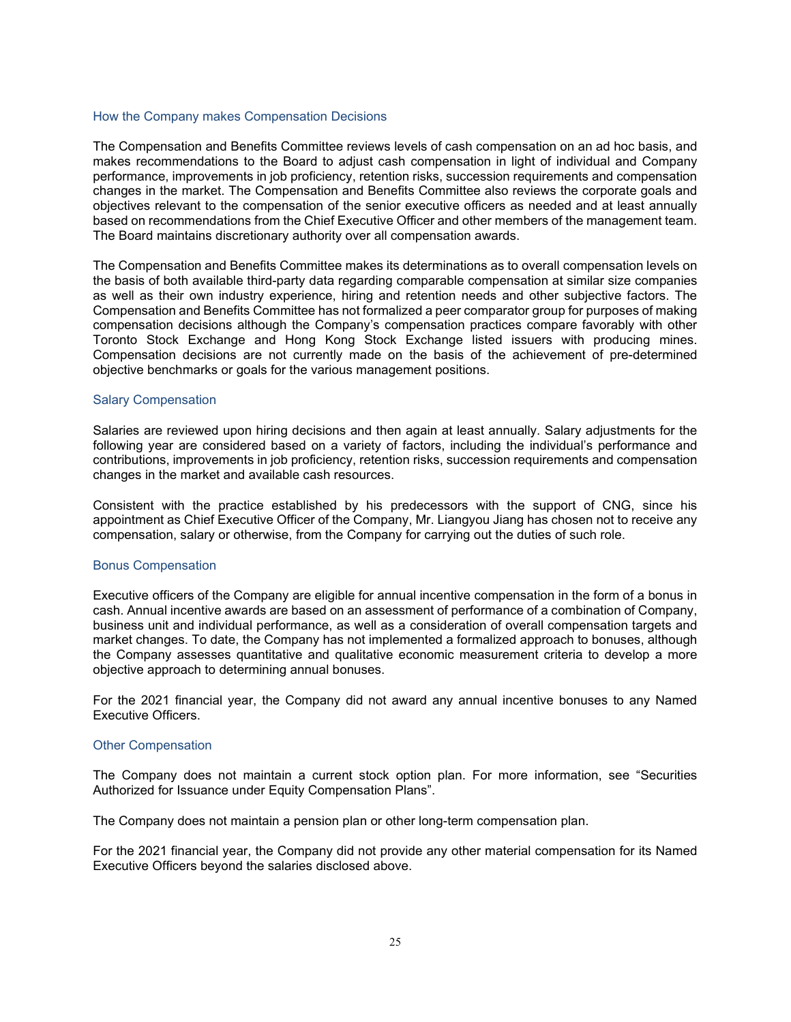#### How the Company makes Compensation Decisions

The Compensation and Benefits Committee reviews levels of cash compensation on an ad hoc basis, and makes recommendations to the Board to adjust cash compensation in light of individual and Company performance, improvements in job proficiency, retention risks, succession requirements and compensation changes in the market. The Compensation and Benefits Committee also reviews the corporate goals and objectives relevant to the compensation of the senior executive officers as needed and at least annually based on recommendations from the Chief Executive Officer and other members of the management team. The Board maintains discretionary authority over all compensation awards.

The Compensation and Benefits Committee makes its determinations as to overall compensation levels on the basis of both available third-party data regarding comparable compensation at similar size companies as well as their own industry experience, hiring and retention needs and other subjective factors. The Compensation and Benefits Committee has not formalized a peer comparator group for purposes of making compensation decisions although the Company's compensation practices compare favorably with other Toronto Stock Exchange and Hong Kong Stock Exchange listed issuers with producing mines. Compensation decisions are not currently made on the basis of the achievement of pre-determined objective benchmarks or goals for the various management positions.

#### Salary Compensation

Salaries are reviewed upon hiring decisions and then again at least annually. Salary adjustments for the following year are considered based on a variety of factors, including the individual's performance and contributions, improvements in job proficiency, retention risks, succession requirements and compensation changes in the market and available cash resources.

Consistent with the practice established by his predecessors with the support of CNG, since his appointment as Chief Executive Officer of the Company, Mr. Liangyou Jiang has chosen not to receive any compensation, salary or otherwise, from the Company for carrying out the duties of such role.

#### Bonus Compensation

Executive officers of the Company are eligible for annual incentive compensation in the form of a bonus in cash. Annual incentive awards are based on an assessment of performance of a combination of Company, business unit and individual performance, as well as a consideration of overall compensation targets and market changes. To date, the Company has not implemented a formalized approach to bonuses, although the Company assesses quantitative and qualitative economic measurement criteria to develop a more objective approach to determining annual bonuses.

For the 2021 financial year, the Company did not award any annual incentive bonuses to any Named Executive Officers.

#### Other Compensation

The Company does not maintain a current stock option plan. For more information, see "Securities Authorized for Issuance under Equity Compensation Plans".

The Company does not maintain a pension plan or other long-term compensation plan.

For the 2021 financial year, the Company did not provide any other material compensation for its Named Executive Officers beyond the salaries disclosed above.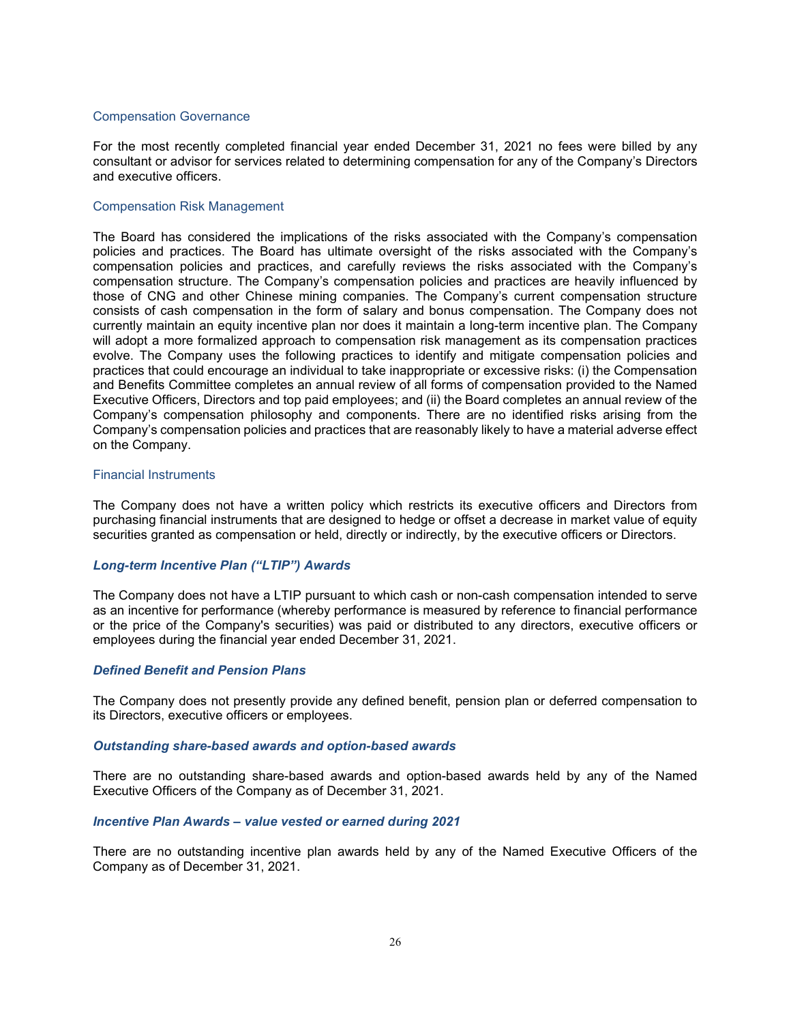#### Compensation Governance

For the most recently completed financial year ended December 31, 2021 no fees were billed by any consultant or advisor for services related to determining compensation for any of the Company's Directors and executive officers.

#### Compensation Risk Management

The Board has considered the implications of the risks associated with the Company's compensation policies and practices. The Board has ultimate oversight of the risks associated with the Company's compensation policies and practices, and carefully reviews the risks associated with the Company's compensation structure. The Company's compensation policies and practices are heavily influenced by those of CNG and other Chinese mining companies. The Company's current compensation structure consists of cash compensation in the form of salary and bonus compensation. The Company does not currently maintain an equity incentive plan nor does it maintain a long-term incentive plan. The Company will adopt a more formalized approach to compensation risk management as its compensation practices evolve. The Company uses the following practices to identify and mitigate compensation policies and practices that could encourage an individual to take inappropriate or excessive risks: (i) the Compensation and Benefits Committee completes an annual review of all forms of compensation provided to the Named Executive Officers, Directors and top paid employees; and (ii) the Board completes an annual review of the Company's compensation philosophy and components. There are no identified risks arising from the Company's compensation policies and practices that are reasonably likely to have a material adverse effect on the Company.

#### Financial Instruments

The Company does not have a written policy which restricts its executive officers and Directors from purchasing financial instruments that are designed to hedge or offset a decrease in market value of equity securities granted as compensation or held, directly or indirectly, by the executive officers or Directors.

#### *Long-term Incentive Plan ("LTIP") Awards*

The Company does not have a LTIP pursuant to which cash or non-cash compensation intended to serve as an incentive for performance (whereby performance is measured by reference to financial performance or the price of the Company's securities) was paid or distributed to any directors, executive officers or employees during the financial year ended December 31, 2021.

#### *Defined Benefit and Pension Plans*

The Company does not presently provide any defined benefit, pension plan or deferred compensation to its Directors, executive officers or employees.

#### *Outstanding share-based awards and option-based awards*

There are no outstanding share-based awards and option-based awards held by any of the Named Executive Officers of the Company as of December 31, 2021.

#### *Incentive Plan Awards – value vested or earned during 2021*

There are no outstanding incentive plan awards held by any of the Named Executive Officers of the Company as of December 31, 2021.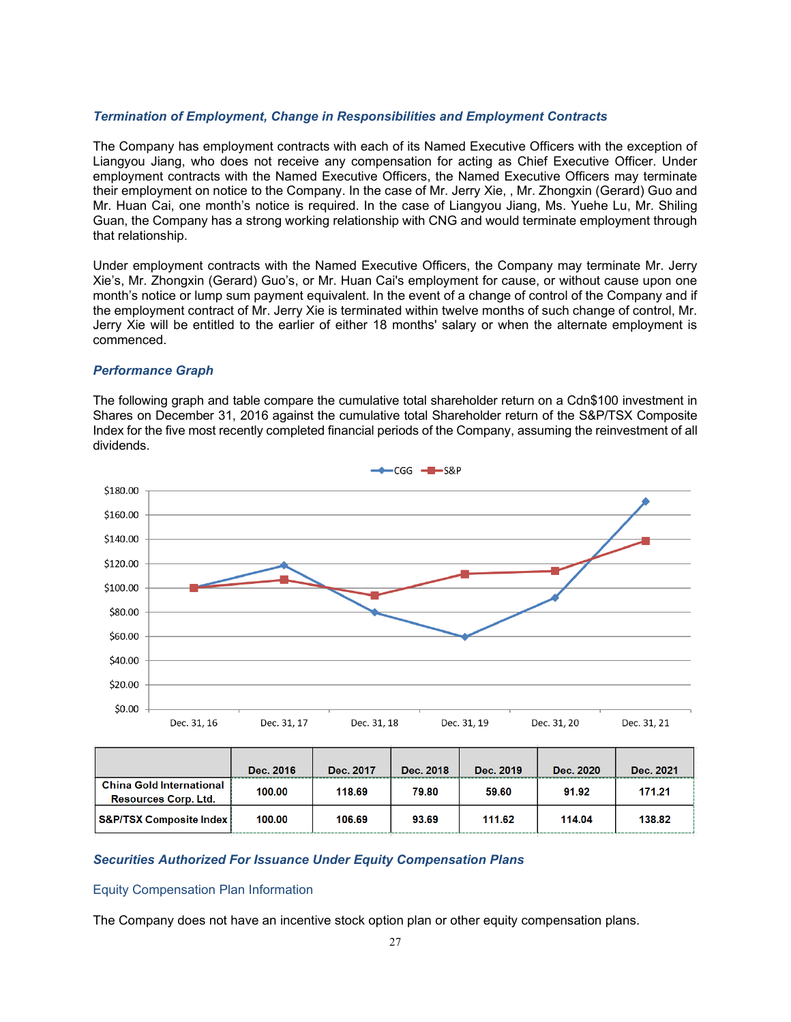### *Termination of Employment, Change in Responsibilities and Employment Contracts*

The Company has employment contracts with each of its Named Executive Officers with the exception of Liangyou Jiang, who does not receive any compensation for acting as Chief Executive Officer. Under employment contracts with the Named Executive Officers, the Named Executive Officers may terminate their employment on notice to the Company. In the case of Mr. Jerry Xie, , Mr. Zhongxin (Gerard) Guo and Mr. Huan Cai, one month's notice is required. In the case of Liangyou Jiang, Ms. Yuehe Lu, Mr. Shiling Guan, the Company has a strong working relationship with CNG and would terminate employment through that relationship.

Under employment contracts with the Named Executive Officers, the Company may terminate Mr. Jerry Xie's, Mr. Zhongxin (Gerard) Guo's, or Mr. Huan Cai's employment for cause, or without cause upon one month's notice or lump sum payment equivalent. In the event of a change of control of the Company and if the employment contract of Mr. Jerry Xie is terminated within twelve months of such change of control, Mr. Jerry Xie will be entitled to the earlier of either 18 months' salary or when the alternate employment is commenced.

#### *Performance Graph*

The following graph and table compare the cumulative total shareholder return on a Cdn\$100 investment in Shares on December 31, 2016 against the cumulative total Shareholder return of the S&P/TSX Composite Index for the five most recently completed financial periods of the Company, assuming the reinvestment of all dividends.



|                                                                | Dec. 2016 | Dec. 2017 | Dec. 2018 | Dec. 2019 | Dec. 2020 | Dec. 2021 |
|----------------------------------------------------------------|-----------|-----------|-----------|-----------|-----------|-----------|
| <b>China Gold International</b><br><b>Resources Corp. Ltd.</b> | 100.00    | 118.69    | 79.80     | 59.60     | 91.92     | 171.21    |
| S&P/TSX Composite Index                                        | 100.00    | 106.69    | 93.69     | 111.62    | 114.04    | 138.82    |

### *Securities Authorized For Issuance Under Equity Compensation Plans*

#### Equity Compensation Plan Information

The Company does not have an incentive stock option plan or other equity compensation plans.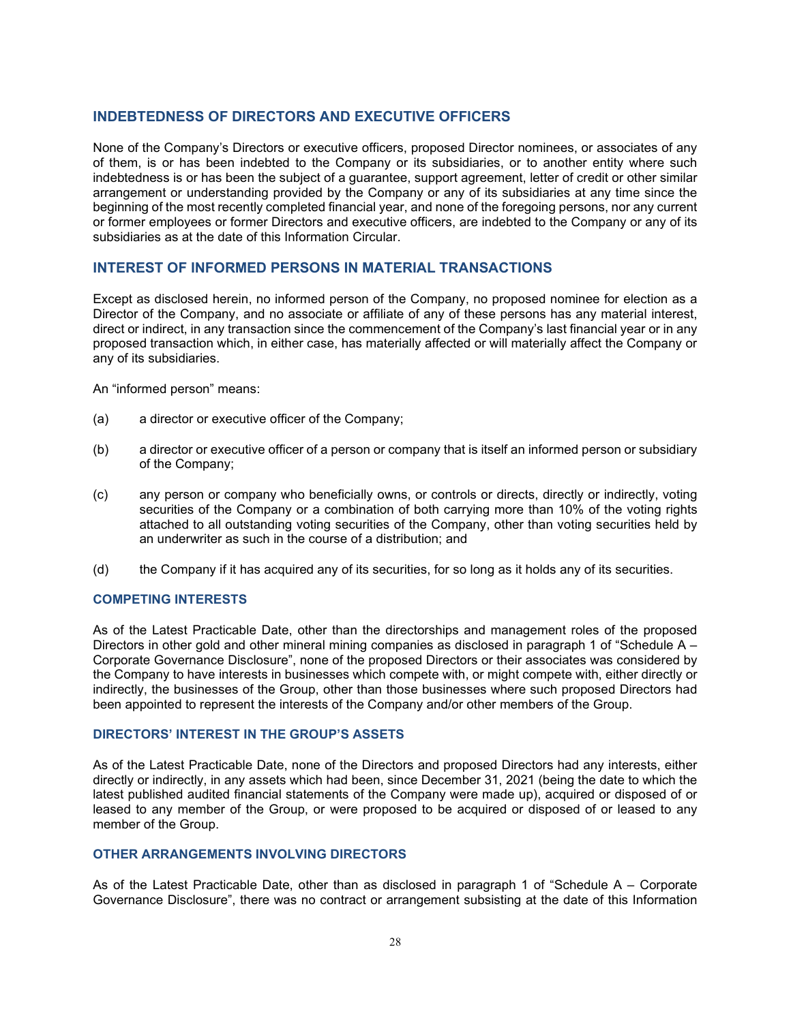## <span id="page-28-0"></span>**INDEBTEDNESS OF DIRECTORS AND EXECUTIVE OFFICERS**

None of the Company's Directors or executive officers, proposed Director nominees, or associates of any of them, is or has been indebted to the Company or its subsidiaries, or to another entity where such indebtedness is or has been the subject of a guarantee, support agreement, letter of credit or other similar arrangement or understanding provided by the Company or any of its subsidiaries at any time since the beginning of the most recently completed financial year, and none of the foregoing persons, nor any current or former employees or former Directors and executive officers, are indebted to the Company or any of its subsidiaries as at the date of this Information Circular.

## <span id="page-28-1"></span>**INTEREST OF INFORMED PERSONS IN MATERIAL TRANSACTIONS**

Except as disclosed herein, no informed person of the Company, no proposed nominee for election as a Director of the Company, and no associate or affiliate of any of these persons has any material interest, direct or indirect, in any transaction since the commencement of the Company's last financial year or in any proposed transaction which, in either case, has materially affected or will materially affect the Company or any of its subsidiaries.

An "informed person" means:

- (a) a director or executive officer of the Company;
- (b) a director or executive officer of a person or company that is itself an informed person or subsidiary of the Company;
- (c) any person or company who beneficially owns, or controls or directs, directly or indirectly, voting securities of the Company or a combination of both carrying more than 10% of the voting rights attached to all outstanding voting securities of the Company, other than voting securities held by an underwriter as such in the course of a distribution; and
- (d) the Company if it has acquired any of its securities, for so long as it holds any of its securities.

## **COMPETING INTERESTS**

As of the Latest Practicable Date, other than the directorships and management roles of the proposed Directors in other gold and other mineral mining companies as disclosed in paragraph 1 of "Schedule A – Corporate Governance Disclosure", none of the proposed Directors or their associates was considered by the Company to have interests in businesses which compete with, or might compete with, either directly or indirectly, the businesses of the Group, other than those businesses where such proposed Directors had been appointed to represent the interests of the Company and/or other members of the Group.

### **DIRECTORS' INTEREST IN THE GROUP'S ASSETS**

As of the Latest Practicable Date, none of the Directors and proposed Directors had any interests, either directly or indirectly, in any assets which had been, since December 31, 2021 (being the date to which the latest published audited financial statements of the Company were made up), acquired or disposed of or leased to any member of the Group, or were proposed to be acquired or disposed of or leased to any member of the Group.

## **OTHER ARRANGEMENTS INVOLVING DIRECTORS**

As of the Latest Practicable Date, other than as disclosed in paragraph 1 of "Schedule A – Corporate Governance Disclosure", there was no contract or arrangement subsisting at the date of this Information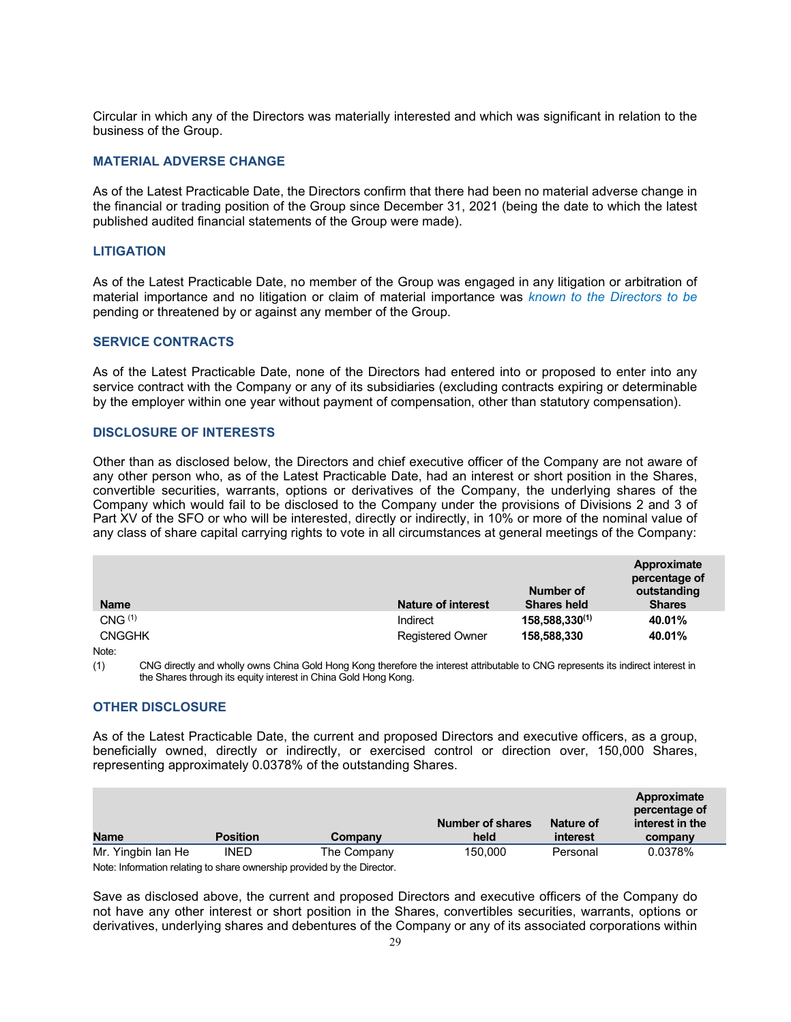Circular in which any of the Directors was materially interested and which was significant in relation to the business of the Group.

### **MATERIAL ADVERSE CHANGE**

As of the Latest Practicable Date, the Directors confirm that there had been no material adverse change in the financial or trading position of the Group since December 31, 2021 (being the date to which the latest published audited financial statements of the Group were made).

#### **LITIGATION**

As of the Latest Practicable Date, no member of the Group was engaged in any litigation or arbitration of material importance and no litigation or claim of material importance was *known to the Directors to be*  pending or threatened by or against any member of the Group.

## **SERVICE CONTRACTS**

As of the Latest Practicable Date, none of the Directors had entered into or proposed to enter into any service contract with the Company or any of its subsidiaries (excluding contracts expiring or determinable by the employer within one year without payment of compensation, other than statutory compensation).

#### **DISCLOSURE OF INTERESTS**

Other than as disclosed below, the Directors and chief executive officer of the Company are not aware of any other person who, as of the Latest Practicable Date, had an interest or short position in the Shares, convertible securities, warrants, options or derivatives of the Company, the underlying shares of the Company which would fail to be disclosed to the Company under the provisions of Divisions 2 and 3 of Part XV of the SFO or who will be interested, directly or indirectly, in 10% or more of the nominal value of any class of share capital carrying rights to vote in all circumstances at general meetings of the Company:

|                    |                           | Number of           | Approximate<br>percentage of<br>outstanding |
|--------------------|---------------------------|---------------------|---------------------------------------------|
| <b>Name</b>        | <b>Nature of interest</b> | <b>Shares held</b>  | <b>Shares</b>                               |
| CNG <sup>(1)</sup> | Indirect                  | $158,588,330^{(1)}$ | 40.01%                                      |
| <b>CNGGHK</b>      | <b>Registered Owner</b>   | 158,588,330         | 40.01%                                      |
| .                  |                           |                     |                                             |

Note:

(1) CNG directly and wholly owns China Gold Hong Kong therefore the interest attributable to CNG represents its indirect interest in the Shares through its equity interest in China Gold Hong Kong.

## **OTHER DISCLOSURE**

As of the Latest Practicable Date, the current and proposed Directors and executive officers, as a group, beneficially owned, directly or indirectly, or exercised control or direction over, 150,000 Shares, representing approximately 0.0378% of the outstanding Shares.

| <b>Name</b>                                                             | <b>Position</b> | Company     | <b>Number of shares</b><br>held | Nature of<br>interest | Approximate<br>percentage of<br>interest in the<br>company |
|-------------------------------------------------------------------------|-----------------|-------------|---------------------------------|-----------------------|------------------------------------------------------------|
| Mr. Yingbin Ian He                                                      | <b>INED</b>     | The Company | 150.000                         | Personal              | 0.0378%                                                    |
| Note: Information relating to share ownership provided by the Director. |                 |             |                                 |                       |                                                            |

Save as disclosed above, the current and proposed Directors and executive officers of the Company do not have any other interest or short position in the Shares, convertibles securities, warrants, options or derivatives, underlying shares and debentures of the Company or any of its associated corporations within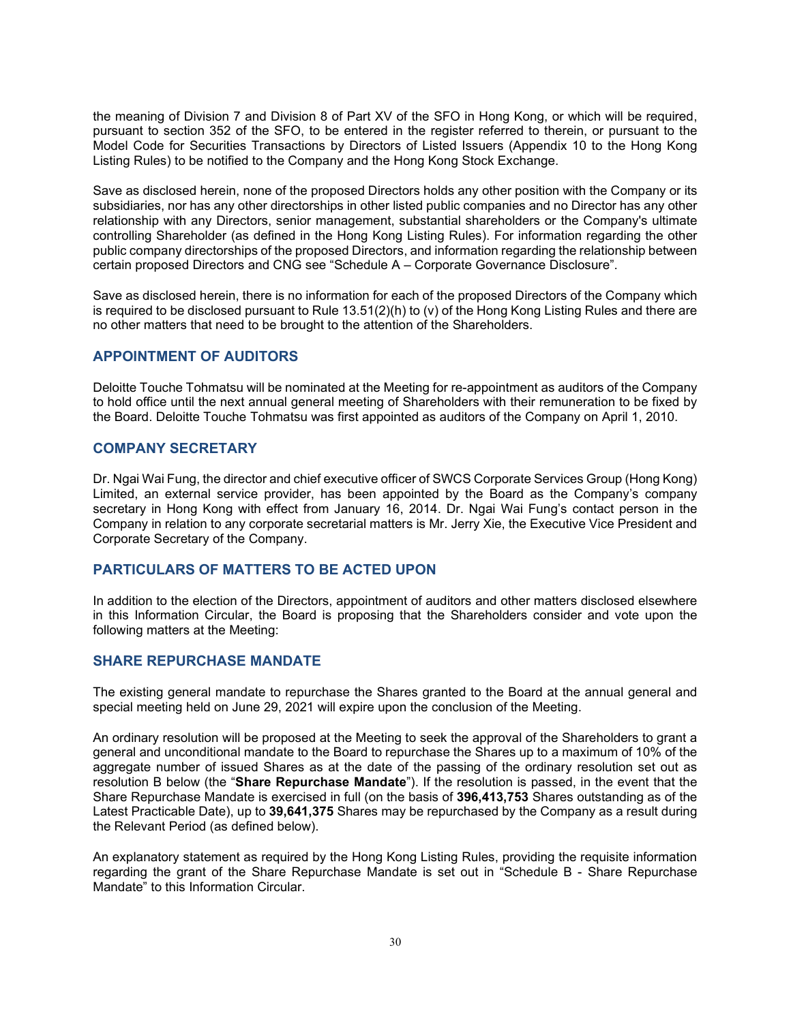the meaning of Division 7 and Division 8 of Part XV of the SFO in Hong Kong, or which will be required, pursuant to section 352 of the SFO, to be entered in the register referred to therein, or pursuant to the Model Code for Securities Transactions by Directors of Listed Issuers (Appendix 10 to the Hong Kong Listing Rules) to be notified to the Company and the Hong Kong Stock Exchange.

Save as disclosed herein, none of the proposed Directors holds any other position with the Company or its subsidiaries, nor has any other directorships in other listed public companies and no Director has any other relationship with any Directors, senior management, substantial shareholders or the Company's ultimate controlling Shareholder (as defined in the Hong Kong Listing Rules). For information regarding the other public company directorships of the proposed Directors, and information regarding the relationship between certain proposed Directors and CNG see "Schedule A – Corporate Governance Disclosure".

Save as disclosed herein, there is no information for each of the proposed Directors of the Company which is required to be disclosed pursuant to Rule  $13.51(2)$ (h) to (v) of the Hong Kong Listing Rules and there are no other matters that need to be brought to the attention of the Shareholders.

## <span id="page-30-0"></span>**APPOINTMENT OF AUDITORS**

Deloitte Touche Tohmatsu will be nominated at the Meeting for re-appointment as auditors of the Company to hold office until the next annual general meeting of Shareholders with their remuneration to be fixed by the Board. Deloitte Touche Tohmatsu was first appointed as auditors of the Company on April 1, 2010.

## **COMPANY SECRETARY**

Dr. Ngai Wai Fung, the director and chief executive officer of SWCS Corporate Services Group (Hong Kong) Limited, an external service provider, has been appointed by the Board as the Company's company secretary in Hong Kong with effect from January 16, 2014. Dr. Ngai Wai Fung's contact person in the Company in relation to any corporate secretarial matters is Mr. Jerry Xie, the Executive Vice President and Corporate Secretary of the Company.

## <span id="page-30-1"></span>**PARTICULARS OF MATTERS TO BE ACTED UPON**

In addition to the election of the Directors, appointment of auditors and other matters disclosed elsewhere in this Information Circular, the Board is proposing that the Shareholders consider and vote upon the following matters at the Meeting:

## <span id="page-30-2"></span>**SHARE REPURCHASE MANDATE**

The existing general mandate to repurchase the Shares granted to the Board at the annual general and special meeting held on June 29, 2021 will expire upon the conclusion of the Meeting.

An ordinary resolution will be proposed at the Meeting to seek the approval of the Shareholders to grant a general and unconditional mandate to the Board to repurchase the Shares up to a maximum of 10% of the aggregate number of issued Shares as at the date of the passing of the ordinary resolution set out as resolution B below (the "**Share Repurchase Mandate**"). If the resolution is passed, in the event that the Share Repurchase Mandate is exercised in full (on the basis of **396,413,753** Shares outstanding as of the Latest Practicable Date), up to **39,641,375** Shares may be repurchased by the Company as a result during the Relevant Period (as defined below).

An explanatory statement as required by the Hong Kong Listing Rules, providing the requisite information regarding the grant of the Share Repurchase Mandate is set out in "Schedule B - Share Repurchase Mandate" to this Information Circular.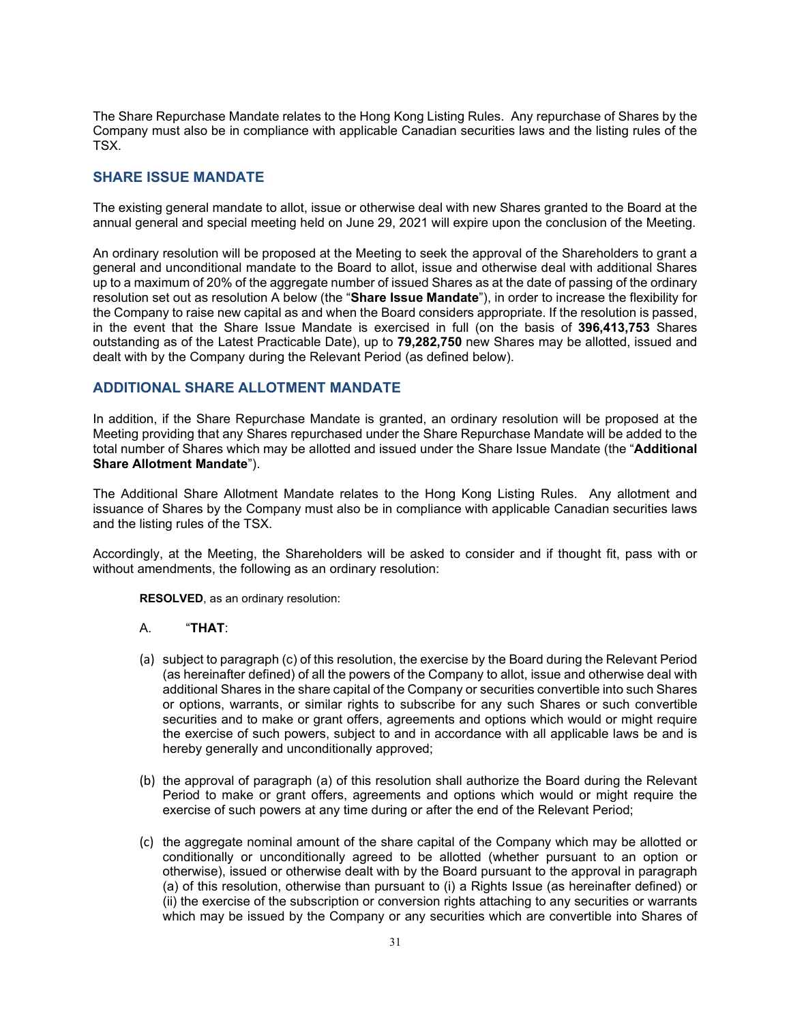The Share Repurchase Mandate relates to the Hong Kong Listing Rules. Any repurchase of Shares by the Company must also be in compliance with applicable Canadian securities laws and the listing rules of the TSX.

## <span id="page-31-0"></span>**SHARE ISSUE MANDATE**

The existing general mandate to allot, issue or otherwise deal with new Shares granted to the Board at the annual general and special meeting held on June 29, 2021 will expire upon the conclusion of the Meeting.

An ordinary resolution will be proposed at the Meeting to seek the approval of the Shareholders to grant a general and unconditional mandate to the Board to allot, issue and otherwise deal with additional Shares up to a maximum of 20% of the aggregate number of issued Shares as at the date of passing of the ordinary resolution set out as resolution A below (the "**Share Issue Mandate**"), in order to increase the flexibility for the Company to raise new capital as and when the Board considers appropriate. If the resolution is passed, in the event that the Share Issue Mandate is exercised in full (on the basis of **396,413,753** Shares outstanding as of the Latest Practicable Date), up to **79,282,750** new Shares may be allotted, issued and dealt with by the Company during the Relevant Period (as defined below).

## <span id="page-31-1"></span>**ADDITIONAL SHARE ALLOTMENT MANDATE**

In addition, if the Share Repurchase Mandate is granted, an ordinary resolution will be proposed at the Meeting providing that any Shares repurchased under the Share Repurchase Mandate will be added to the total number of Shares which may be allotted and issued under the Share Issue Mandate (the "**Additional Share Allotment Mandate**").

The Additional Share Allotment Mandate relates to the Hong Kong Listing Rules. Any allotment and issuance of Shares by the Company must also be in compliance with applicable Canadian securities laws and the listing rules of the TSX.

Accordingly, at the Meeting, the Shareholders will be asked to consider and if thought fit, pass with or without amendments, the following as an ordinary resolution:

**RESOLVED**, as an ordinary resolution:

#### A. "**THAT**:

- (a) subject to paragraph (c) of this resolution, the exercise by the Board during the Relevant Period (as hereinafter defined) of all the powers of the Company to allot, issue and otherwise deal with additional Shares in the share capital of the Company or securities convertible into such Shares or options, warrants, or similar rights to subscribe for any such Shares or such convertible securities and to make or grant offers, agreements and options which would or might require the exercise of such powers, subject to and in accordance with all applicable laws be and is hereby generally and unconditionally approved;
- (b) the approval of paragraph (a) of this resolution shall authorize the Board during the Relevant Period to make or grant offers, agreements and options which would or might require the exercise of such powers at any time during or after the end of the Relevant Period;
- (c) the aggregate nominal amount of the share capital of the Company which may be allotted or conditionally or unconditionally agreed to be allotted (whether pursuant to an option or otherwise), issued or otherwise dealt with by the Board pursuant to the approval in paragraph (a) of this resolution, otherwise than pursuant to (i) a Rights Issue (as hereinafter defined) or (ii) the exercise of the subscription or conversion rights attaching to any securities or warrants which may be issued by the Company or any securities which are convertible into Shares of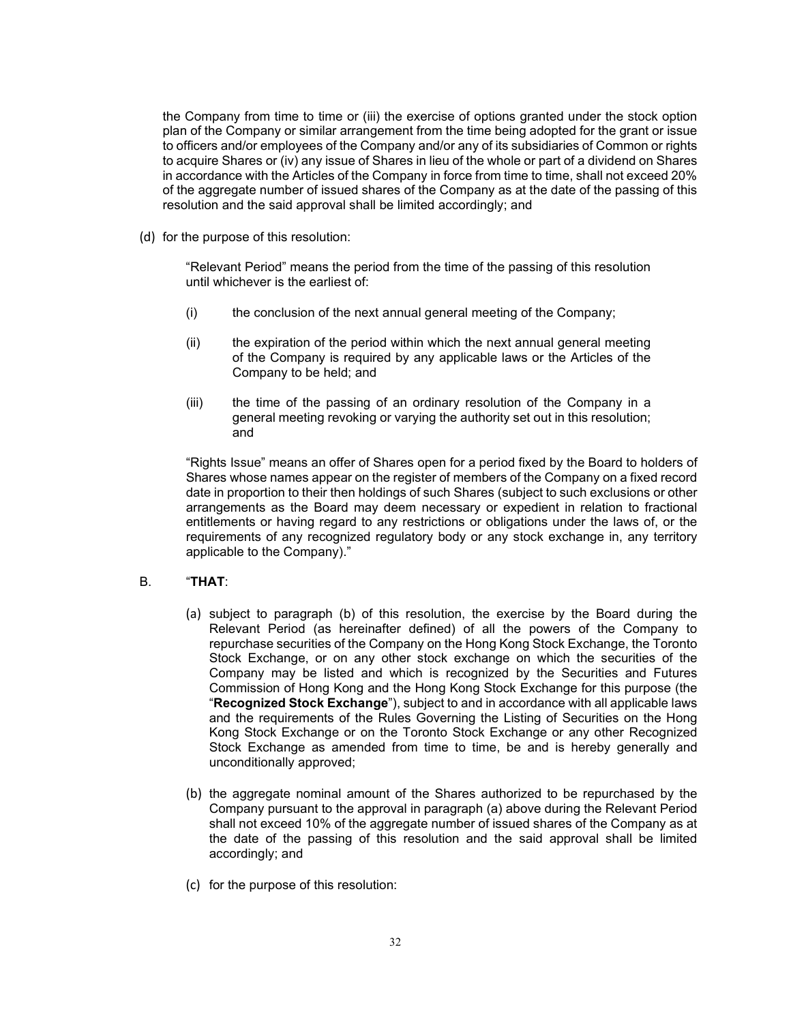the Company from time to time or (iii) the exercise of options granted under the stock option plan of the Company or similar arrangement from the time being adopted for the grant or issue to officers and/or employees of the Company and/or any of its subsidiaries of Common or rights to acquire Shares or (iv) any issue of Shares in lieu of the whole or part of a dividend on Shares in accordance with the Articles of the Company in force from time to time, shall not exceed 20% of the aggregate number of issued shares of the Company as at the date of the passing of this resolution and the said approval shall be limited accordingly; and

(d) for the purpose of this resolution:

"Relevant Period" means the period from the time of the passing of this resolution until whichever is the earliest of:

- (i) the conclusion of the next annual general meeting of the Company;
- (ii) the expiration of the period within which the next annual general meeting of the Company is required by any applicable laws or the Articles of the Company to be held; and
- (iii) the time of the passing of an ordinary resolution of the Company in a general meeting revoking or varying the authority set out in this resolution; and

"Rights Issue" means an offer of Shares open for a period fixed by the Board to holders of Shares whose names appear on the register of members of the Company on a fixed record date in proportion to their then holdings of such Shares (subject to such exclusions or other arrangements as the Board may deem necessary or expedient in relation to fractional entitlements or having regard to any restrictions or obligations under the laws of, or the requirements of any recognized regulatory body or any stock exchange in, any territory applicable to the Company)."

## B. "**THAT**:

- (a) subject to paragraph (b) of this resolution, the exercise by the Board during the Relevant Period (as hereinafter defined) of all the powers of the Company to repurchase securities of the Company on the Hong Kong Stock Exchange, the Toronto Stock Exchange, or on any other stock exchange on which the securities of the Company may be listed and which is recognized by the Securities and Futures Commission of Hong Kong and the Hong Kong Stock Exchange for this purpose (the "**Recognized Stock Exchange**"), subject to and in accordance with all applicable laws and the requirements of the Rules Governing the Listing of Securities on the Hong Kong Stock Exchange or on the Toronto Stock Exchange or any other Recognized Stock Exchange as amended from time to time, be and is hereby generally and unconditionally approved;
- (b) the aggregate nominal amount of the Shares authorized to be repurchased by the Company pursuant to the approval in paragraph (a) above during the Relevant Period shall not exceed 10% of the aggregate number of issued shares of the Company as at the date of the passing of this resolution and the said approval shall be limited accordingly; and
- (c) for the purpose of this resolution: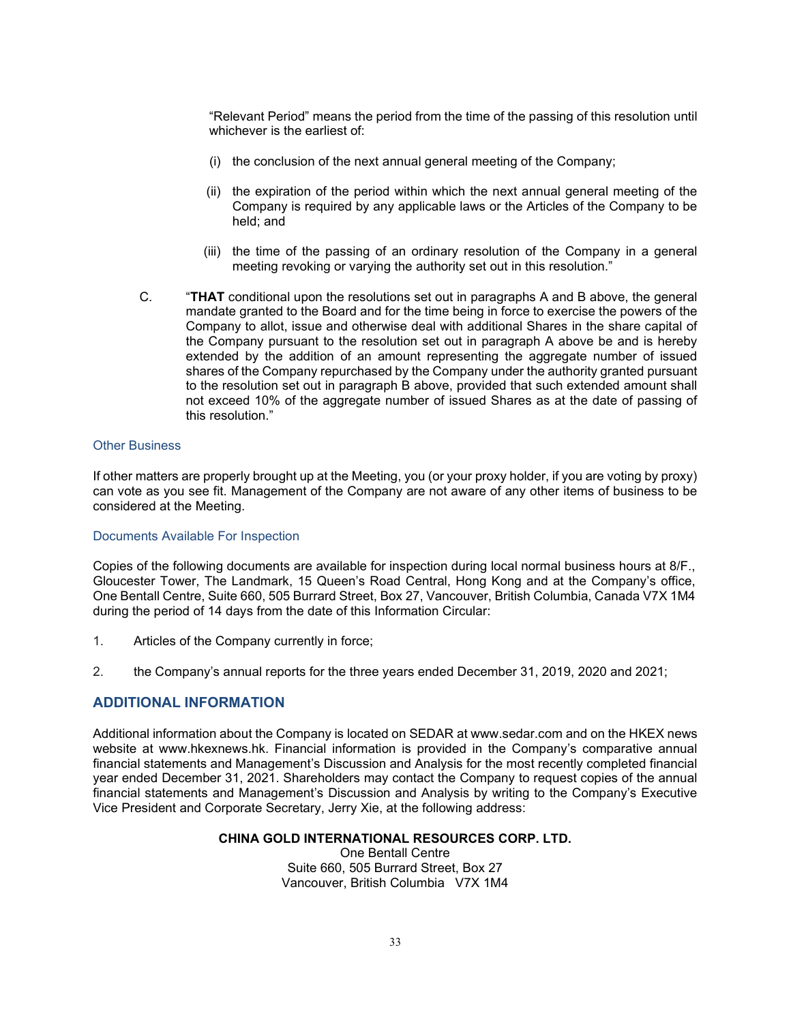"Relevant Period" means the period from the time of the passing of this resolution until whichever is the earliest of:

- (i) the conclusion of the next annual general meeting of the Company;
- (ii) the expiration of the period within which the next annual general meeting of the Company is required by any applicable laws or the Articles of the Company to be held; and
- (iii) the time of the passing of an ordinary resolution of the Company in a general meeting revoking or varying the authority set out in this resolution."
- C. "**THAT** conditional upon the resolutions set out in paragraphs A and B above, the general mandate granted to the Board and for the time being in force to exercise the powers of the Company to allot, issue and otherwise deal with additional Shares in the share capital of the Company pursuant to the resolution set out in paragraph A above be and is hereby extended by the addition of an amount representing the aggregate number of issued shares of the Company repurchased by the Company under the authority granted pursuant to the resolution set out in paragraph B above, provided that such extended amount shall not exceed 10% of the aggregate number of issued Shares as at the date of passing of this resolution."

#### Other Business

If other matters are properly brought up at the Meeting, you (or your proxy holder, if you are voting by proxy) can vote as you see fit. Management of the Company are not aware of any other items of business to be considered at the Meeting.

#### Documents Available For Inspection

Copies of the following documents are available for inspection during local normal business hours at 8/F., Gloucester Tower, The Landmark, 15 Queen's Road Central, Hong Kong and at the Company's office, One Bentall Centre, Suite 660, 505 Burrard Street, Box 27, Vancouver, British Columbia, Canada V7X 1M4 during the period of 14 days from the date of this Information Circular:

- 1. Articles of the Company currently in force;
- 2. the Company's annual reports for the three years ended December 31, 2019, 2020 and 2021;

## <span id="page-33-0"></span>**ADDITIONAL INFORMATION**

Additional information about the Company is located on SEDAR at www.sedar.com and on the HKEX news website at [www.hkexnews.hk.](http://www.hkexnews.hk/) Financial information is provided in the Company's comparative annual financial statements and Management's Discussion and Analysis for the most recently completed financial year ended December 31, 2021. Shareholders may contact the Company to request copies of the annual financial statements and Management's Discussion and Analysis by writing to the Company's Executive Vice President and Corporate Secretary, Jerry Xie, at the following address:

## **CHINA GOLD INTERNATIONAL RESOURCES CORP. LTD.**

One Bentall Centre Suite 660, 505 Burrard Street, Box 27 Vancouver, British Columbia V7X 1M4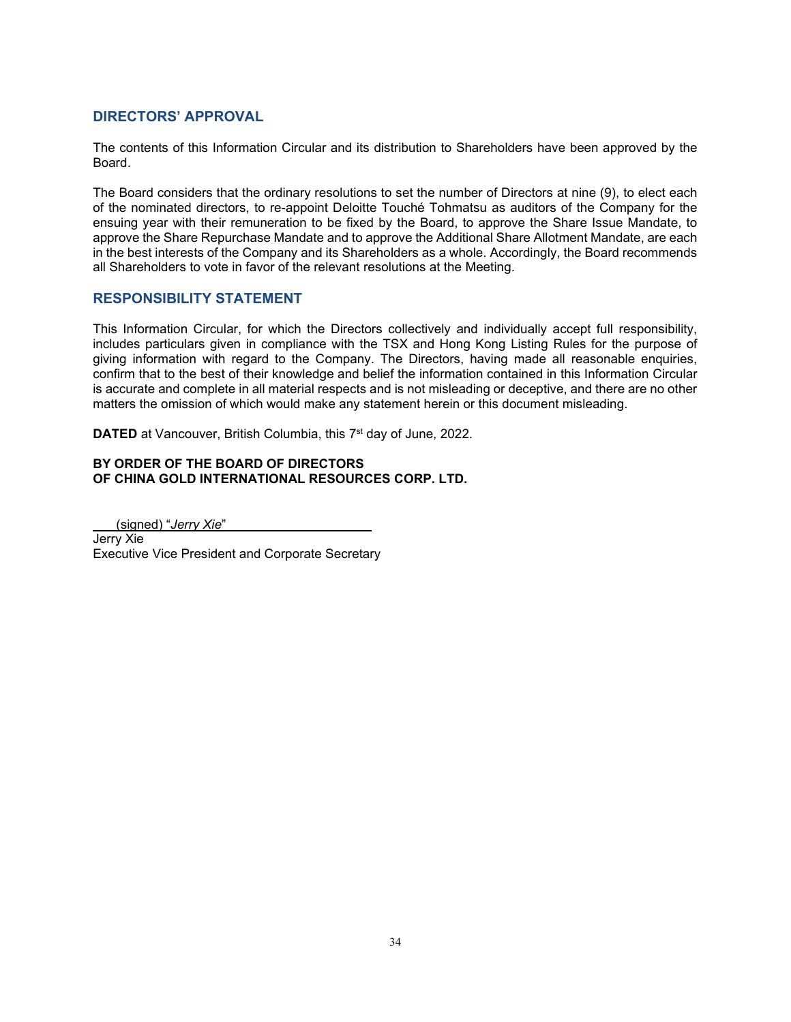## <span id="page-34-0"></span>**DIRECTORS' APPROVAL**

The contents of this Information Circular and its distribution to Shareholders have been approved by the Board.

The Board considers that the ordinary resolutions to set the number of Directors at nine (9), to elect each of the nominated directors, to re-appoint Deloitte Touché Tohmatsu as auditors of the Company for the ensuing year with their remuneration to be fixed by the Board, to approve the Share Issue Mandate, to approve the Share Repurchase Mandate and to approve the Additional Share Allotment Mandate, are each in the best interests of the Company and its Shareholders as a whole. Accordingly, the Board recommends all Shareholders to vote in favor of the relevant resolutions at the Meeting.

## <span id="page-34-1"></span>**RESPONSIBILITY STATEMENT**

This Information Circular, for which the Directors collectively and individually accept full responsibility, includes particulars given in compliance with the TSX and Hong Kong Listing Rules for the purpose of giving information with regard to the Company. The Directors, having made all reasonable enquiries, confirm that to the best of their knowledge and belief the information contained in this Information Circular is accurate and complete in all material respects and is not misleading or deceptive, and there are no other matters the omission of which would make any statement herein or this document misleading.

**DATED** at Vancouver, British Columbia, this 7<sup>st</sup> day of June, 2022.

## **BY ORDER OF THE BOARD OF DIRECTORS OF CHINA GOLD INTERNATIONAL RESOURCES CORP. LTD.**

(signed) "*Jerry Xie*" Jerry Xie Executive Vice President and Corporate Secretary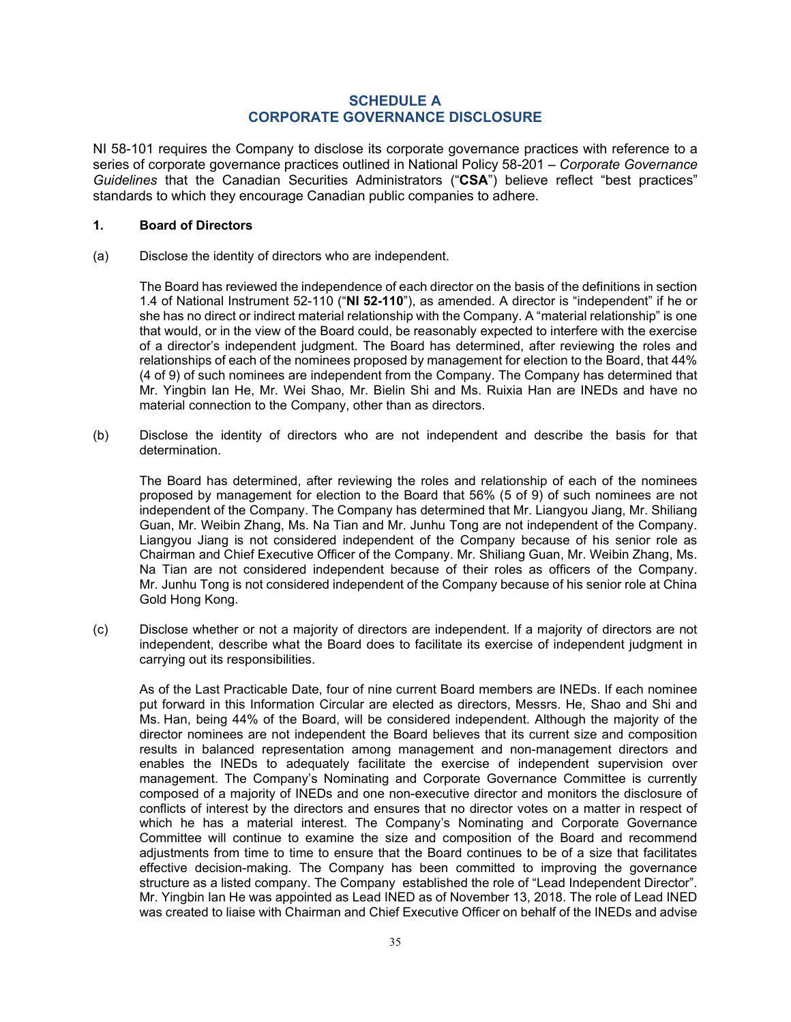## **SCHEDULE A CORPORATE GOVERNANCE DISCLOSURE**

<span id="page-35-0"></span>NI 58-101 requires the Company to disclose its corporate governance practices with reference to a series of corporate governance practices outlined in National Policy 58-201 – *Corporate Governance Guidelines* that the Canadian Securities Administrators ("**CSA**") believe reflect "best practices" standards to which they encourage Canadian public companies to adhere.

### **1. Board of Directors**

(a) Disclose the identity of directors who are independent.

The Board has reviewed the independence of each director on the basis of the definitions in section 1.4 of National Instrument 52-110 ("**NI 52-110**"), as amended. A director is "independent" if he or she has no direct or indirect material relationship with the Company. A "material relationship" is one that would, or in the view of the Board could, be reasonably expected to interfere with the exercise of a director's independent judgment. The Board has determined, after reviewing the roles and relationships of each of the nominees proposed by management for election to the Board, that 44% (4 of 9) of such nominees are independent from the Company. The Company has determined that Mr. Yingbin Ian He, Mr. Wei Shao, Mr. Bielin Shi and Ms. Ruixia Han are INEDs and have no material connection to the Company, other than as directors.

(b) Disclose the identity of directors who are not independent and describe the basis for that determination.

The Board has determined, after reviewing the roles and relationship of each of the nominees proposed by management for election to the Board that 56% (5 of 9) of such nominees are not independent of the Company. The Company has determined that Mr. Liangyou Jiang, Mr. Shiliang Guan, Mr. Weibin Zhang, Ms. Na Tian and Mr. Junhu Tong are not independent of the Company. Liangyou Jiang is not considered independent of the Company because of his senior role as Chairman and Chief Executive Officer of the Company. Mr. Shiliang Guan, Mr. Weibin Zhang, Ms. Na Tian are not considered independent because of their roles as officers of the Company. Mr. Junhu Tong is not considered independent of the Company because of his senior role at China Gold Hong Kong.

(c) Disclose whether or not a majority of directors are independent. If a majority of directors are not independent, describe what the Board does to facilitate its exercise of independent judgment in carrying out its responsibilities.

As of the Last Practicable Date, four of nine current Board members are INEDs. If each nominee put forward in this Information Circular are elected as directors, Messrs. He, Shao and Shi and Ms. Han, being 44% of the Board, will be considered independent. Although the majority of the director nominees are not independent the Board believes that its current size and composition results in balanced representation among management and non-management directors and enables the INEDs to adequately facilitate the exercise of independent supervision over management. The Company's Nominating and Corporate Governance Committee is currently composed of a majority of INEDs and one non-executive director and monitors the disclosure of conflicts of interest by the directors and ensures that no director votes on a matter in respect of which he has a material interest. The Company's Nominating and Corporate Governance Committee will continue to examine the size and composition of the Board and recommend adjustments from time to time to ensure that the Board continues to be of a size that facilitates effective decision-making. The Company has been committed to improving the governance structure as a listed company. The Company established the role of "Lead Independent Director". Mr. Yingbin Ian He was appointed as Lead INED as of November 13, 2018. The role of Lead INED was created to liaise with Chairman and Chief Executive Officer on behalf of the INEDs and advise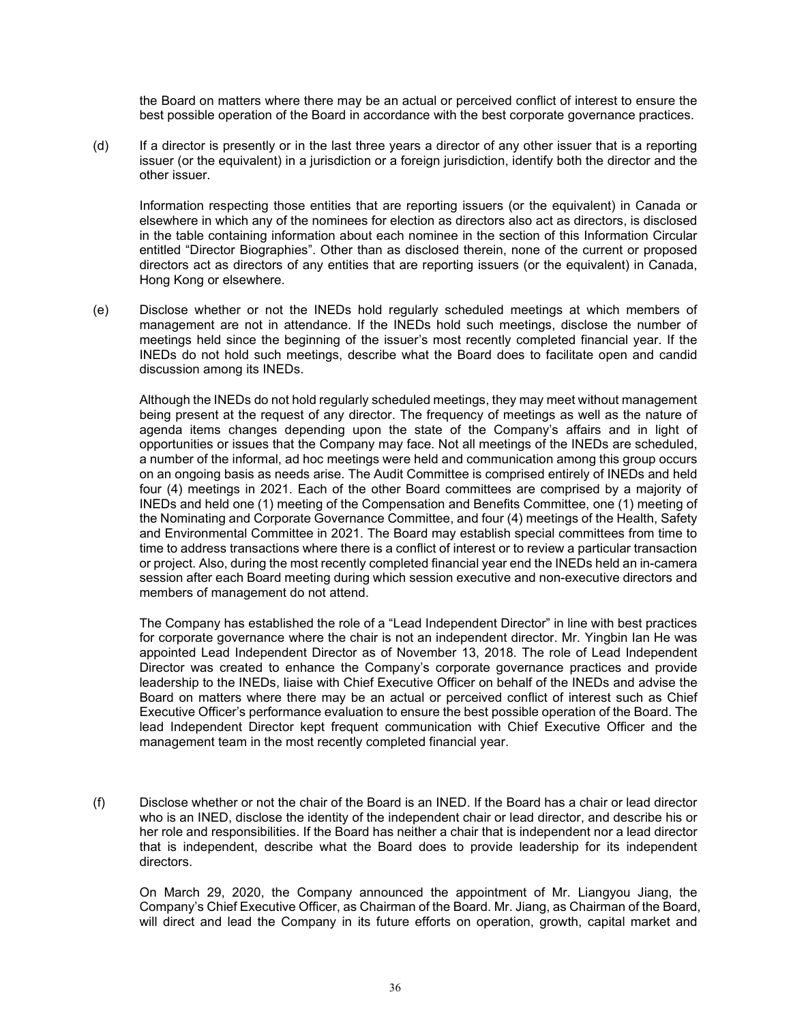the Board on matters where there may be an actual or perceived conflict of interest to ensure the best possible operation of the Board in accordance with the best corporate governance practices.

(d) If a director is presently or in the last three years a director of any other issuer that is a reporting issuer (or the equivalent) in a jurisdiction or a foreign jurisdiction, identify both the director and the other issuer.

Information respecting those entities that are reporting issuers (or the equivalent) in Canada or elsewhere in which any of the nominees for election as directors also act as directors, is disclosed in the table containing information about each nominee in the section of this Information Circular entitled ["Director Biographies"](#page-13-0). Other than as disclosed therein, none of the current or proposed directors act as directors of any entities that are reporting issuers (or the equivalent) in Canada, Hong Kong or elsewhere.

(e) Disclose whether or not the INEDs hold regularly scheduled meetings at which members of management are not in attendance. If the INEDs hold such meetings, disclose the number of meetings held since the beginning of the issuer's most recently completed financial year. If the INEDs do not hold such meetings, describe what the Board does to facilitate open and candid discussion among its INEDs.

Although the INEDs do not hold regularly scheduled meetings, they may meet without management being present at the request of any director. The frequency of meetings as well as the nature of agenda items changes depending upon the state of the Company's affairs and in light of opportunities or issues that the Company may face. Not all meetings of the INEDs are scheduled, a number of the informal, ad hoc meetings were held and communication among this group occurs on an ongoing basis as needs arise. The Audit Committee is comprised entirely of INEDs and held four (4) meetings in 2021. Each of the other Board committees are comprised by a majority of INEDs and held one (1) meeting of the Compensation and Benefits Committee, one (1) meeting of the Nominating and Corporate Governance Committee, and four (4) meetings of the Health, Safety and Environmental Committee in 2021. The Board may establish special committees from time to time to address transactions where there is a conflict of interest or to review a particular transaction or project. Also, during the most recently completed financial year end the INEDs held an in-camera session after each Board meeting during which session executive and non-executive directors and members of management do not attend.

The Company has established the role of a "Lead Independent Director" in line with best practices for corporate governance where the chair is not an independent director. Mr. Yingbin Ian He was appointed Lead Independent Director as of November 13, 2018. The role of Lead Independent Director was created to enhance the Company's corporate governance practices and provide leadership to the INEDs, liaise with Chief Executive Officer on behalf of the INEDs and advise the Board on matters where there may be an actual or perceived conflict of interest such as Chief Executive Officer's performance evaluation to ensure the best possible operation of the Board. The lead Independent Director kept frequent communication with Chief Executive Officer and the management team in the most recently completed financial year.

(f) Disclose whether or not the chair of the Board is an INED. If the Board has a chair or lead director who is an INED, disclose the identity of the independent chair or lead director, and describe his or her role and responsibilities. If the Board has neither a chair that is independent nor a lead director that is independent, describe what the Board does to provide leadership for its independent directors.

On March 29, 2020, the Company announced the appointment of Mr. Liangyou Jiang, the Company's Chief Executive Officer, as Chairman of the Board. Mr. Jiang, as Chairman of the Board, will direct and lead the Company in its future efforts on operation, growth, capital market and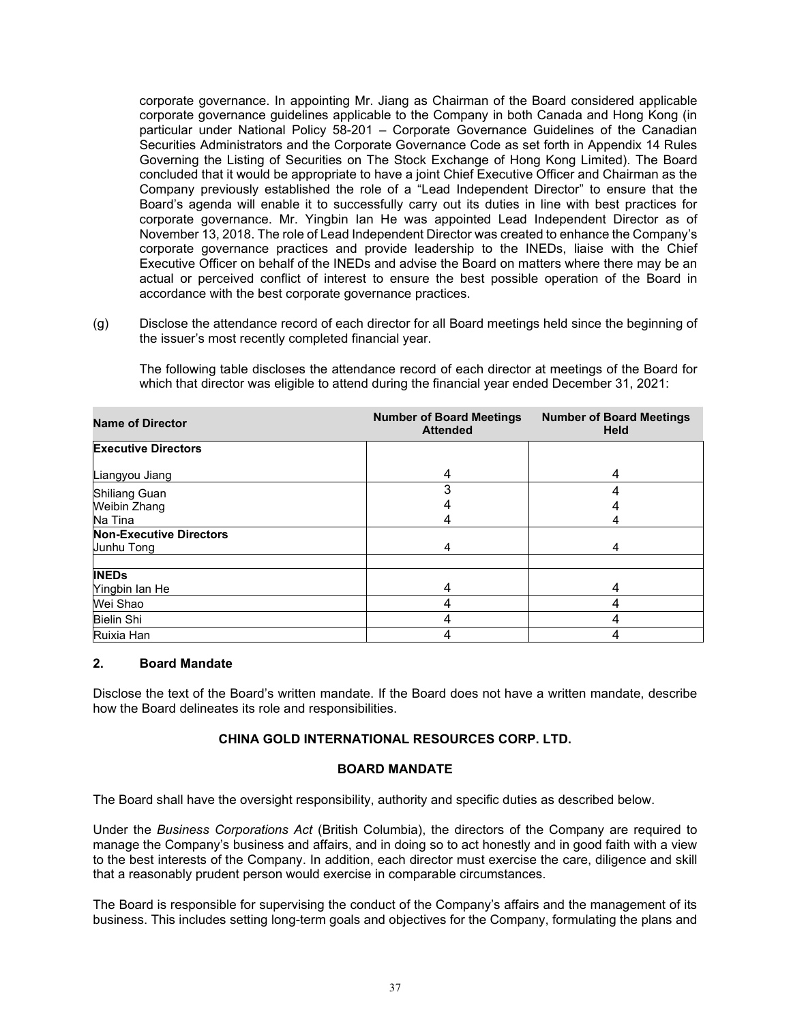corporate governance. In appointing Mr. Jiang as Chairman of the Board considered applicable corporate governance guidelines applicable to the Company in both Canada and Hong Kong (in particular under National Policy 58-201 – Corporate Governance Guidelines of the Canadian Securities Administrators and the Corporate Governance Code as set forth in Appendix 14 Rules Governing the Listing of Securities on The Stock Exchange of Hong Kong Limited). The Board concluded that it would be appropriate to have a joint Chief Executive Officer and Chairman as the Company previously established the role of a "Lead Independent Director" to ensure that the Board's agenda will enable it to successfully carry out its duties in line with best practices for corporate governance. Mr. Yingbin Ian He was appointed Lead Independent Director as of November 13, 2018. The role of Lead Independent Director was created to enhance the Company's corporate governance practices and provide leadership to the INEDs, liaise with the Chief Executive Officer on behalf of the INEDs and advise the Board on matters where there may be an actual or perceived conflict of interest to ensure the best possible operation of the Board in accordance with the best corporate governance practices.

(g) Disclose the attendance record of each director for all Board meetings held since the beginning of the issuer's most recently completed financial year.

The following table discloses the attendance record of each director at meetings of the Board for which that director was eligible to attend during the financial year ended December 31, 2021:

| <b>Name of Director</b>        | <b>Number of Board Meetings</b><br><b>Attended</b> | <b>Number of Board Meetings</b><br><b>Held</b> |
|--------------------------------|----------------------------------------------------|------------------------------------------------|
| <b>Executive Directors</b>     |                                                    |                                                |
| Liangyou Jiang                 | 4                                                  | 4                                              |
| <b>Shiliang Guan</b>           |                                                    |                                                |
| Weibin Zhang                   |                                                    |                                                |
| Na Tina                        |                                                    |                                                |
| <b>Non-Executive Directors</b> |                                                    |                                                |
| Junhu Tong                     | 4                                                  | 4                                              |
| <b>INEDs</b>                   |                                                    |                                                |
| Yingbin Ian He                 |                                                    |                                                |
| Wei Shao                       |                                                    |                                                |
| <b>Bielin Shi</b>              |                                                    |                                                |
| Ruixia Han                     |                                                    |                                                |

## **2. Board Mandate**

Disclose the text of the Board's written mandate. If the Board does not have a written mandate, describe how the Board delineates its role and responsibilities.

## **CHINA GOLD INTERNATIONAL RESOURCES CORP. LTD.**

## **BOARD MANDATE**

The Board shall have the oversight responsibility, authority and specific duties as described below.

Under the *Business Corporations Act* (British Columbia), the directors of the Company are required to manage the Company's business and affairs, and in doing so to act honestly and in good faith with a view to the best interests of the Company. In addition, each director must exercise the care, diligence and skill that a reasonably prudent person would exercise in comparable circumstances.

The Board is responsible for supervising the conduct of the Company's affairs and the management of its business. This includes setting long-term goals and objectives for the Company, formulating the plans and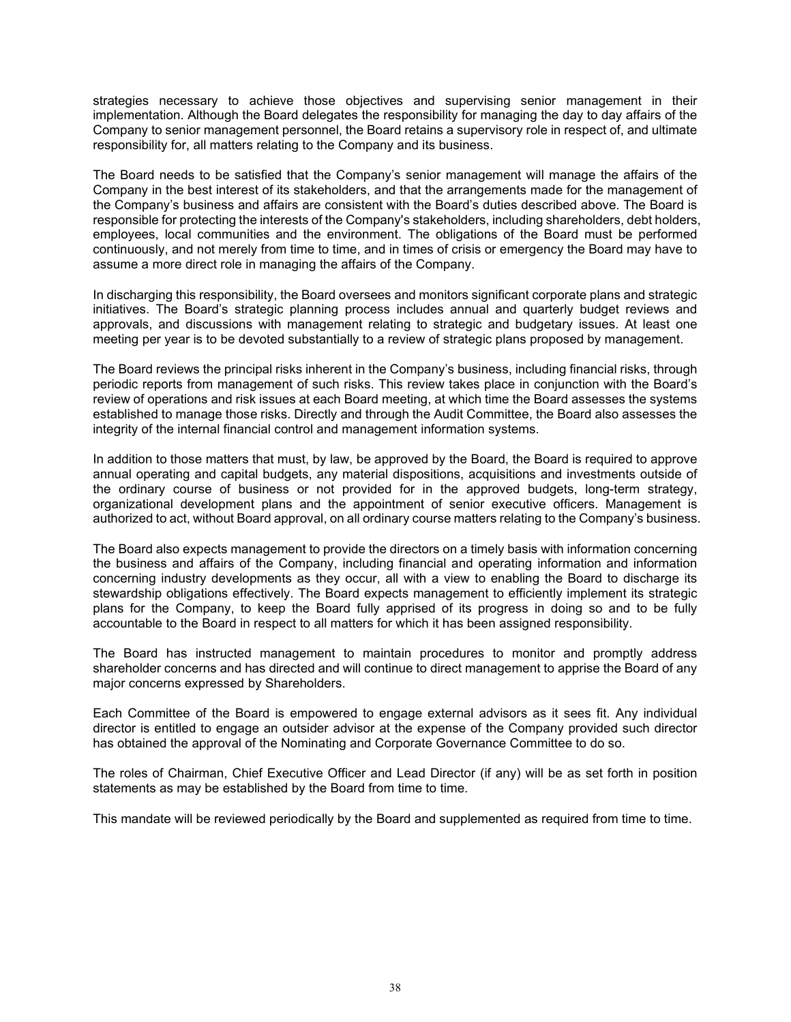strategies necessary to achieve those objectives and supervising senior management in their implementation. Although the Board delegates the responsibility for managing the day to day affairs of the Company to senior management personnel, the Board retains a supervisory role in respect of, and ultimate responsibility for, all matters relating to the Company and its business.

The Board needs to be satisfied that the Company's senior management will manage the affairs of the Company in the best interest of its stakeholders, and that the arrangements made for the management of the Company's business and affairs are consistent with the Board's duties described above. The Board is responsible for protecting the interests of the Company's stakeholders, including shareholders, debt holders, employees, local communities and the environment. The obligations of the Board must be performed continuously, and not merely from time to time, and in times of crisis or emergency the Board may have to assume a more direct role in managing the affairs of the Company.

In discharging this responsibility, the Board oversees and monitors significant corporate plans and strategic initiatives. The Board's strategic planning process includes annual and quarterly budget reviews and approvals, and discussions with management relating to strategic and budgetary issues. At least one meeting per year is to be devoted substantially to a review of strategic plans proposed by management.

The Board reviews the principal risks inherent in the Company's business, including financial risks, through periodic reports from management of such risks. This review takes place in conjunction with the Board's review of operations and risk issues at each Board meeting, at which time the Board assesses the systems established to manage those risks. Directly and through the Audit Committee, the Board also assesses the integrity of the internal financial control and management information systems.

In addition to those matters that must, by law, be approved by the Board, the Board is required to approve annual operating and capital budgets, any material dispositions, acquisitions and investments outside of the ordinary course of business or not provided for in the approved budgets, long-term strategy, organizational development plans and the appointment of senior executive officers. Management is authorized to act, without Board approval, on all ordinary course matters relating to the Company's business.

The Board also expects management to provide the directors on a timely basis with information concerning the business and affairs of the Company, including financial and operating information and information concerning industry developments as they occur, all with a view to enabling the Board to discharge its stewardship obligations effectively. The Board expects management to efficiently implement its strategic plans for the Company, to keep the Board fully apprised of its progress in doing so and to be fully accountable to the Board in respect to all matters for which it has been assigned responsibility.

The Board has instructed management to maintain procedures to monitor and promptly address shareholder concerns and has directed and will continue to direct management to apprise the Board of any major concerns expressed by Shareholders.

Each Committee of the Board is empowered to engage external advisors as it sees fit. Any individual director is entitled to engage an outsider advisor at the expense of the Company provided such director has obtained the approval of the Nominating and Corporate Governance Committee to do so.

The roles of Chairman, Chief Executive Officer and Lead Director (if any) will be as set forth in position statements as may be established by the Board from time to time.

This mandate will be reviewed periodically by the Board and supplemented as required from time to time.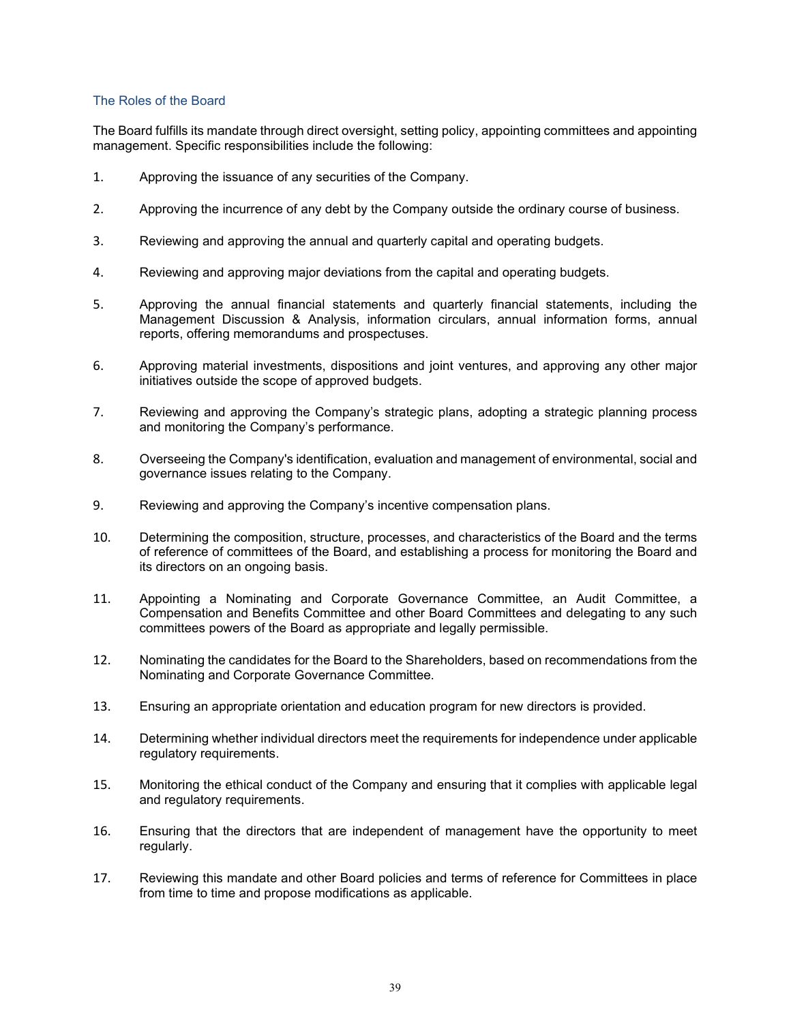## The Roles of the Board

The Board fulfills its mandate through direct oversight, setting policy, appointing committees and appointing management. Specific responsibilities include the following:

- 1. Approving the issuance of any securities of the Company.
- 2. Approving the incurrence of any debt by the Company outside the ordinary course of business.
- 3. Reviewing and approving the annual and quarterly capital and operating budgets.
- 4. Reviewing and approving major deviations from the capital and operating budgets.
- 5. Approving the annual financial statements and quarterly financial statements, including the Management Discussion & Analysis, information circulars, annual information forms, annual reports, offering memorandums and prospectuses.
- 6. Approving material investments, dispositions and joint ventures, and approving any other major initiatives outside the scope of approved budgets.
- 7. Reviewing and approving the Company's strategic plans, adopting a strategic planning process and monitoring the Company's performance.
- 8. Overseeing the Company's identification, evaluation and management of environmental, social and governance issues relating to the Company.
- 9. Reviewing and approving the Company's incentive compensation plans.
- 10. Determining the composition, structure, processes, and characteristics of the Board and the terms of reference of committees of the Board, and establishing a process for monitoring the Board and its directors on an ongoing basis.
- 11. Appointing a Nominating and Corporate Governance Committee, an Audit Committee, a Compensation and Benefits Committee and other Board Committees and delegating to any such committees powers of the Board as appropriate and legally permissible.
- 12. Nominating the candidates for the Board to the Shareholders, based on recommendations from the Nominating and Corporate Governance Committee.
- 13. Ensuring an appropriate orientation and education program for new directors is provided.
- 14. Determining whether individual directors meet the requirements for independence under applicable regulatory requirements.
- 15. Monitoring the ethical conduct of the Company and ensuring that it complies with applicable legal and regulatory requirements.
- 16. Ensuring that the directors that are independent of management have the opportunity to meet regularly.
- 17. Reviewing this mandate and other Board policies and terms of reference for Committees in place from time to time and propose modifications as applicable.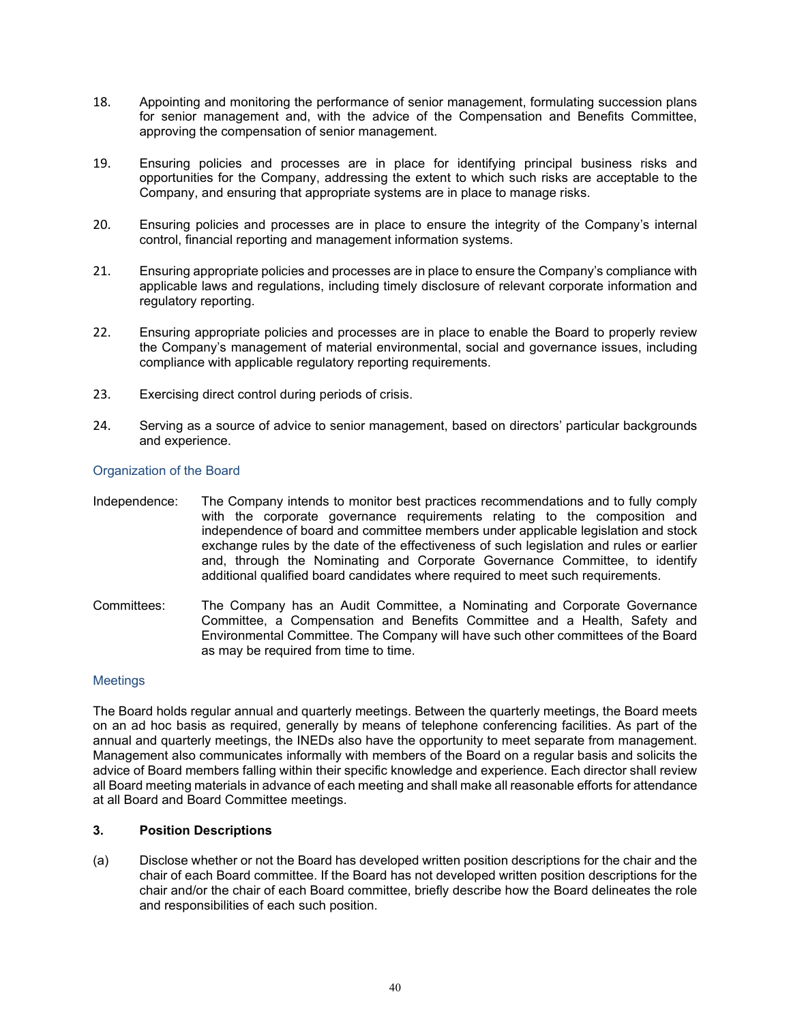- 18. Appointing and monitoring the performance of senior management, formulating succession plans for senior management and, with the advice of the Compensation and Benefits Committee, approving the compensation of senior management.
- 19. Ensuring policies and processes are in place for identifying principal business risks and opportunities for the Company, addressing the extent to which such risks are acceptable to the Company, and ensuring that appropriate systems are in place to manage risks.
- 20. Ensuring policies and processes are in place to ensure the integrity of the Company's internal control, financial reporting and management information systems.
- 21. Ensuring appropriate policies and processes are in place to ensure the Company's compliance with applicable laws and regulations, including timely disclosure of relevant corporate information and regulatory reporting.
- 22. Ensuring appropriate policies and processes are in place to enable the Board to properly review the Company's management of material environmental, social and governance issues, including compliance with applicable regulatory reporting requirements.
- 23. Exercising direct control during periods of crisis.
- 24. Serving as a source of advice to senior management, based on directors' particular backgrounds and experience.

## Organization of the Board

- Independence: The Company intends to monitor best practices recommendations and to fully comply with the corporate governance requirements relating to the composition and independence of board and committee members under applicable legislation and stock exchange rules by the date of the effectiveness of such legislation and rules or earlier and, through the Nominating and Corporate Governance Committee, to identify additional qualified board candidates where required to meet such requirements.
- Committees: The Company has an Audit Committee, a Nominating and Corporate Governance Committee, a Compensation and Benefits Committee and a Health, Safety and Environmental Committee. The Company will have such other committees of the Board as may be required from time to time.

## **Meetings**

The Board holds regular annual and quarterly meetings. Between the quarterly meetings, the Board meets on an ad hoc basis as required, generally by means of telephone conferencing facilities. As part of the annual and quarterly meetings, the INEDs also have the opportunity to meet separate from management. Management also communicates informally with members of the Board on a regular basis and solicits the advice of Board members falling within their specific knowledge and experience. Each director shall review all Board meeting materials in advance of each meeting and shall make all reasonable efforts for attendance at all Board and Board Committee meetings.

## **3. Position Descriptions**

(a) Disclose whether or not the Board has developed written position descriptions for the chair and the chair of each Board committee. If the Board has not developed written position descriptions for the chair and/or the chair of each Board committee, briefly describe how the Board delineates the role and responsibilities of each such position.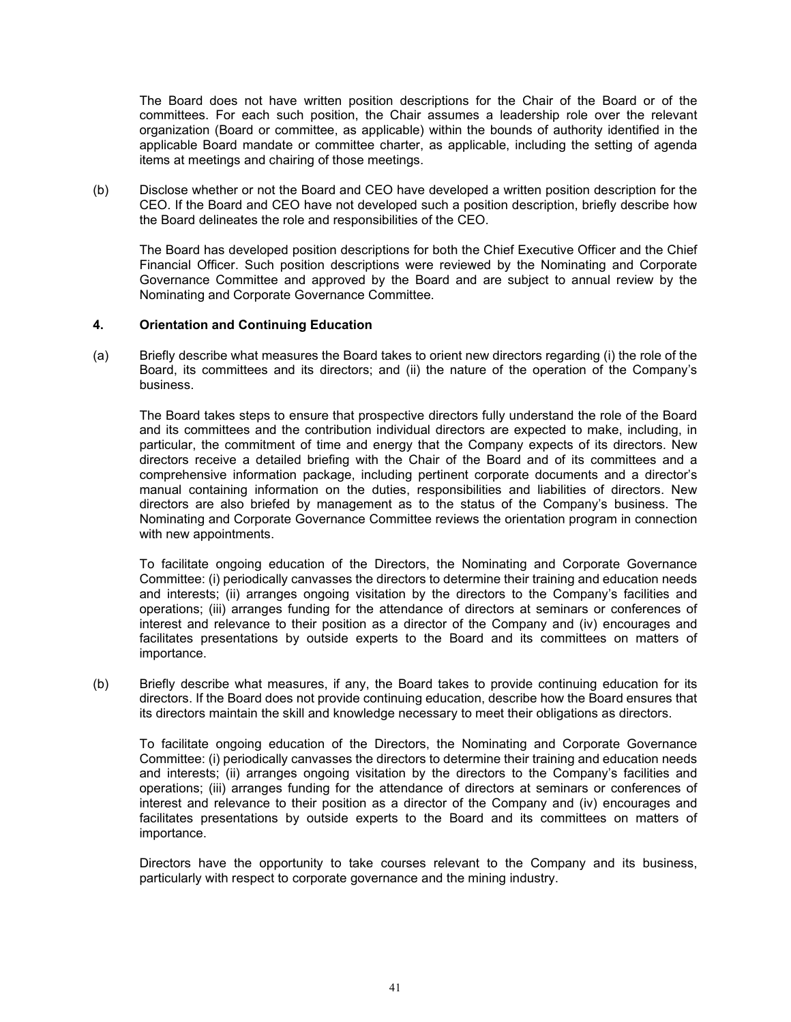The Board does not have written position descriptions for the Chair of the Board or of the committees. For each such position, the Chair assumes a leadership role over the relevant organization (Board or committee, as applicable) within the bounds of authority identified in the applicable Board mandate or committee charter, as applicable, including the setting of agenda items at meetings and chairing of those meetings.

(b) Disclose whether or not the Board and CEO have developed a written position description for the CEO. If the Board and CEO have not developed such a position description, briefly describe how the Board delineates the role and responsibilities of the CEO.

The Board has developed position descriptions for both the Chief Executive Officer and the Chief Financial Officer. Such position descriptions were reviewed by the Nominating and Corporate Governance Committee and approved by the Board and are subject to annual review by the Nominating and Corporate Governance Committee.

## **4. Orientation and Continuing Education**

(a) Briefly describe what measures the Board takes to orient new directors regarding (i) the role of the Board, its committees and its directors; and (ii) the nature of the operation of the Company's business.

The Board takes steps to ensure that prospective directors fully understand the role of the Board and its committees and the contribution individual directors are expected to make, including, in particular, the commitment of time and energy that the Company expects of its directors. New directors receive a detailed briefing with the Chair of the Board and of its committees and a comprehensive information package, including pertinent corporate documents and a director's manual containing information on the duties, responsibilities and liabilities of directors. New directors are also briefed by management as to the status of the Company's business. The Nominating and Corporate Governance Committee reviews the orientation program in connection with new appointments.

To facilitate ongoing education of the Directors, the Nominating and Corporate Governance Committee: (i) periodically canvasses the directors to determine their training and education needs and interests; (ii) arranges ongoing visitation by the directors to the Company's facilities and operations; (iii) arranges funding for the attendance of directors at seminars or conferences of interest and relevance to their position as a director of the Company and (iv) encourages and facilitates presentations by outside experts to the Board and its committees on matters of importance.

(b) Briefly describe what measures, if any, the Board takes to provide continuing education for its directors. If the Board does not provide continuing education, describe how the Board ensures that its directors maintain the skill and knowledge necessary to meet their obligations as directors.

To facilitate ongoing education of the Directors, the Nominating and Corporate Governance Committee: (i) periodically canvasses the directors to determine their training and education needs and interests; (ii) arranges ongoing visitation by the directors to the Company's facilities and operations; (iii) arranges funding for the attendance of directors at seminars or conferences of interest and relevance to their position as a director of the Company and (iv) encourages and facilitates presentations by outside experts to the Board and its committees on matters of importance.

Directors have the opportunity to take courses relevant to the Company and its business, particularly with respect to corporate governance and the mining industry.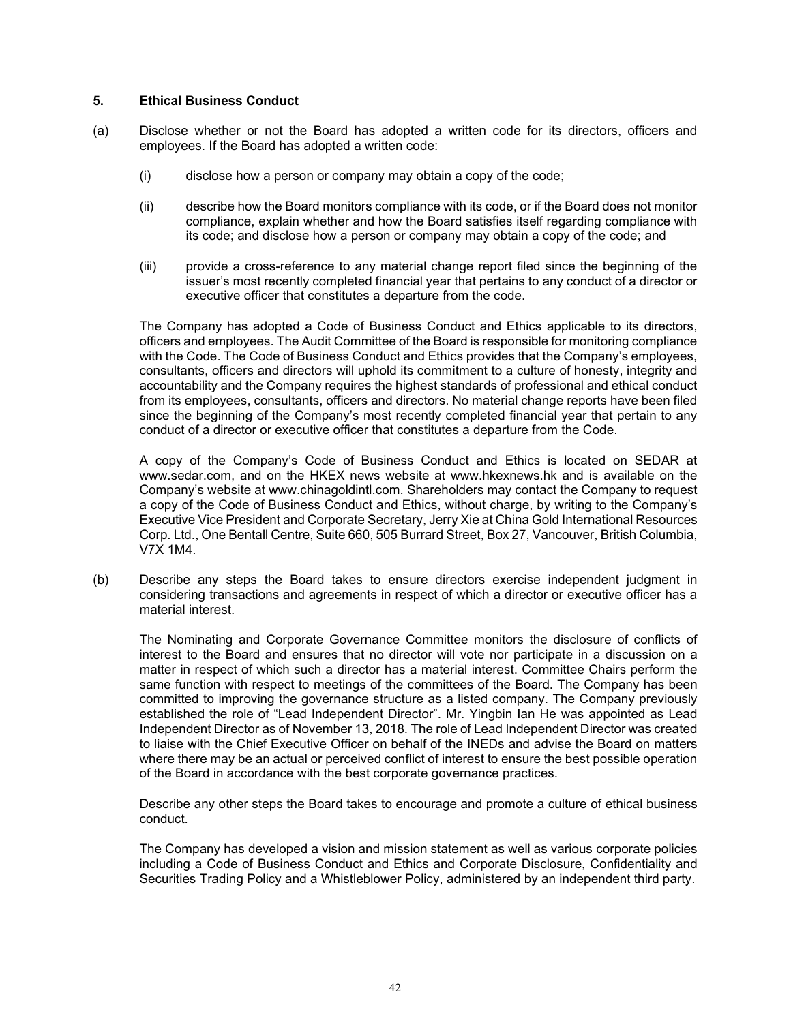## **5. Ethical Business Conduct**

- (a) Disclose whether or not the Board has adopted a written code for its directors, officers and employees. If the Board has adopted a written code:
	- (i) disclose how a person or company may obtain a copy of the code;
	- (ii) describe how the Board monitors compliance with its code, or if the Board does not monitor compliance, explain whether and how the Board satisfies itself regarding compliance with its code; and disclose how a person or company may obtain a copy of the code; and
	- (iii) provide a cross-reference to any material change report filed since the beginning of the issuer's most recently completed financial year that pertains to any conduct of a director or executive officer that constitutes a departure from the code.

The Company has adopted a Code of Business Conduct and Ethics applicable to its directors, officers and employees. The Audit Committee of the Board is responsible for monitoring compliance with the Code. The Code of Business Conduct and Ethics provides that the Company's employees, consultants, officers and directors will uphold its commitment to a culture of honesty, integrity and accountability and the Company requires the highest standards of professional and ethical conduct from its employees, consultants, officers and directors. No material change reports have been filed since the beginning of the Company's most recently completed financial year that pertain to any conduct of a director or executive officer that constitutes a departure from the Code.

A copy of the Company's Code of Business Conduct and Ethics is located on SEDAR at www.sedar.com, and on the HKEX news website at [www.hkexnews.hk](http://www.hkexnews.hk/) and is available on the Company's website at www.chinagoldintl.com. Shareholders may contact the Company to request a copy of the Code of Business Conduct and Ethics, without charge, by writing to the Company's Executive Vice President and Corporate Secretary, Jerry Xie at China Gold International Resources Corp. Ltd., One Bentall Centre, Suite 660, 505 Burrard Street, Box 27, Vancouver, British Columbia, V7X 1M4.

(b) Describe any steps the Board takes to ensure directors exercise independent judgment in considering transactions and agreements in respect of which a director or executive officer has a material interest.

The Nominating and Corporate Governance Committee monitors the disclosure of conflicts of interest to the Board and ensures that no director will vote nor participate in a discussion on a matter in respect of which such a director has a material interest. Committee Chairs perform the same function with respect to meetings of the committees of the Board. The Company has been committed to improving the governance structure as a listed company. The Company previously established the role of "Lead Independent Director". Mr. Yingbin Ian He was appointed as Lead Independent Director as of November 13, 2018. The role of Lead Independent Director was created to liaise with the Chief Executive Officer on behalf of the INEDs and advise the Board on matters where there may be an actual or perceived conflict of interest to ensure the best possible operation of the Board in accordance with the best corporate governance practices.

Describe any other steps the Board takes to encourage and promote a culture of ethical business conduct.

The Company has developed a vision and mission statement as well as various corporate policies including a Code of Business Conduct and Ethics and Corporate Disclosure, Confidentiality and Securities Trading Policy and a Whistleblower Policy, administered by an independent third party.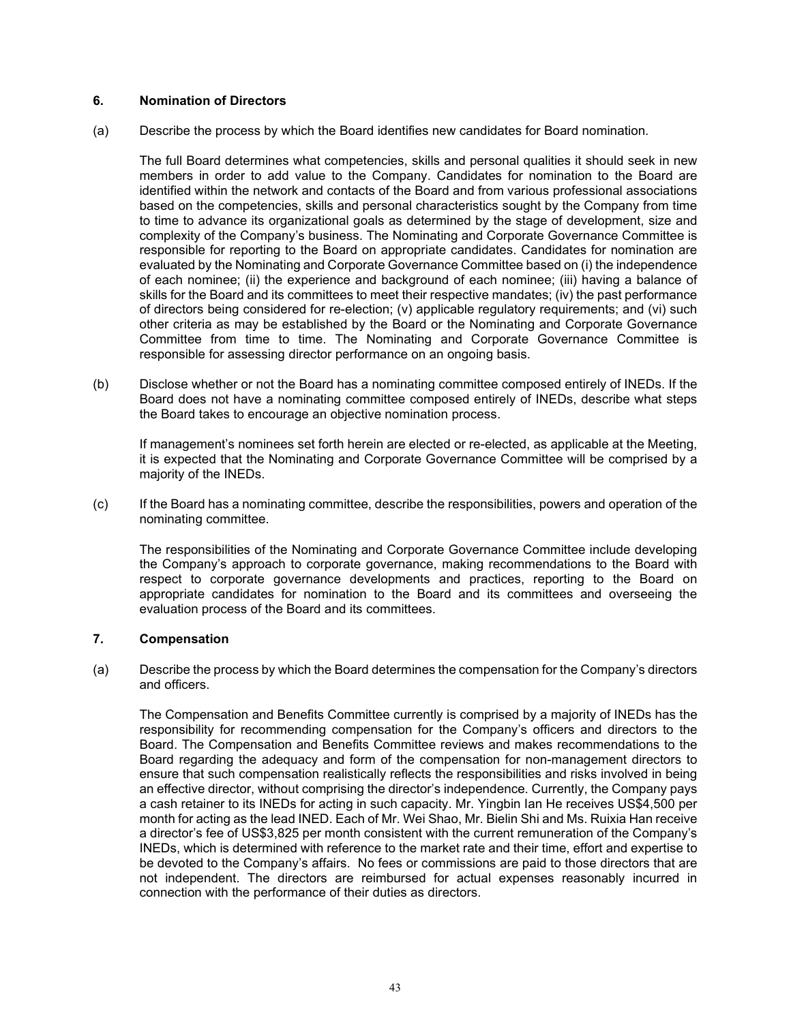## **6. Nomination of Directors**

(a) Describe the process by which the Board identifies new candidates for Board nomination.

The full Board determines what competencies, skills and personal qualities it should seek in new members in order to add value to the Company. Candidates for nomination to the Board are identified within the network and contacts of the Board and from various professional associations based on the competencies, skills and personal characteristics sought by the Company from time to time to advance its organizational goals as determined by the stage of development, size and complexity of the Company's business. The Nominating and Corporate Governance Committee is responsible for reporting to the Board on appropriate candidates. Candidates for nomination are evaluated by the Nominating and Corporate Governance Committee based on (i) the independence of each nominee; (ii) the experience and background of each nominee; (iii) having a balance of skills for the Board and its committees to meet their respective mandates; (iv) the past performance of directors being considered for re-election; (v) applicable regulatory requirements; and (vi) such other criteria as may be established by the Board or the Nominating and Corporate Governance Committee from time to time. The Nominating and Corporate Governance Committee is responsible for assessing director performance on an ongoing basis.

(b) Disclose whether or not the Board has a nominating committee composed entirely of INEDs. If the Board does not have a nominating committee composed entirely of INEDs, describe what steps the Board takes to encourage an objective nomination process.

If management's nominees set forth herein are elected or re-elected, as applicable at the Meeting, it is expected that the Nominating and Corporate Governance Committee will be comprised by a majority of the INEDs.

(c) If the Board has a nominating committee, describe the responsibilities, powers and operation of the nominating committee.

The responsibilities of the Nominating and Corporate Governance Committee include developing the Company's approach to corporate governance, making recommendations to the Board with respect to corporate governance developments and practices, reporting to the Board on appropriate candidates for nomination to the Board and its committees and overseeing the evaluation process of the Board and its committees.

## **7. Compensation**

(a) Describe the process by which the Board determines the compensation for the Company's directors and officers.

The Compensation and Benefits Committee currently is comprised by a majority of INEDs has the responsibility for recommending compensation for the Company's officers and directors to the Board. The Compensation and Benefits Committee reviews and makes recommendations to the Board regarding the adequacy and form of the compensation for non-management directors to ensure that such compensation realistically reflects the responsibilities and risks involved in being an effective director, without comprising the director's independence. Currently, the Company pays a cash retainer to its INEDs for acting in such capacity. Mr. Yingbin Ian He receives US\$4,500 per month for acting as the lead INED. Each of Mr. Wei Shao, Mr. Bielin Shi and Ms. Ruixia Han receive a director's fee of US\$3,825 per month consistent with the current remuneration of the Company's INEDs, which is determined with reference to the market rate and their time, effort and expertise to be devoted to the Company's affairs. No fees or commissions are paid to those directors that are not independent. The directors are reimbursed for actual expenses reasonably incurred in connection with the performance of their duties as directors.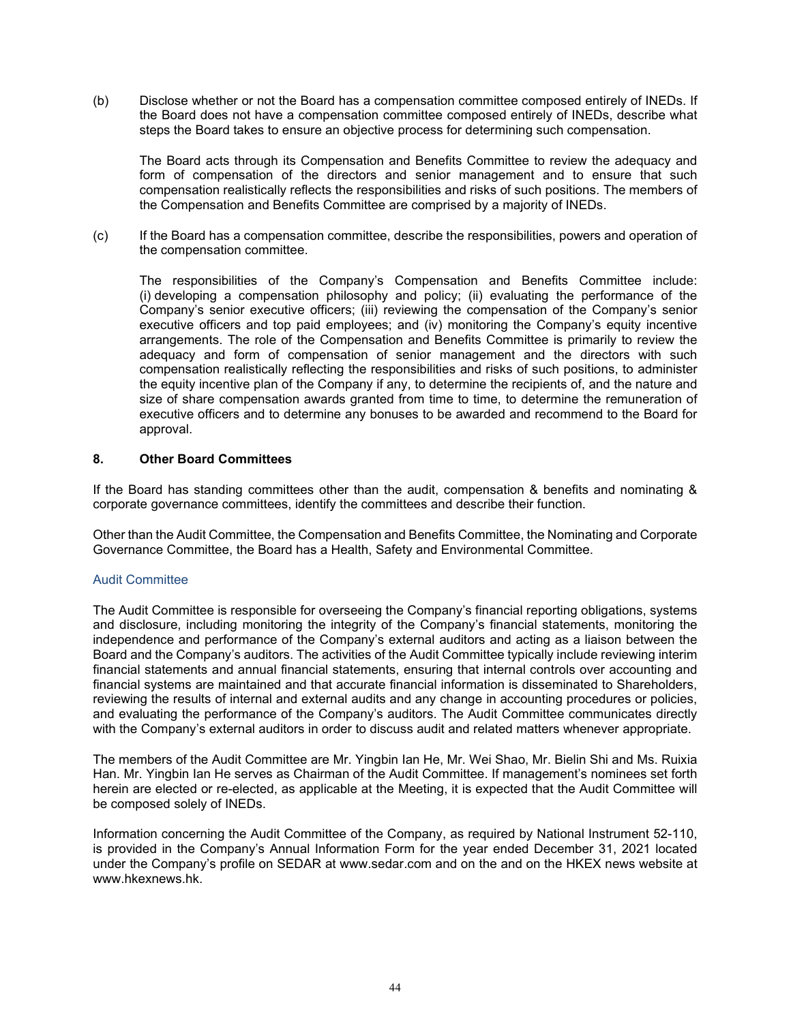(b) Disclose whether or not the Board has a compensation committee composed entirely of INEDs. If the Board does not have a compensation committee composed entirely of INEDs, describe what steps the Board takes to ensure an objective process for determining such compensation.

The Board acts through its Compensation and Benefits Committee to review the adequacy and form of compensation of the directors and senior management and to ensure that such compensation realistically reflects the responsibilities and risks of such positions. The members of the Compensation and Benefits Committee are comprised by a majority of INEDs.

(c) If the Board has a compensation committee, describe the responsibilities, powers and operation of the compensation committee.

The responsibilities of the Company's Compensation and Benefits Committee include: (i) developing a compensation philosophy and policy; (ii) evaluating the performance of the Company's senior executive officers; (iii) reviewing the compensation of the Company's senior executive officers and top paid employees; and (iv) monitoring the Company's equity incentive arrangements. The role of the Compensation and Benefits Committee is primarily to review the adequacy and form of compensation of senior management and the directors with such compensation realistically reflecting the responsibilities and risks of such positions, to administer the equity incentive plan of the Company if any, to determine the recipients of, and the nature and size of share compensation awards granted from time to time, to determine the remuneration of executive officers and to determine any bonuses to be awarded and recommend to the Board for approval.

## **8. Other Board Committees**

If the Board has standing committees other than the audit, compensation & benefits and nominating & corporate governance committees, identify the committees and describe their function.

Other than the Audit Committee, the Compensation and Benefits Committee, the Nominating and Corporate Governance Committee, the Board has a Health, Safety and Environmental Committee.

## Audit Committee

The Audit Committee is responsible for overseeing the Company's financial reporting obligations, systems and disclosure, including monitoring the integrity of the Company's financial statements, monitoring the independence and performance of the Company's external auditors and acting as a liaison between the Board and the Company's auditors. The activities of the Audit Committee typically include reviewing interim financial statements and annual financial statements, ensuring that internal controls over accounting and financial systems are maintained and that accurate financial information is disseminated to Shareholders, reviewing the results of internal and external audits and any change in accounting procedures or policies, and evaluating the performance of the Company's auditors. The Audit Committee communicates directly with the Company's external auditors in order to discuss audit and related matters whenever appropriate.

The members of the Audit Committee are Mr. Yingbin Ian He, Mr. Wei Shao, Mr. Bielin Shi and Ms. Ruixia Han. Mr. Yingbin Ian He serves as Chairman of the Audit Committee. If management's nominees set forth herein are elected or re-elected, as applicable at the Meeting, it is expected that the Audit Committee will be composed solely of INEDs.

Information concerning the Audit Committee of the Company, as required by National Instrument 52-110, is provided in the Company's Annual Information Form for the year ended December 31, 2021 located under the Company's profile on SEDAR at www.sedar.com and on the and on the HKEX news website at [www.hkexnews.hk.](http://www.hkexnews.hk/)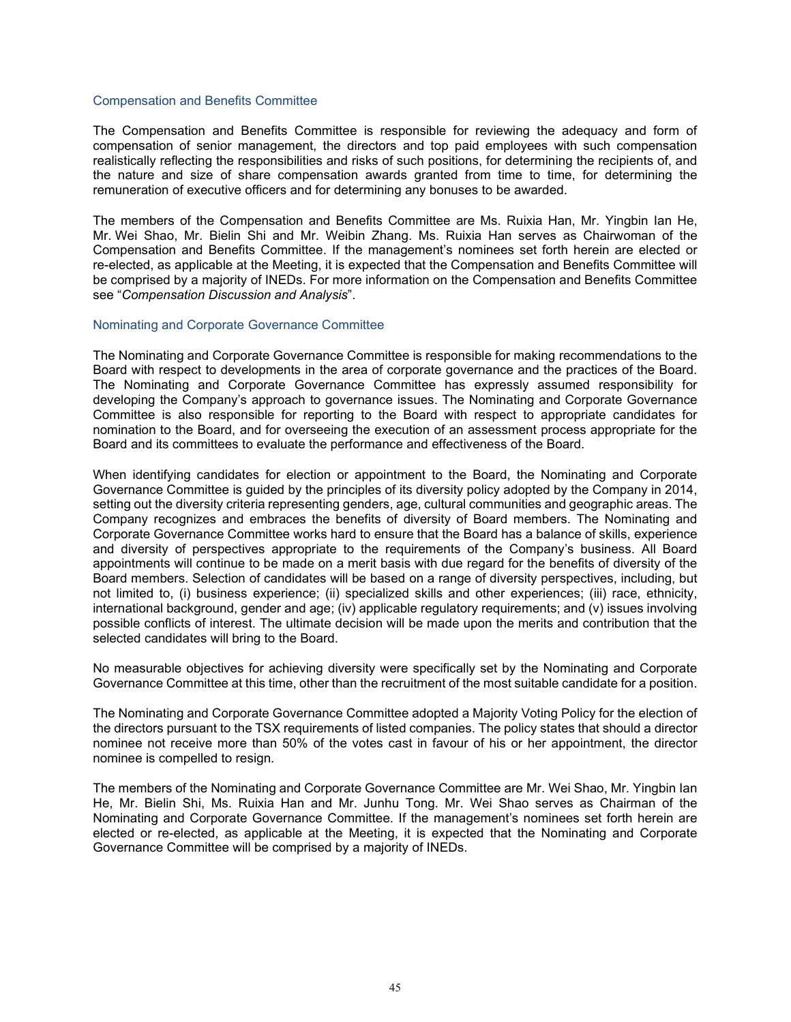#### Compensation and Benefits Committee

The Compensation and Benefits Committee is responsible for reviewing the adequacy and form of compensation of senior management, the directors and top paid employees with such compensation realistically reflecting the responsibilities and risks of such positions, for determining the recipients of, and the nature and size of share compensation awards granted from time to time, for determining the remuneration of executive officers and for determining any bonuses to be awarded.

The members of the Compensation and Benefits Committee are Ms. Ruixia Han, Mr. Yingbin Ian He, Mr. Wei Shao, Mr. Bielin Shi and Mr. Weibin Zhang. Ms. Ruixia Han serves as Chairwoman of the Compensation and Benefits Committee. If the management's nominees set forth herein are elected or re-elected, as applicable at the Meeting, it is expected that the Compensation and Benefits Committee will be comprised by a majority of INEDs. For more information on the Compensation and Benefits Committee see "*Compensation Discussion and Analysis*".

### Nominating and Corporate Governance Committee

The Nominating and Corporate Governance Committee is responsible for making recommendations to the Board with respect to developments in the area of corporate governance and the practices of the Board. The Nominating and Corporate Governance Committee has expressly assumed responsibility for developing the Company's approach to governance issues. The Nominating and Corporate Governance Committee is also responsible for reporting to the Board with respect to appropriate candidates for nomination to the Board, and for overseeing the execution of an assessment process appropriate for the Board and its committees to evaluate the performance and effectiveness of the Board.

When identifying candidates for election or appointment to the Board, the Nominating and Corporate Governance Committee is guided by the principles of its diversity policy adopted by the Company in 2014, setting out the diversity criteria representing genders, age, cultural communities and geographic areas. The Company recognizes and embraces the benefits of diversity of Board members. The Nominating and Corporate Governance Committee works hard to ensure that the Board has a balance of skills, experience and diversity of perspectives appropriate to the requirements of the Company's business. All Board appointments will continue to be made on a merit basis with due regard for the benefits of diversity of the Board members. Selection of candidates will be based on a range of diversity perspectives, including, but not limited to, (i) business experience; (ii) specialized skills and other experiences; (iii) race, ethnicity, international background, gender and age; (iv) applicable regulatory requirements; and (v) issues involving possible conflicts of interest. The ultimate decision will be made upon the merits and contribution that the selected candidates will bring to the Board.

No measurable objectives for achieving diversity were specifically set by the Nominating and Corporate Governance Committee at this time, other than the recruitment of the most suitable candidate for a position.

The Nominating and Corporate Governance Committee adopted a Majority Voting Policy for the election of the directors pursuant to the TSX requirements of listed companies. The policy states that should a director nominee not receive more than 50% of the votes cast in favour of his or her appointment, the director nominee is compelled to resign.

The members of the Nominating and Corporate Governance Committee are Mr. Wei Shao, Mr. Yingbin Ian He, Mr. Bielin Shi, Ms. Ruixia Han and Mr. Junhu Tong. Mr. Wei Shao serves as Chairman of the Nominating and Corporate Governance Committee. If the management's nominees set forth herein are elected or re-elected, as applicable at the Meeting, it is expected that the Nominating and Corporate Governance Committee will be comprised by a majority of INEDs.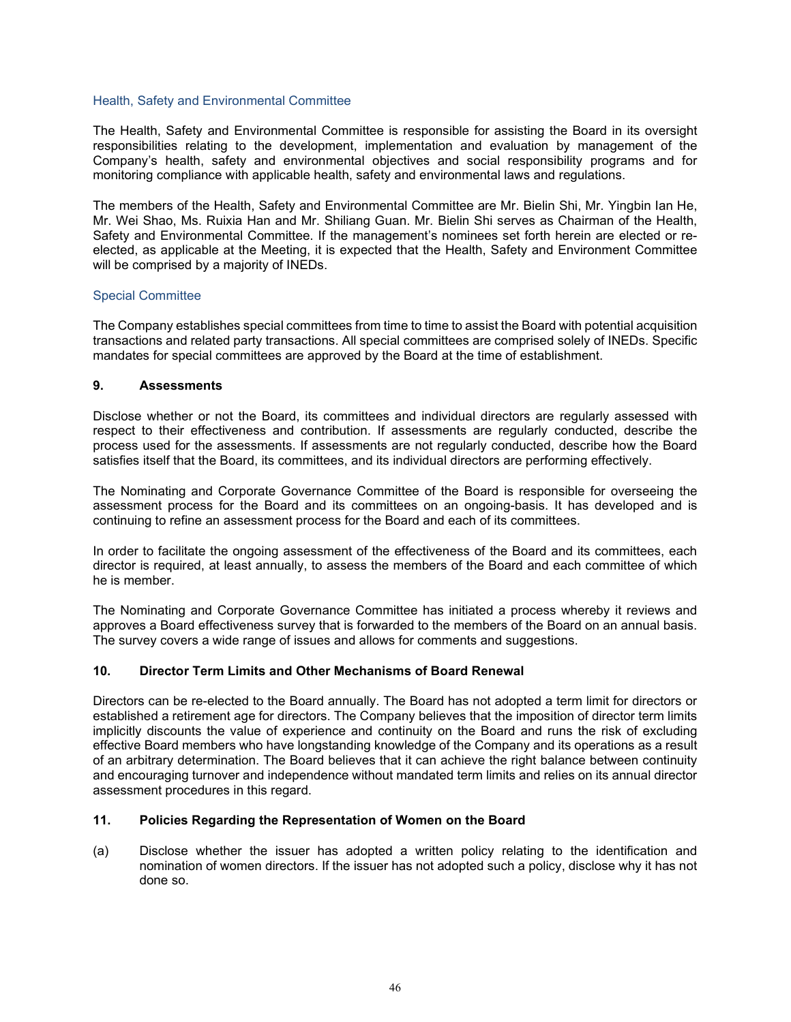## Health, Safety and Environmental Committee

The Health, Safety and Environmental Committee is responsible for assisting the Board in its oversight responsibilities relating to the development, implementation and evaluation by management of the Company's health, safety and environmental objectives and social responsibility programs and for monitoring compliance with applicable health, safety and environmental laws and regulations.

The members of the Health, Safety and Environmental Committee are Mr. Bielin Shi, Mr. Yingbin Ian He, Mr. Wei Shao, Ms. Ruixia Han and Mr. Shiliang Guan. Mr. Bielin Shi serves as Chairman of the Health, Safety and Environmental Committee. If the management's nominees set forth herein are elected or reelected, as applicable at the Meeting, it is expected that the Health, Safety and Environment Committee will be comprised by a majority of INEDs.

### Special Committee

The Company establishes special committees from time to time to assist the Board with potential acquisition transactions and related party transactions. All special committees are comprised solely of INEDs. Specific mandates for special committees are approved by the Board at the time of establishment.

### **9. Assessments**

Disclose whether or not the Board, its committees and individual directors are regularly assessed with respect to their effectiveness and contribution. If assessments are regularly conducted, describe the process used for the assessments. If assessments are not regularly conducted, describe how the Board satisfies itself that the Board, its committees, and its individual directors are performing effectively.

The Nominating and Corporate Governance Committee of the Board is responsible for overseeing the assessment process for the Board and its committees on an ongoing-basis. It has developed and is continuing to refine an assessment process for the Board and each of its committees.

In order to facilitate the ongoing assessment of the effectiveness of the Board and its committees, each director is required, at least annually, to assess the members of the Board and each committee of which he is member.

The Nominating and Corporate Governance Committee has initiated a process whereby it reviews and approves a Board effectiveness survey that is forwarded to the members of the Board on an annual basis. The survey covers a wide range of issues and allows for comments and suggestions.

## **10. Director Term Limits and Other Mechanisms of Board Renewal**

Directors can be re-elected to the Board annually. The Board has not adopted a term limit for directors or established a retirement age for directors. The Company believes that the imposition of director term limits implicitly discounts the value of experience and continuity on the Board and runs the risk of excluding effective Board members who have longstanding knowledge of the Company and its operations as a result of an arbitrary determination. The Board believes that it can achieve the right balance between continuity and encouraging turnover and independence without mandated term limits and relies on its annual director assessment procedures in this regard.

## **11. Policies Regarding the Representation of Women on the Board**

(a) Disclose whether the issuer has adopted a written policy relating to the identification and nomination of women directors. If the issuer has not adopted such a policy, disclose why it has not done so.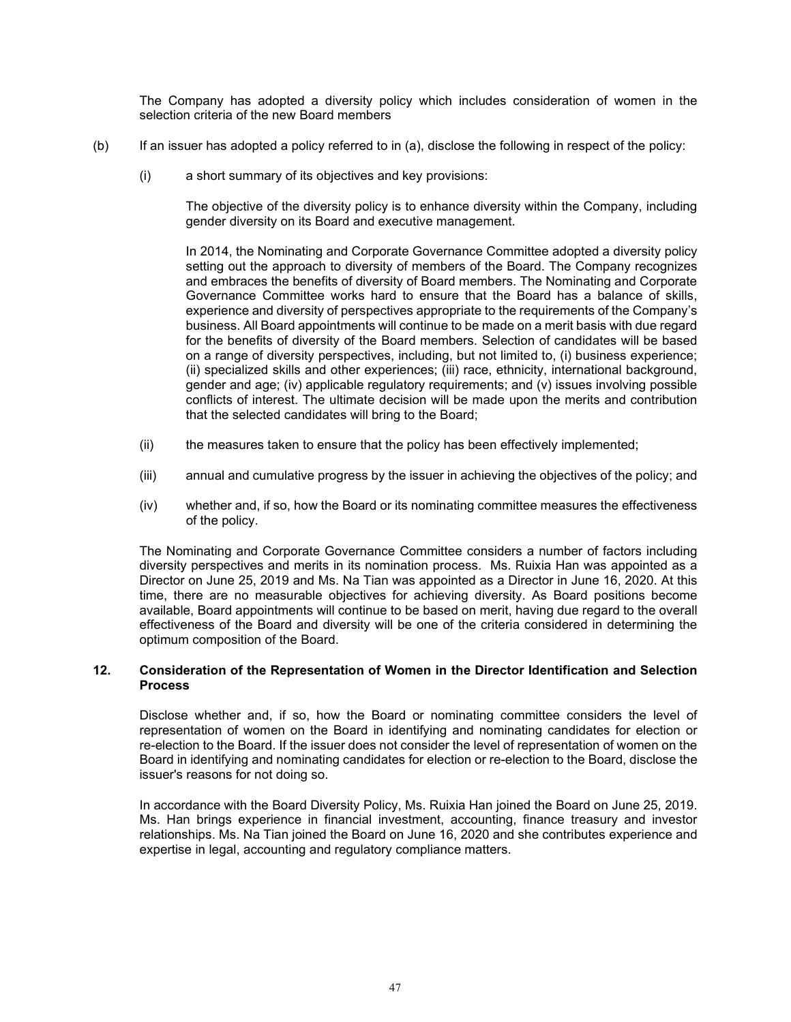The Company has adopted a diversity policy which includes consideration of women in the selection criteria of the new Board members

- (b) If an issuer has adopted a policy referred to in (a), disclose the following in respect of the policy:
	- (i) a short summary of its objectives and key provisions:

The objective of the diversity policy is to enhance diversity within the Company, including gender diversity on its Board and executive management.

In 2014, the Nominating and Corporate Governance Committee adopted a diversity policy setting out the approach to diversity of members of the Board. The Company recognizes and embraces the benefits of diversity of Board members. The Nominating and Corporate Governance Committee works hard to ensure that the Board has a balance of skills, experience and diversity of perspectives appropriate to the requirements of the Company's business. All Board appointments will continue to be made on a merit basis with due regard for the benefits of diversity of the Board members. Selection of candidates will be based on a range of diversity perspectives, including, but not limited to, (i) business experience; (ii) specialized skills and other experiences; (iii) race, ethnicity, international background, gender and age; (iv) applicable regulatory requirements; and (v) issues involving possible conflicts of interest. The ultimate decision will be made upon the merits and contribution that the selected candidates will bring to the Board;

- (ii) the measures taken to ensure that the policy has been effectively implemented;
- (iii) annual and cumulative progress by the issuer in achieving the objectives of the policy; and
- (iv) whether and, if so, how the Board or its nominating committee measures the effectiveness of the policy.

The Nominating and Corporate Governance Committee considers a number of factors including diversity perspectives and merits in its nomination process. Ms. Ruixia Han was appointed as a Director on June 25, 2019 and Ms. Na Tian was appointed as a Director in June 16, 2020. At this time, there are no measurable objectives for achieving diversity. As Board positions become available, Board appointments will continue to be based on merit, having due regard to the overall effectiveness of the Board and diversity will be one of the criteria considered in determining the optimum composition of the Board.

## **12. Consideration of the Representation of Women in the Director Identification and Selection Process**

Disclose whether and, if so, how the Board or nominating committee considers the level of representation of women on the Board in identifying and nominating candidates for election or re-election to the Board. If the issuer does not consider the level of representation of women on the Board in identifying and nominating candidates for election or re-election to the Board, disclose the issuer's reasons for not doing so.

In accordance with the Board Diversity Policy, Ms. Ruixia Han joined the Board on June 25, 2019. Ms. Han brings experience in financial investment, accounting, finance treasury and investor relationships. Ms. Na Tian joined the Board on June 16, 2020 and she contributes experience and expertise in legal, accounting and regulatory compliance matters.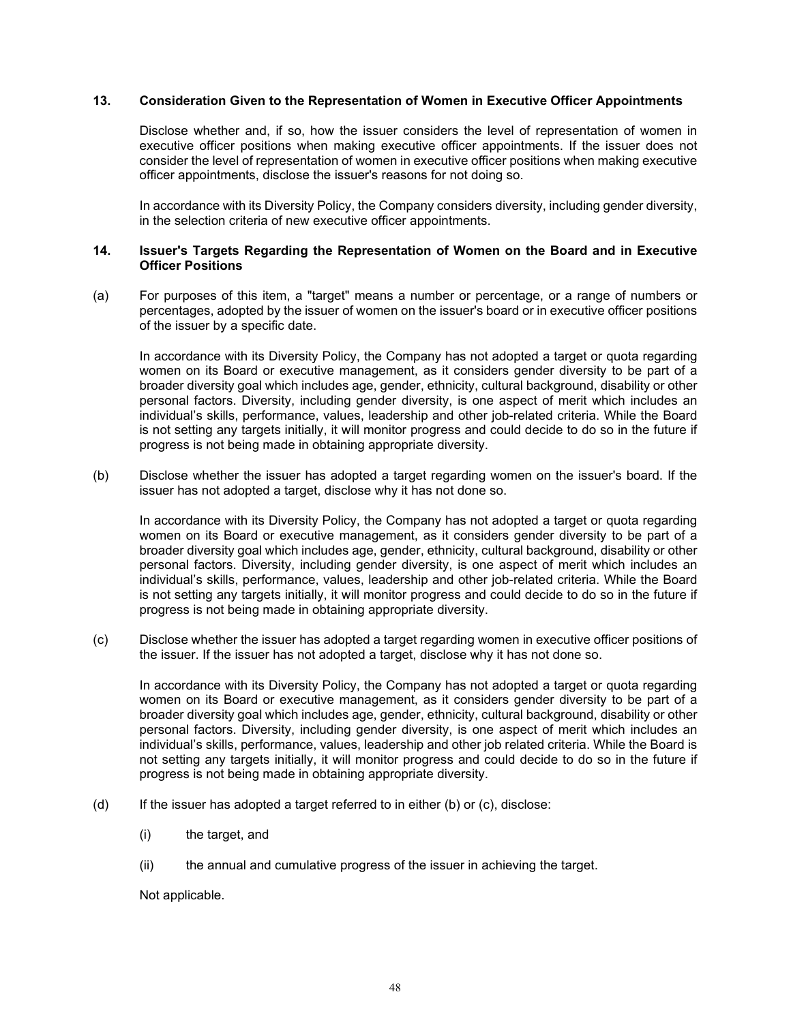## **13. Consideration Given to the Representation of Women in Executive Officer Appointments**

Disclose whether and, if so, how the issuer considers the level of representation of women in executive officer positions when making executive officer appointments. If the issuer does not consider the level of representation of women in executive officer positions when making executive officer appointments, disclose the issuer's reasons for not doing so.

In accordance with its Diversity Policy, the Company considers diversity, including gender diversity, in the selection criteria of new executive officer appointments.

## **14. Issuer's Targets Regarding the Representation of Women on the Board and in Executive Officer Positions**

(a) For purposes of this item, a "target" means a number or percentage, or a range of numbers or percentages, adopted by the issuer of women on the issuer's board or in executive officer positions of the issuer by a specific date.

In accordance with its Diversity Policy, the Company has not adopted a target or quota regarding women on its Board or executive management, as it considers gender diversity to be part of a broader diversity goal which includes age, gender, ethnicity, cultural background, disability or other personal factors. Diversity, including gender diversity, is one aspect of merit which includes an individual's skills, performance, values, leadership and other job-related criteria. While the Board is not setting any targets initially, it will monitor progress and could decide to do so in the future if progress is not being made in obtaining appropriate diversity.

(b) Disclose whether the issuer has adopted a target regarding women on the issuer's board. If the issuer has not adopted a target, disclose why it has not done so.

In accordance with its Diversity Policy, the Company has not adopted a target or quota regarding women on its Board or executive management, as it considers gender diversity to be part of a broader diversity goal which includes age, gender, ethnicity, cultural background, disability or other personal factors. Diversity, including gender diversity, is one aspect of merit which includes an individual's skills, performance, values, leadership and other job-related criteria. While the Board is not setting any targets initially, it will monitor progress and could decide to do so in the future if progress is not being made in obtaining appropriate diversity.

(c) Disclose whether the issuer has adopted a target regarding women in executive officer positions of the issuer. If the issuer has not adopted a target, disclose why it has not done so.

In accordance with its Diversity Policy, the Company has not adopted a target or quota regarding women on its Board or executive management, as it considers gender diversity to be part of a broader diversity goal which includes age, gender, ethnicity, cultural background, disability or other personal factors. Diversity, including gender diversity, is one aspect of merit which includes an individual's skills, performance, values, leadership and other job related criteria. While the Board is not setting any targets initially, it will monitor progress and could decide to do so in the future if progress is not being made in obtaining appropriate diversity.

- (d) If the issuer has adopted a target referred to in either (b) or (c), disclose:
	- (i) the target, and
	- (ii) the annual and cumulative progress of the issuer in achieving the target.

Not applicable.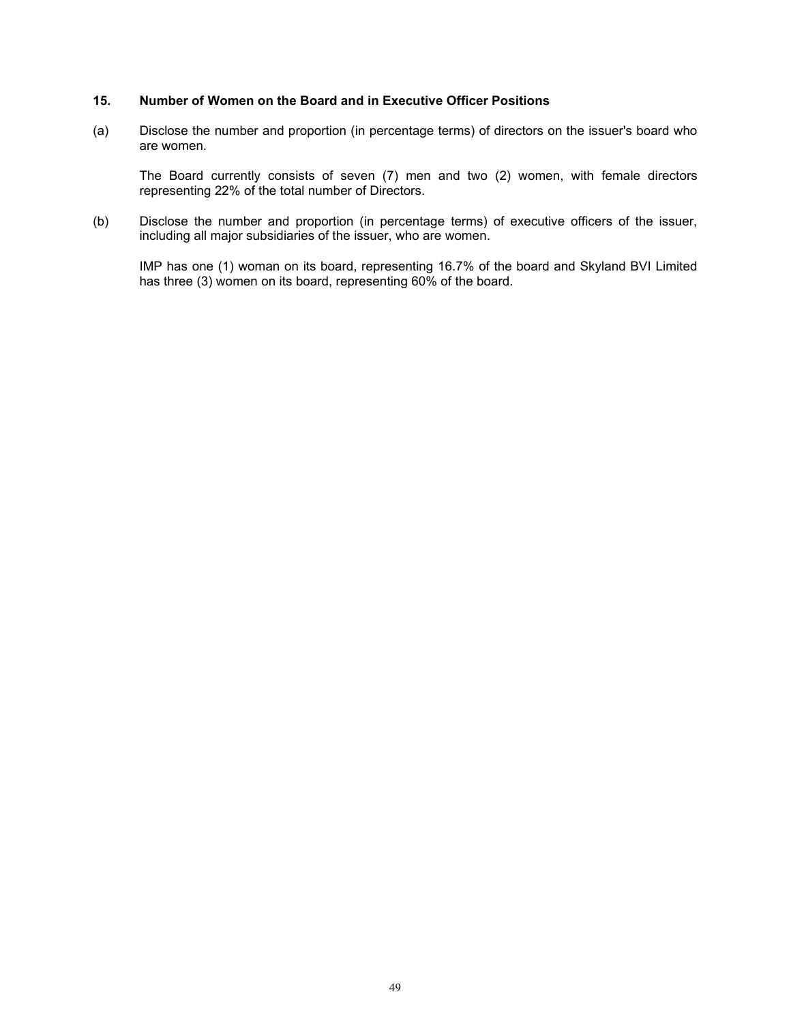### **15. Number of Women on the Board and in Executive Officer Positions**

(a) Disclose the number and proportion (in percentage terms) of directors on the issuer's board who are women.

The Board currently consists of seven (7) men and two (2) women, with female directors representing 22% of the total number of Directors.

(b) Disclose the number and proportion (in percentage terms) of executive officers of the issuer, including all major subsidiaries of the issuer, who are women.

IMP has one (1) woman on its board, representing 16.7% of the board and Skyland BVI Limited has three (3) women on its board, representing 60% of the board.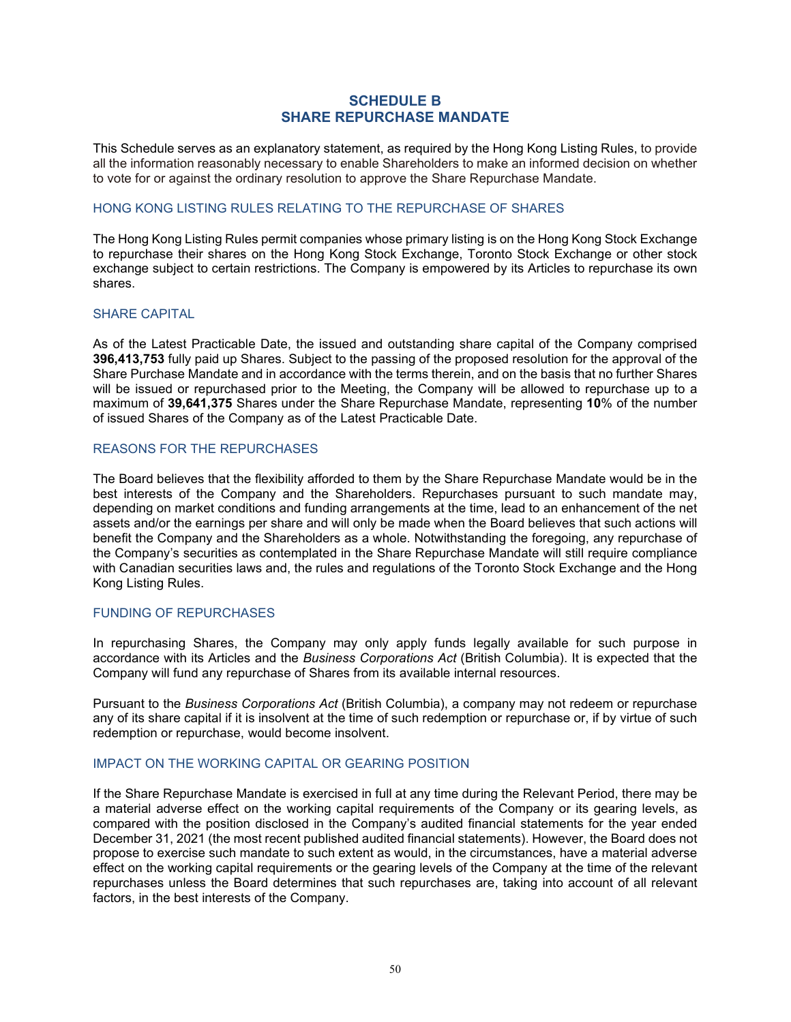## **SCHEDULE B SHARE REPURCHASE MANDATE**

<span id="page-50-0"></span>This Schedule serves as an explanatory statement, as required by the Hong Kong Listing Rules, to provide all the information reasonably necessary to enable Shareholders to make an informed decision on whether to vote for or against the ordinary resolution to approve the Share Repurchase Mandate.

## HONG KONG LISTING RULES RELATING TO THE REPURCHASE OF SHARES

The Hong Kong Listing Rules permit companies whose primary listing is on the Hong Kong Stock Exchange to repurchase their shares on the Hong Kong Stock Exchange, Toronto Stock Exchange or other stock exchange subject to certain restrictions. The Company is empowered by its Articles to repurchase its own shares.

## SHARE CAPITAL

As of the Latest Practicable Date, the issued and outstanding share capital of the Company comprised **396,413,753** fully paid up Shares. Subject to the passing of the proposed resolution for the approval of the Share Purchase Mandate and in accordance with the terms therein, and on the basis that no further Shares will be issued or repurchased prior to the Meeting, the Company will be allowed to repurchase up to a maximum of **39,641,375** Shares under the Share Repurchase Mandate, representing **10**% of the number of issued Shares of the Company as of the Latest Practicable Date.

## REASONS FOR THE REPURCHASES

The Board believes that the flexibility afforded to them by the Share Repurchase Mandate would be in the best interests of the Company and the Shareholders. Repurchases pursuant to such mandate may, depending on market conditions and funding arrangements at the time, lead to an enhancement of the net assets and/or the earnings per share and will only be made when the Board believes that such actions will benefit the Company and the Shareholders as a whole. Notwithstanding the foregoing, any repurchase of the Company's securities as contemplated in the Share Repurchase Mandate will still require compliance with Canadian securities laws and, the rules and regulations of the Toronto Stock Exchange and the Hong Kong Listing Rules.

## FUNDING OF REPURCHASES

In repurchasing Shares, the Company may only apply funds legally available for such purpose in accordance with its Articles and the *Business Corporations Act* (British Columbia). It is expected that the Company will fund any repurchase of Shares from its available internal resources.

Pursuant to the *Business Corporations Act* (British Columbia), a company may not redeem or repurchase any of its share capital if it is insolvent at the time of such redemption or repurchase or, if by virtue of such redemption or repurchase, would become insolvent.

## IMPACT ON THE WORKING CAPITAL OR GEARING POSITION

If the Share Repurchase Mandate is exercised in full at any time during the Relevant Period, there may be a material adverse effect on the working capital requirements of the Company or its gearing levels, as compared with the position disclosed in the Company's audited financial statements for the year ended December 31, 2021 (the most recent published audited financial statements). However, the Board does not propose to exercise such mandate to such extent as would, in the circumstances, have a material adverse effect on the working capital requirements or the gearing levels of the Company at the time of the relevant repurchases unless the Board determines that such repurchases are, taking into account of all relevant factors, in the best interests of the Company.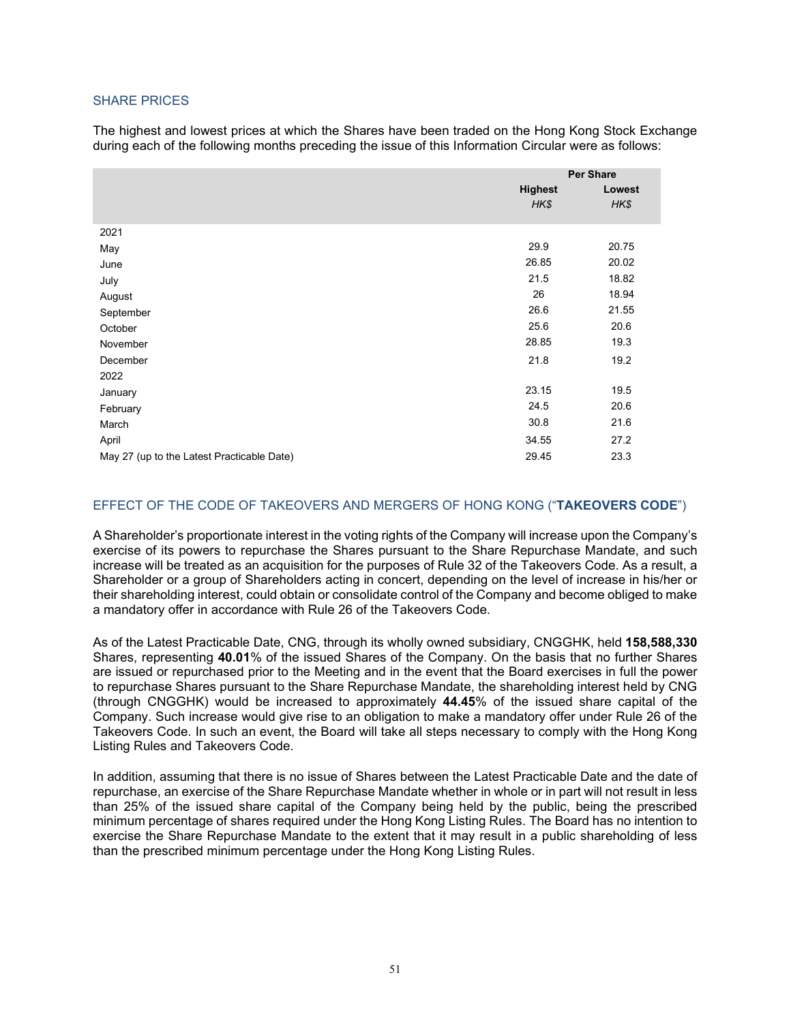## SHARE PRICES

The highest and lowest prices at which the Shares have been traded on the Hong Kong Stock Exchange during each of the following months preceding the issue of this Information Circular were as follows:

|                                            | <b>Per Share</b> |        |
|--------------------------------------------|------------------|--------|
|                                            | <b>Highest</b>   | Lowest |
|                                            | HK\$             | HK\$   |
| 2021                                       |                  |        |
| May                                        | 29.9             | 20.75  |
| June                                       | 26.85            | 20.02  |
| July                                       | 21.5             | 18.82  |
| August                                     | 26               | 18.94  |
| September                                  | 26.6             | 21.55  |
| October                                    | 25.6             | 20.6   |
| November                                   | 28.85            | 19.3   |
| December                                   | 21.8             | 19.2   |
|                                            |                  |        |
| 2022                                       | 23.15            | 19.5   |
| January                                    | 24.5             | 20.6   |
| February                                   | 30.8             | 21.6   |
| March                                      |                  |        |
| April                                      | 34.55            | 27.2   |
| May 27 (up to the Latest Practicable Date) | 29.45            | 23.3   |

## EFFECT OF THE CODE OF TAKEOVERS AND MERGERS OF HONG KONG ("**TAKEOVERS CODE**")

A Shareholder's proportionate interest in the voting rights of the Company will increase upon the Company's exercise of its powers to repurchase the Shares pursuant to the Share Repurchase Mandate, and such increase will be treated as an acquisition for the purposes of Rule 32 of the Takeovers Code. As a result, a Shareholder or a group of Shareholders acting in concert, depending on the level of increase in his/her or their shareholding interest, could obtain or consolidate control of the Company and become obliged to make a mandatory offer in accordance with Rule 26 of the Takeovers Code.

As of the Latest Practicable Date, CNG, through its wholly owned subsidiary, CNGGHK, held **158,588,330** Shares, representing **40.01**% of the issued Shares of the Company. On the basis that no further Shares are issued or repurchased prior to the Meeting and in the event that the Board exercises in full the power to repurchase Shares pursuant to the Share Repurchase Mandate, the shareholding interest held by CNG (through CNGGHK) would be increased to approximately **44.45**% of the issued share capital of the Company. Such increase would give rise to an obligation to make a mandatory offer under Rule 26 of the Takeovers Code. In such an event, the Board will take all steps necessary to comply with the Hong Kong Listing Rules and Takeovers Code.

In addition, assuming that there is no issue of Shares between the Latest Practicable Date and the date of repurchase, an exercise of the Share Repurchase Mandate whether in whole or in part will not result in less than 25% of the issued share capital of the Company being held by the public, being the prescribed minimum percentage of shares required under the Hong Kong Listing Rules. The Board has no intention to exercise the Share Repurchase Mandate to the extent that it may result in a public shareholding of less than the prescribed minimum percentage under the Hong Kong Listing Rules.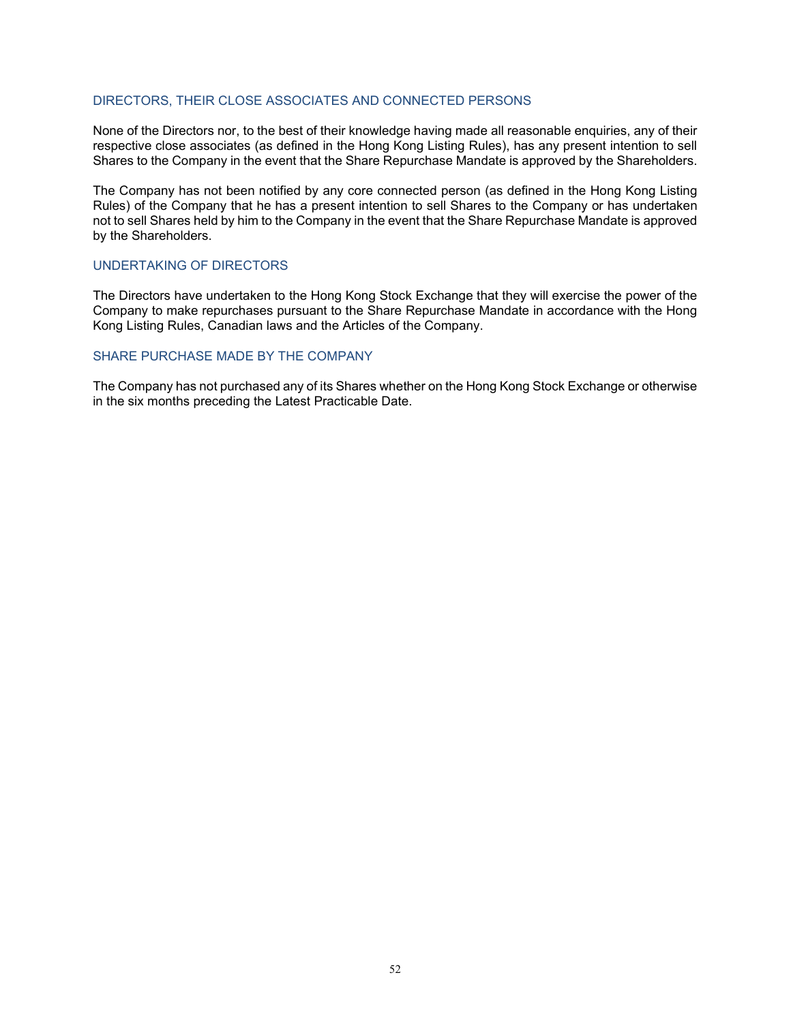## DIRECTORS, THEIR CLOSE ASSOCIATES AND CONNECTED PERSONS

None of the Directors nor, to the best of their knowledge having made all reasonable enquiries, any of their respective close associates (as defined in the Hong Kong Listing Rules), has any present intention to sell Shares to the Company in the event that the Share Repurchase Mandate is approved by the Shareholders.

The Company has not been notified by any core connected person (as defined in the Hong Kong Listing Rules) of the Company that he has a present intention to sell Shares to the Company or has undertaken not to sell Shares held by him to the Company in the event that the Share Repurchase Mandate is approved by the Shareholders.

## UNDERTAKING OF DIRECTORS

The Directors have undertaken to the Hong Kong Stock Exchange that they will exercise the power of the Company to make repurchases pursuant to the Share Repurchase Mandate in accordance with the Hong Kong Listing Rules, Canadian laws and the Articles of the Company.

## SHARE PURCHASE MADE BY THE COMPANY

The Company has not purchased any of its Shares whether on the Hong Kong Stock Exchange or otherwise in the six months preceding the Latest Practicable Date.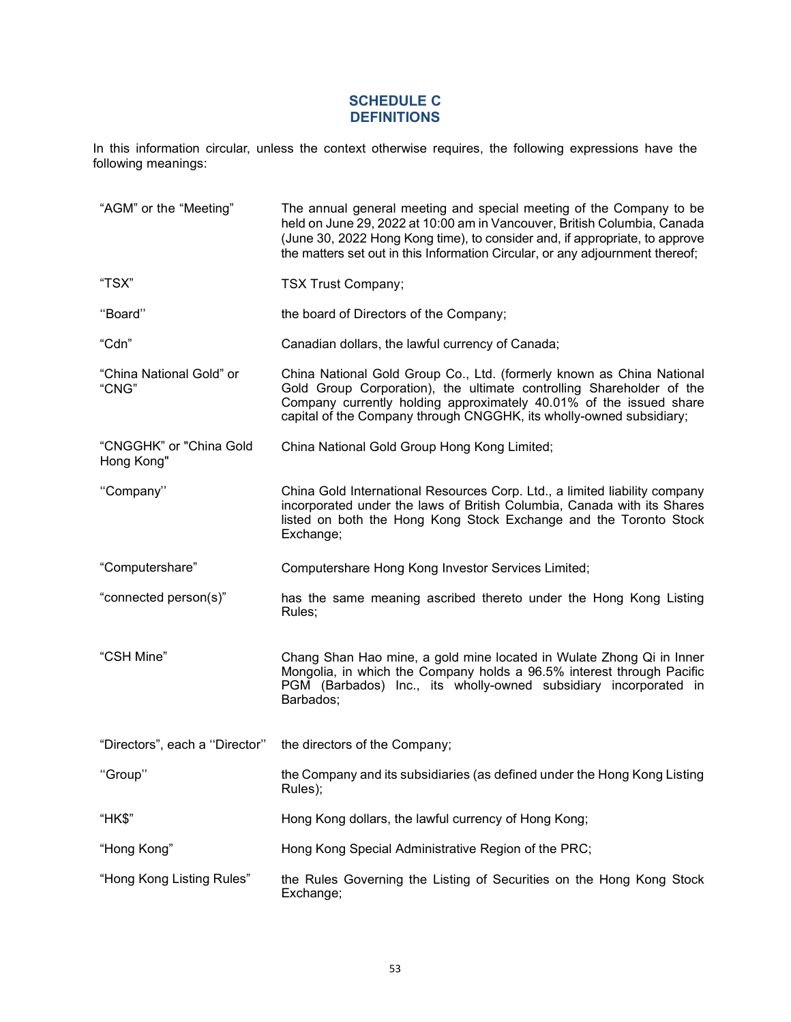## **SCHEDULE C DEFINITIONS**

<span id="page-53-0"></span>In this information circular, unless the context otherwise requires, the following expressions have the following meanings:

| "AGM" or the "Meeting"                | The annual general meeting and special meeting of the Company to be<br>held on June 29, 2022 at 10:00 am in Vancouver, British Columbia, Canada<br>(June 30, 2022 Hong Kong time), to consider and, if appropriate, to approve<br>the matters set out in this Information Circular, or any adjournment thereof; |
|---------------------------------------|-----------------------------------------------------------------------------------------------------------------------------------------------------------------------------------------------------------------------------------------------------------------------------------------------------------------|
| "TSX"                                 | <b>TSX Trust Company;</b>                                                                                                                                                                                                                                                                                       |
| "Board"                               | the board of Directors of the Company;                                                                                                                                                                                                                                                                          |
| "Cdn"                                 | Canadian dollars, the lawful currency of Canada;                                                                                                                                                                                                                                                                |
| "China National Gold" or<br>"CNG"     | China National Gold Group Co., Ltd. (formerly known as China National<br>Gold Group Corporation), the ultimate controlling Shareholder of the<br>Company currently holding approximately 40.01% of the issued share<br>capital of the Company through CNGGHK, its wholly-owned subsidiary;                      |
| "CNGGHK" or "China Gold<br>Hong Kong" | China National Gold Group Hong Kong Limited;                                                                                                                                                                                                                                                                    |
| "Company"                             | China Gold International Resources Corp. Ltd., a limited liability company<br>incorporated under the laws of British Columbia, Canada with its Shares<br>listed on both the Hong Kong Stock Exchange and the Toronto Stock<br>Exchange;                                                                         |
| "Computershare"                       | Computershare Hong Kong Investor Services Limited;                                                                                                                                                                                                                                                              |
| "connected person(s)"                 | has the same meaning ascribed thereto under the Hong Kong Listing<br>Rules;                                                                                                                                                                                                                                     |
| "CSH Mine"                            | Chang Shan Hao mine, a gold mine located in Wulate Zhong Qi in Inner<br>Mongolia, in which the Company holds a 96.5% interest through Pacific<br>PGM (Barbados) Inc., its wholly-owned subsidiary incorporated in<br>Barbados;                                                                                  |
| "Directors", each a "Director"        | the directors of the Company;                                                                                                                                                                                                                                                                                   |
| "Group"                               | the Company and its subsidiaries (as defined under the Hong Kong Listing<br>Rules);                                                                                                                                                                                                                             |
| "HK\$"                                | Hong Kong dollars, the lawful currency of Hong Kong;                                                                                                                                                                                                                                                            |
| "Hong Kong"                           | Hong Kong Special Administrative Region of the PRC;                                                                                                                                                                                                                                                             |
| "Hong Kong Listing Rules"             | the Rules Governing the Listing of Securities on the Hong Kong Stock<br>Exchange;                                                                                                                                                                                                                               |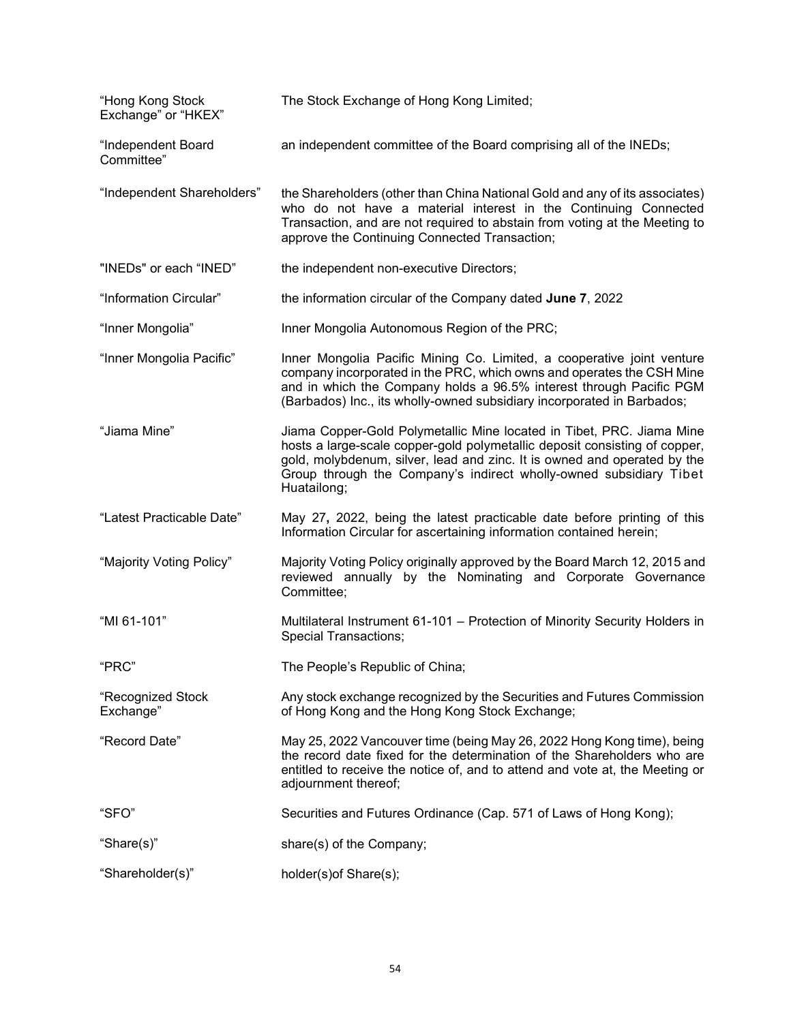| "Hong Kong Stock<br>Exchange" or "HKEX" | The Stock Exchange of Hong Kong Limited;                                                                                                                                                                                                                                                                             |
|-----------------------------------------|----------------------------------------------------------------------------------------------------------------------------------------------------------------------------------------------------------------------------------------------------------------------------------------------------------------------|
| "Independent Board<br>Committee"        | an independent committee of the Board comprising all of the INEDs;                                                                                                                                                                                                                                                   |
| "Independent Shareholders"              | the Shareholders (other than China National Gold and any of its associates)<br>who do not have a material interest in the Continuing Connected<br>Transaction, and are not required to abstain from voting at the Meeting to<br>approve the Continuing Connected Transaction;                                        |
| "INEDs" or each "INED"                  | the independent non-executive Directors;                                                                                                                                                                                                                                                                             |
| "Information Circular"                  | the information circular of the Company dated June 7, 2022                                                                                                                                                                                                                                                           |
| "Inner Mongolia"                        | Inner Mongolia Autonomous Region of the PRC;                                                                                                                                                                                                                                                                         |
| "Inner Mongolia Pacific"                | Inner Mongolia Pacific Mining Co. Limited, a cooperative joint venture<br>company incorporated in the PRC, which owns and operates the CSH Mine<br>and in which the Company holds a 96.5% interest through Pacific PGM<br>(Barbados) Inc., its wholly-owned subsidiary incorporated in Barbados;                     |
| "Jiama Mine"                            | Jiama Copper-Gold Polymetallic Mine located in Tibet, PRC. Jiama Mine<br>hosts a large-scale copper-gold polymetallic deposit consisting of copper,<br>gold, molybdenum, silver, lead and zinc. It is owned and operated by the<br>Group through the Company's indirect wholly-owned subsidiary Tibet<br>Huatailong; |
| "Latest Practicable Date"               | May 27, 2022, being the latest practicable date before printing of this<br>Information Circular for ascertaining information contained herein;                                                                                                                                                                       |
| "Majority Voting Policy"                | Majority Voting Policy originally approved by the Board March 12, 2015 and<br>reviewed annually by the Nominating and Corporate Governance<br>Committee;                                                                                                                                                             |
| "MI 61-101"                             | Multilateral Instrument 61-101 - Protection of Minority Security Holders in<br><b>Special Transactions;</b>                                                                                                                                                                                                          |
| "PRC"                                   | The People's Republic of China;                                                                                                                                                                                                                                                                                      |
| "Recognized Stock<br>Exchange"          | Any stock exchange recognized by the Securities and Futures Commission<br>of Hong Kong and the Hong Kong Stock Exchange;                                                                                                                                                                                             |
| "Record Date"                           | May 25, 2022 Vancouver time (being May 26, 2022 Hong Kong time), being<br>the record date fixed for the determination of the Shareholders who are<br>entitled to receive the notice of, and to attend and vote at, the Meeting or<br>adjournment thereof;                                                            |
| "SFO"                                   | Securities and Futures Ordinance (Cap. 571 of Laws of Hong Kong);                                                                                                                                                                                                                                                    |
| "Share(s)"                              | share(s) of the Company;                                                                                                                                                                                                                                                                                             |
| "Shareholder(s)"                        | holder(s) of Share(s);                                                                                                                                                                                                                                                                                               |